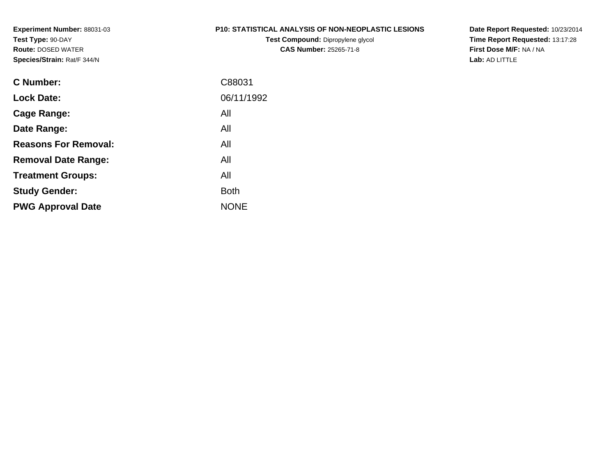#### **P10: STATISTICAL ANALYSIS OF NON-NEOPLASTIC LESIONS**

**Test Compound:** Dipropylene glycol **CAS Number:** 25265-71-8

**Date Report Requested:** 10/23/2014 **Time Report Requested:** 13:17:28**First Dose M/F:** NA / NA**Lab:** AD LITTLE

| C Number:                   | C88031      |
|-----------------------------|-------------|
| <b>Lock Date:</b>           | 06/11/1992  |
| Cage Range:                 | All         |
| Date Range:                 | All         |
| <b>Reasons For Removal:</b> | All         |
| <b>Removal Date Range:</b>  | All         |
| <b>Treatment Groups:</b>    | All         |
| <b>Study Gender:</b>        | <b>Both</b> |
| <b>PWG Approval Date</b>    | <b>NONE</b> |
|                             |             |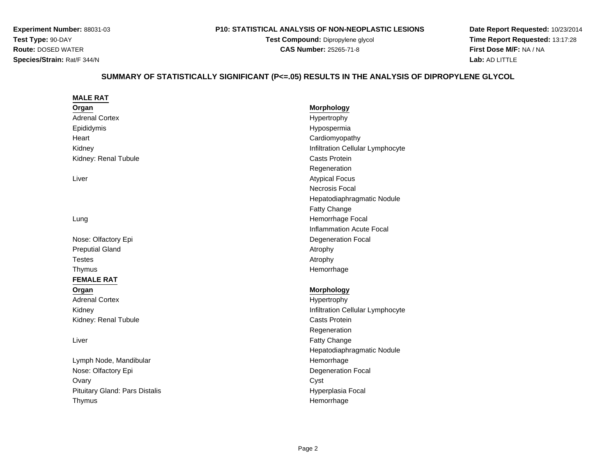**MALE RAT**

#### **P10: STATISTICAL ANALYSIS OF NON-NEOPLASTIC LESIONS**

**Test Compound:** Dipropylene glycol **CAS Number:** 25265-71-8

**Date Report Requested:** 10/23/2014 **Time Report Requested:** 13:17:28**First Dose M/F:** NA / NA**Lab:** AD LITTLE

# **SUMMARY OF STATISTICALLY SIGNIFICANT (P<=.05) RESULTS IN THE ANALYSIS OF DIPROPYLENE GLYCOL**

| Organ                          | <b>Morphology</b>                |
|--------------------------------|----------------------------------|
| <b>Adrenal Cortex</b>          | Hypertrophy                      |
| Epididymis                     | Hypospermia                      |
| Heart                          | Cardiomyopathy                   |
| Kidney                         | Infiltration Cellular Lymphocyte |
| Kidney: Renal Tubule           | Casts Protein                    |
|                                | Regeneration                     |
| Liver                          | <b>Atypical Focus</b>            |
|                                | Necrosis Focal                   |
|                                | Hepatodiaphragmatic Nodule       |
|                                | <b>Fatty Change</b>              |
| Lung                           | Hemorrhage Focal                 |
|                                | <b>Inflammation Acute Focal</b>  |
| Nose: Olfactory Epi            | <b>Degeneration Focal</b>        |
| <b>Preputial Gland</b>         | Atrophy                          |
| <b>Testes</b>                  | Atrophy                          |
| Thymus                         | Hemorrhage                       |
| <b>FEMALE RAT</b>              |                                  |
| Organ                          | <b>Morphology</b>                |
| <b>Adrenal Cortex</b>          | Hypertrophy                      |
| Kidney                         | Infiltration Cellular Lymphocyte |
| Kidney: Renal Tubule           | <b>Casts Protein</b>             |
|                                | Regeneration                     |
| Liver                          | Fatty Change                     |
|                                | Hepatodiaphragmatic Nodule       |
| Lymph Node, Mandibular         | Hemorrhage                       |
| Nose: Olfactory Epi            | Degeneration Focal               |
| Ovary                          | Cyst                             |
| Pituitary Gland: Pars Distalis | Hyperplasia Focal                |
| Thymus                         | Hemorrhage                       |
|                                |                                  |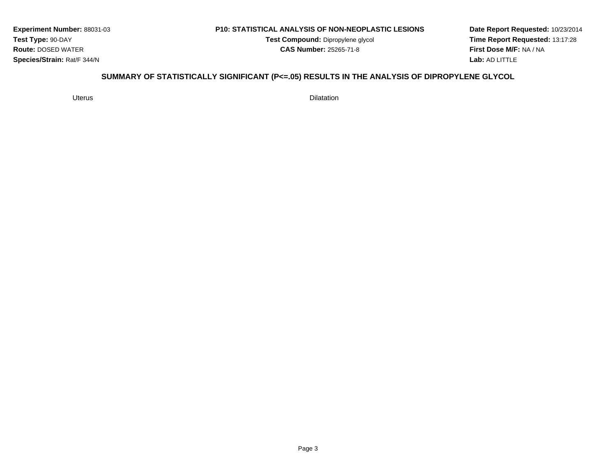#### **P10: STATISTICAL ANALYSIS OF NON-NEOPLASTIC LESIONS**

**Test Compound:** Dipropylene glycol **CAS Number:** 25265-71-8

**Date Report Requested:** 10/23/2014**Time Report Requested:** 13:17:28**First Dose M/F:** NA / NA**Lab:** AD LITTLE

# **SUMMARY OF STATISTICALLY SIGNIFICANT (P<=.05) RESULTS IN THE ANALYSIS OF DIPROPYLENE GLYCOL**

Uterus

s Dilatation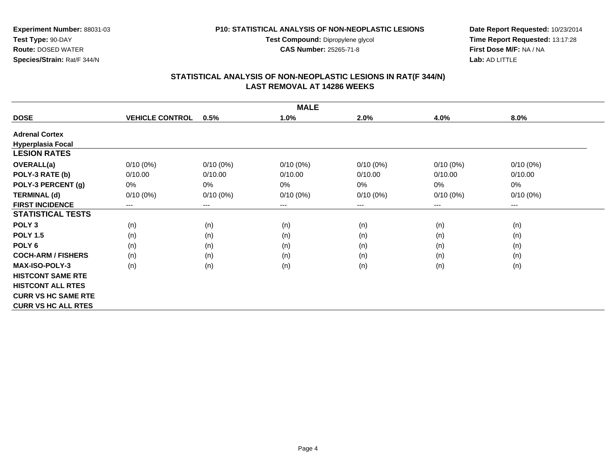**Test Compound:** Dipropylene glycol

**CAS Number:** 25265-71-8

**Date Report Requested:** 10/23/2014 **Time Report Requested:** 13:17:28**First Dose M/F:** NA / NA**Lab:** AD LITTLE

## **STATISTICAL ANALYSIS OF NON-NEOPLASTIC LESIONS IN RAT(F 344/N) LAST REMOVAL AT 14286 WEEKS**

| <b>MALE</b>                |                        |             |             |             |             |             |  |  |
|----------------------------|------------------------|-------------|-------------|-------------|-------------|-------------|--|--|
| <b>DOSE</b>                | <b>VEHICLE CONTROL</b> | 0.5%        | 1.0%        | 2.0%        | 4.0%        | 8.0%        |  |  |
| <b>Adrenal Cortex</b>      |                        |             |             |             |             |             |  |  |
| <b>Hyperplasia Focal</b>   |                        |             |             |             |             |             |  |  |
| <b>LESION RATES</b>        |                        |             |             |             |             |             |  |  |
| <b>OVERALL(a)</b>          | $0/10(0\%)$            | $0/10(0\%)$ | $0/10(0\%)$ | $0/10(0\%)$ | $0/10(0\%)$ | $0/10(0\%)$ |  |  |
| POLY-3 RATE (b)            | 0/10.00                | 0/10.00     | 0/10.00     | 0/10.00     | 0/10.00     | 0/10.00     |  |  |
| POLY-3 PERCENT (g)         | 0%                     | 0%          | 0%          | 0%          | 0%          | 0%          |  |  |
| <b>TERMINAL (d)</b>        | $0/10(0\%)$            | $0/10(0\%)$ | $0/10(0\%)$ | $0/10(0\%)$ | $0/10(0\%)$ | $0/10(0\%)$ |  |  |
| <b>FIRST INCIDENCE</b>     | ---                    | $---$       | ---         | ---         | $---$       | $---$       |  |  |
| <b>STATISTICAL TESTS</b>   |                        |             |             |             |             |             |  |  |
| POLY <sub>3</sub>          | (n)                    | (n)         | (n)         | (n)         | (n)         | (n)         |  |  |
| <b>POLY 1.5</b>            | (n)                    | (n)         | (n)         | (n)         | (n)         | (n)         |  |  |
| POLY <sub>6</sub>          | (n)                    | (n)         | (n)         | (n)         | (n)         | (n)         |  |  |
| <b>COCH-ARM / FISHERS</b>  | (n)                    | (n)         | (n)         | (n)         | (n)         | (n)         |  |  |
| MAX-ISO-POLY-3             | (n)                    | (n)         | (n)         | (n)         | (n)         | (n)         |  |  |
| <b>HISTCONT SAME RTE</b>   |                        |             |             |             |             |             |  |  |
| <b>HISTCONT ALL RTES</b>   |                        |             |             |             |             |             |  |  |
| <b>CURR VS HC SAME RTE</b> |                        |             |             |             |             |             |  |  |
| <b>CURR VS HC ALL RTES</b> |                        |             |             |             |             |             |  |  |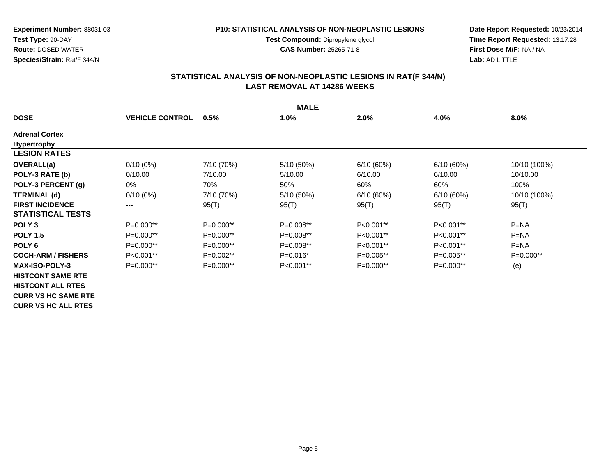**Test Compound:** Dipropylene glycol

**CAS Number:** 25265-71-8

**Date Report Requested:** 10/23/2014 **Time Report Requested:** 13:17:28**First Dose M/F:** NA / NA**Lab:** AD LITTLE

## **STATISTICAL ANALYSIS OF NON-NEOPLASTIC LESIONS IN RAT(F 344/N) LAST REMOVAL AT 14286 WEEKS**

| <b>MALE</b>                |                        |             |             |             |             |              |  |  |
|----------------------------|------------------------|-------------|-------------|-------------|-------------|--------------|--|--|
| <b>DOSE</b>                | <b>VEHICLE CONTROL</b> | 0.5%        | 1.0%        | 2.0%        | 4.0%        | 8.0%         |  |  |
| <b>Adrenal Cortex</b>      |                        |             |             |             |             |              |  |  |
| <b>Hypertrophy</b>         |                        |             |             |             |             |              |  |  |
| <b>LESION RATES</b>        |                        |             |             |             |             |              |  |  |
| <b>OVERALL(a)</b>          | $0/10(0\%)$            | 7/10 (70%)  | 5/10 (50%)  | 6/10(60%)   | 6/10(60%)   | 10/10 (100%) |  |  |
| POLY-3 RATE (b)            | 0/10.00                | 7/10.00     | 5/10.00     | 6/10.00     | 6/10.00     | 10/10.00     |  |  |
| POLY-3 PERCENT (g)         | 0%                     | 70%         | 50%         | 60%         | 60%         | 100%         |  |  |
| <b>TERMINAL (d)</b>        | $0/10(0\%)$            | 7/10 (70%)  | 5/10 (50%)  | 6/10(60%)   | 6/10(60%)   | 10/10 (100%) |  |  |
| <b>FIRST INCIDENCE</b>     | $\qquad \qquad \cdots$ | 95(T)       | 95(T)       | 95(T)       | 95(T)       | 95(T)        |  |  |
| <b>STATISTICAL TESTS</b>   |                        |             |             |             |             |              |  |  |
| POLY <sub>3</sub>          | $P=0.000**$            | P=0.000**   | $P=0.008**$ | $P<0.001**$ | $P<0.001**$ | $P=NA$       |  |  |
| <b>POLY 1.5</b>            | $P=0.000**$            | $P=0.000**$ | $P=0.008**$ | P<0.001**   | $P<0.001**$ | $P=NA$       |  |  |
| POLY <sub>6</sub>          | $P=0.000**$            | $P=0.000**$ | $P=0.008**$ | P<0.001**   | P<0.001**   | $P = NA$     |  |  |
| <b>COCH-ARM / FISHERS</b>  | P<0.001**              | $P=0.002**$ | $P=0.016*$  | $P=0.005**$ | $P=0.005**$ | $P=0.000**$  |  |  |
| <b>MAX-ISO-POLY-3</b>      | $P=0.000**$            | $P=0.000**$ | P<0.001**   | $P=0.000**$ | $P=0.000**$ | (e)          |  |  |
| <b>HISTCONT SAME RTE</b>   |                        |             |             |             |             |              |  |  |
| <b>HISTCONT ALL RTES</b>   |                        |             |             |             |             |              |  |  |
| <b>CURR VS HC SAME RTE</b> |                        |             |             |             |             |              |  |  |
| <b>CURR VS HC ALL RTES</b> |                        |             |             |             |             |              |  |  |

Page 5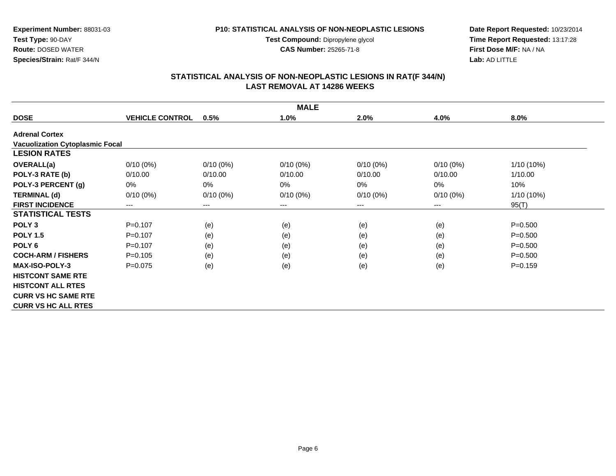**Test Compound:** Dipropylene glycol

**CAS Number:** 25265-71-8

**Date Report Requested:** 10/23/2014 **Time Report Requested:** 13:17:28**First Dose M/F:** NA / NA**Lab:** AD LITTLE

## **STATISTICAL ANALYSIS OF NON-NEOPLASTIC LESIONS IN RAT(F 344/N) LAST REMOVAL AT 14286 WEEKS**

| <b>MALE</b>                            |                        |             |             |             |             |             |  |  |
|----------------------------------------|------------------------|-------------|-------------|-------------|-------------|-------------|--|--|
| <b>DOSE</b>                            | <b>VEHICLE CONTROL</b> | 0.5%        | 1.0%        | 2.0%        | 4.0%        | $8.0\%$     |  |  |
| <b>Adrenal Cortex</b>                  |                        |             |             |             |             |             |  |  |
| <b>Vacuolization Cytoplasmic Focal</b> |                        |             |             |             |             |             |  |  |
| <b>LESION RATES</b>                    |                        |             |             |             |             |             |  |  |
| <b>OVERALL(a)</b>                      | $0/10(0\%)$            | $0/10(0\%)$ | $0/10(0\%)$ | $0/10(0\%)$ | $0/10(0\%)$ | 1/10 (10%)  |  |  |
| POLY-3 RATE (b)                        | 0/10.00                | 0/10.00     | 0/10.00     | 0/10.00     | 0/10.00     | 1/10.00     |  |  |
| POLY-3 PERCENT (g)                     | 0%                     | 0%          | 0%          | $0\%$       | $0\%$       | 10%         |  |  |
| <b>TERMINAL (d)</b>                    | $0/10(0\%)$            | $0/10(0\%)$ | $0/10(0\%)$ | $0/10(0\%)$ | $0/10(0\%)$ | 1/10 (10%)  |  |  |
| <b>FIRST INCIDENCE</b>                 | ---                    | $---$       | ---         | $---$       | $---$       | 95(T)       |  |  |
| <b>STATISTICAL TESTS</b>               |                        |             |             |             |             |             |  |  |
| POLY <sub>3</sub>                      | $P = 0.107$            | (e)         | (e)         | (e)         | (e)         | $P = 0.500$ |  |  |
| <b>POLY 1.5</b>                        | $P = 0.107$            | (e)         | (e)         | (e)         | (e)         | $P = 0.500$ |  |  |
| POLY <sub>6</sub>                      | $P=0.107$              | (e)         | (e)         | (e)         | (e)         | $P = 0.500$ |  |  |
| <b>COCH-ARM / FISHERS</b>              | $P = 0.105$            | (e)         | (e)         | (e)         | (e)         | $P = 0.500$ |  |  |
| <b>MAX-ISO-POLY-3</b>                  | $P=0.075$              | (e)         | (e)         | (e)         | (e)         | $P=0.159$   |  |  |
| <b>HISTCONT SAME RTE</b>               |                        |             |             |             |             |             |  |  |
| <b>HISTCONT ALL RTES</b>               |                        |             |             |             |             |             |  |  |
| <b>CURR VS HC SAME RTE</b>             |                        |             |             |             |             |             |  |  |
| <b>CURR VS HC ALL RTES</b>             |                        |             |             |             |             |             |  |  |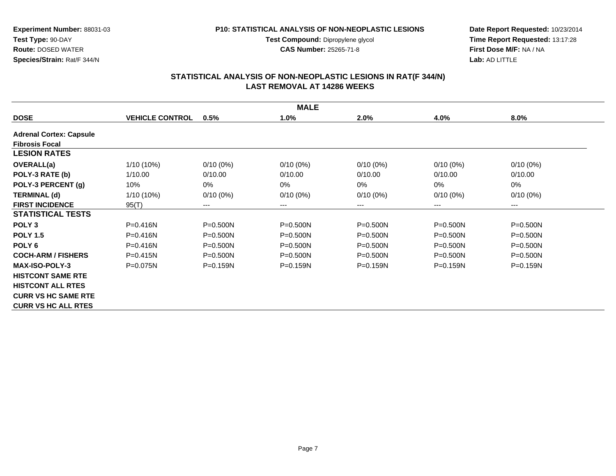#### **P10: STATISTICAL ANALYSIS OF NON-NEOPLASTIC LESIONS**

**Test Compound:** Dipropylene glycol **CAS Number:** 25265-71-8

**Date Report Requested:** 10/23/2014 **Time Report Requested:** 13:17:28**First Dose M/F:** NA / NA**Lab:** AD LITTLE

| <b>MALE</b>                    |                        |              |              |              |              |              |  |  |  |
|--------------------------------|------------------------|--------------|--------------|--------------|--------------|--------------|--|--|--|
| <b>DOSE</b>                    | <b>VEHICLE CONTROL</b> | 0.5%         | 1.0%         | 2.0%         | 4.0%         | 8.0%         |  |  |  |
| <b>Adrenal Cortex: Capsule</b> |                        |              |              |              |              |              |  |  |  |
| <b>Fibrosis Focal</b>          |                        |              |              |              |              |              |  |  |  |
| <b>LESION RATES</b>            |                        |              |              |              |              |              |  |  |  |
| <b>OVERALL(a)</b>              | 1/10 (10%)             | $0/10(0\%)$  | $0/10(0\%)$  | $0/10(0\%)$  | $0/10(0\%)$  | $0/10(0\%)$  |  |  |  |
| POLY-3 RATE (b)                | 1/10.00                | 0/10.00      | 0/10.00      | 0/10.00      | 0/10.00      | 0/10.00      |  |  |  |
| POLY-3 PERCENT (g)             | 10%                    | 0%           | $0\%$        | 0%           | 0%           | 0%           |  |  |  |
| <b>TERMINAL (d)</b>            | $1/10(10\%)$           | $0/10(0\%)$  | $0/10(0\%)$  | $0/10(0\%)$  | $0/10(0\%)$  | $0/10(0\%)$  |  |  |  |
| <b>FIRST INCIDENCE</b>         | 95(T)                  | $---$        | ---          | $---$        | $---$        | $--$         |  |  |  |
| <b>STATISTICAL TESTS</b>       |                        |              |              |              |              |              |  |  |  |
| POLY <sub>3</sub>              | $P = 0.416N$           | $P = 0.500N$ | $P = 0.500N$ | $P = 0.500N$ | $P = 0.500N$ | $P = 0.500N$ |  |  |  |
| <b>POLY 1.5</b>                | $P = 0.416N$           | $P=0.500N$   | $P = 0.500N$ | $P = 0.500N$ | P=0.500N     | $P = 0.500N$ |  |  |  |
| POLY <sub>6</sub>              | P=0.416N               | $P = 0.500N$ | $P = 0.500N$ | $P = 0.500N$ | $P = 0.500N$ | $P = 0.500N$ |  |  |  |
| <b>COCH-ARM / FISHERS</b>      | $P = 0.415N$           | $P=0.500N$   | $P = 0.500N$ | $P = 0.500N$ | $P = 0.500N$ | $P = 0.500N$ |  |  |  |
| <b>MAX-ISO-POLY-3</b>          | $P = 0.075N$           | $P=0.159N$   | $P = 0.159N$ | $P = 0.159N$ | $P = 0.159N$ | $P = 0.159N$ |  |  |  |
| <b>HISTCONT SAME RTE</b>       |                        |              |              |              |              |              |  |  |  |
| <b>HISTCONT ALL RTES</b>       |                        |              |              |              |              |              |  |  |  |
| <b>CURR VS HC SAME RTE</b>     |                        |              |              |              |              |              |  |  |  |
| <b>CURR VS HC ALL RTES</b>     |                        |              |              |              |              |              |  |  |  |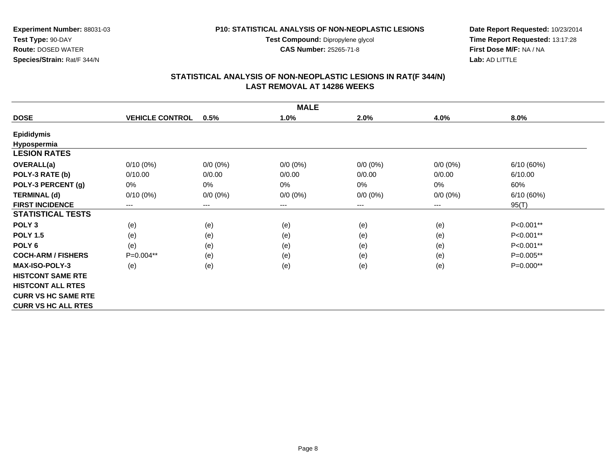**Test Compound:** Dipropylene glycol

**CAS Number:** 25265-71-8

**Date Report Requested:** 10/23/2014 **Time Report Requested:** 13:17:28**First Dose M/F:** NA / NA**Lab:** AD LITTLE

| <b>MALE</b>                |                        |                        |             |             |                        |             |  |  |
|----------------------------|------------------------|------------------------|-------------|-------------|------------------------|-------------|--|--|
| <b>DOSE</b>                | <b>VEHICLE CONTROL</b> | 0.5%                   | 1.0%        | 2.0%        | 4.0%                   | 8.0%        |  |  |
| <b>Epididymis</b>          |                        |                        |             |             |                        |             |  |  |
| Hypospermia                |                        |                        |             |             |                        |             |  |  |
| <b>LESION RATES</b>        |                        |                        |             |             |                        |             |  |  |
| OVERALL(a)                 | $0/10(0\%)$            | $0/0 (0\%)$            | $0/0 (0\%)$ | $0/0 (0\%)$ | $0/0 (0\%)$            | 6/10(60%)   |  |  |
| POLY-3 RATE (b)            | 0/10.00                | 0/0.00                 | 0/0.00      | 0/0.00      | 0/0.00                 | 6/10.00     |  |  |
| POLY-3 PERCENT (g)         | 0%                     | $0\%$                  | $0\%$       | 0%          | 0%                     | 60%         |  |  |
| <b>TERMINAL (d)</b>        | $0/10(0\%)$            | $0/0 (0\%)$            | $0/0 (0\%)$ | $0/0 (0\%)$ | $0/0 (0\%)$            | 6/10(60%)   |  |  |
| <b>FIRST INCIDENCE</b>     | $\qquad \qquad \cdots$ | $\qquad \qquad \cdots$ | ---         | $---$       | $\qquad \qquad \cdots$ | 95(T)       |  |  |
| <b>STATISTICAL TESTS</b>   |                        |                        |             |             |                        |             |  |  |
| POLY <sub>3</sub>          | (e)                    | (e)                    | (e)         | (e)         | (e)                    | P<0.001**   |  |  |
| <b>POLY 1.5</b>            | (e)                    | (e)                    | (e)         | (e)         | (e)                    | P<0.001**   |  |  |
| POLY <sub>6</sub>          | (e)                    | (e)                    | (e)         | (e)         | (e)                    | P<0.001**   |  |  |
| <b>COCH-ARM / FISHERS</b>  | $P=0.004**$            | (e)                    | (e)         | (e)         | (e)                    | $P=0.005**$ |  |  |
| <b>MAX-ISO-POLY-3</b>      | (e)                    | (e)                    | (e)         | (e)         | (e)                    | $P=0.000**$ |  |  |
| <b>HISTCONT SAME RTE</b>   |                        |                        |             |             |                        |             |  |  |
| <b>HISTCONT ALL RTES</b>   |                        |                        |             |             |                        |             |  |  |
| <b>CURR VS HC SAME RTE</b> |                        |                        |             |             |                        |             |  |  |
| <b>CURR VS HC ALL RTES</b> |                        |                        |             |             |                        |             |  |  |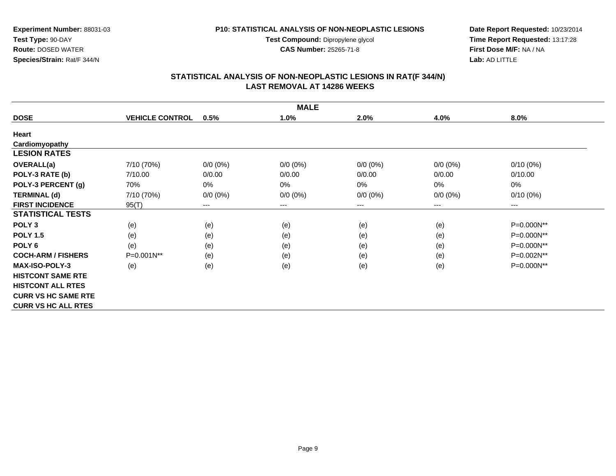**Test Compound:** Dipropylene glycol

**CAS Number:** 25265-71-8

**Date Report Requested:** 10/23/2014 **Time Report Requested:** 13:17:28**First Dose M/F:** NA / NA**Lab:** AD LITTLE

| <b>MALE</b>                |                        |             |             |             |             |             |  |  |
|----------------------------|------------------------|-------------|-------------|-------------|-------------|-------------|--|--|
| <b>DOSE</b>                | <b>VEHICLE CONTROL</b> | 0.5%        | 1.0%        | 2.0%        | 4.0%        | 8.0%        |  |  |
| Heart                      |                        |             |             |             |             |             |  |  |
| Cardiomyopathy             |                        |             |             |             |             |             |  |  |
| <b>LESION RATES</b>        |                        |             |             |             |             |             |  |  |
| <b>OVERALL(a)</b>          | 7/10 (70%)             | $0/0 (0\%)$ | $0/0 (0\%)$ | $0/0 (0\%)$ | $0/0(0\%)$  | $0/10(0\%)$ |  |  |
| POLY-3 RATE (b)            | 7/10.00                | 0/0.00      | 0/0.00      | 0/0.00      | 0/0.00      | 0/10.00     |  |  |
| POLY-3 PERCENT (g)         | 70%                    | 0%          | $0\%$       | $0\%$       | 0%          | 0%          |  |  |
| <b>TERMINAL (d)</b>        | 7/10 (70%)             | $0/0 (0\%)$ | $0/0 (0\%)$ | $0/0 (0\%)$ | $0/0 (0\%)$ | $0/10(0\%)$ |  |  |
| <b>FIRST INCIDENCE</b>     | 95(T)                  | $---$       | ---         | ---         | $---$       | $---$       |  |  |
| <b>STATISTICAL TESTS</b>   |                        |             |             |             |             |             |  |  |
| POLY <sub>3</sub>          | (e)                    | (e)         | (e)         | (e)         | (e)         | P=0.000N**  |  |  |
| <b>POLY 1.5</b>            | (e)                    | (e)         | (e)         | (e)         | (e)         | P=0.000N**  |  |  |
| POLY <sub>6</sub>          | (e)                    | (e)         | (e)         | (e)         | (e)         | P=0.000N**  |  |  |
| <b>COCH-ARM / FISHERS</b>  | $P=0.001N**$           | (e)         | (e)         | (e)         | (e)         | P=0.002N**  |  |  |
| <b>MAX-ISO-POLY-3</b>      | (e)                    | (e)         | (e)         | (e)         | (e)         | P=0.000N**  |  |  |
| <b>HISTCONT SAME RTE</b>   |                        |             |             |             |             |             |  |  |
| <b>HISTCONT ALL RTES</b>   |                        |             |             |             |             |             |  |  |
| <b>CURR VS HC SAME RTE</b> |                        |             |             |             |             |             |  |  |
| <b>CURR VS HC ALL RTES</b> |                        |             |             |             |             |             |  |  |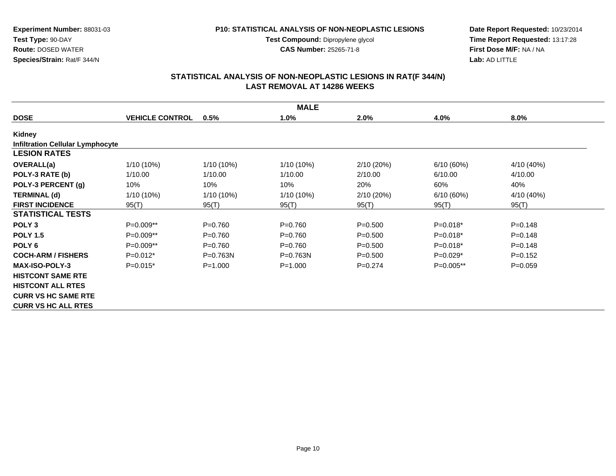**Test Compound:** Dipropylene glycol

**CAS Number:** 25265-71-8

**Date Report Requested:** 10/23/2014 **Time Report Requested:** 13:17:28**First Dose M/F:** NA / NA**Lab:** AD LITTLE

## **STATISTICAL ANALYSIS OF NON-NEOPLASTIC LESIONS IN RAT(F 344/N) LAST REMOVAL AT 14286 WEEKS**

| <b>MALE</b>                             |                        |              |              |             |             |             |  |  |
|-----------------------------------------|------------------------|--------------|--------------|-------------|-------------|-------------|--|--|
| <b>DOSE</b>                             | <b>VEHICLE CONTROL</b> | 0.5%         | 1.0%         | 2.0%        | 4.0%        | 8.0%        |  |  |
| Kidney                                  |                        |              |              |             |             |             |  |  |
| <b>Infiltration Cellular Lymphocyte</b> |                        |              |              |             |             |             |  |  |
| <b>LESION RATES</b>                     |                        |              |              |             |             |             |  |  |
| <b>OVERALL(a)</b>                       | 1/10 (10%)             | $1/10(10\%)$ | $1/10(10\%)$ | 2/10(20%)   | 6/10(60%)   | 4/10 (40%)  |  |  |
| POLY-3 RATE (b)                         | 1/10.00                | 1/10.00      | 1/10.00      | 2/10.00     | 6/10.00     | 4/10.00     |  |  |
| POLY-3 PERCENT (g)                      | 10%                    | 10%          | 10%          | 20%         | 60%         | 40%         |  |  |
| <b>TERMINAL (d)</b>                     | 1/10 (10%)             | $1/10(10\%)$ | 1/10 (10%)   | 2/10(20%)   | 6/10(60%)   | 4/10 (40%)  |  |  |
| <b>FIRST INCIDENCE</b>                  | 95(T)                  | 95(T)        | 95(T)        | 95(T)       | 95(T)       | 95(T)       |  |  |
| <b>STATISTICAL TESTS</b>                |                        |              |              |             |             |             |  |  |
| POLY <sub>3</sub>                       | P=0.009**              | $P = 0.760$  | $P=0.760$    | $P = 0.500$ | $P=0.018*$  | $P = 0.148$ |  |  |
| <b>POLY 1.5</b>                         | P=0.009**              | $P=0.760$    | $P=0.760$    | $P = 0.500$ | $P=0.018*$  | $P = 0.148$ |  |  |
| POLY <sub>6</sub>                       | P=0.009**              | $P = 0.760$  | P=0.760      | $P = 0.500$ | $P=0.018*$  | $P = 0.148$ |  |  |
| <b>COCH-ARM / FISHERS</b>               | $P=0.012*$             | $P = 0.763N$ | $P = 0.763N$ | $P = 0.500$ | $P=0.029*$  | $P=0.152$   |  |  |
| <b>MAX-ISO-POLY-3</b>                   | $P=0.015*$             | $P = 1.000$  | $P = 1.000$  | $P=0.274$   | $P=0.005**$ | $P=0.059$   |  |  |
| <b>HISTCONT SAME RTE</b>                |                        |              |              |             |             |             |  |  |
| <b>HISTCONT ALL RTES</b>                |                        |              |              |             |             |             |  |  |
| <b>CURR VS HC SAME RTE</b>              |                        |              |              |             |             |             |  |  |
| <b>CURR VS HC ALL RTES</b>              |                        |              |              |             |             |             |  |  |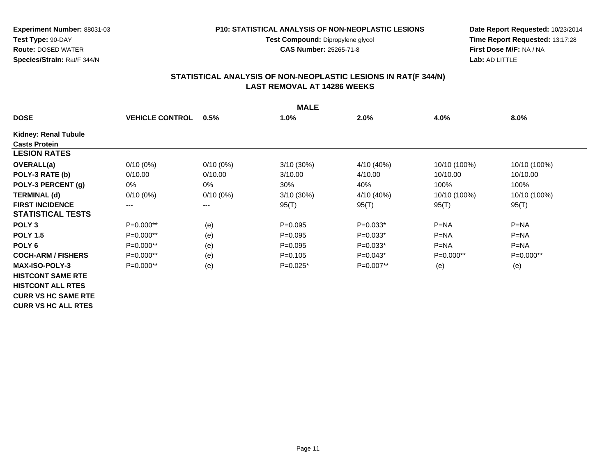**Experiment Number:** 88031-03**Test Type:** 90-DAY

 **Route:** DOSED WATER**Species/Strain:** Rat/F 344/N

#### **P10: STATISTICAL ANALYSIS OF NON-NEOPLASTIC LESIONS**

**Test Compound:** Dipropylene glycol **CAS Number:** 25265-71-8

**Date Report Requested:** 10/23/2014 **Time Report Requested:** 13:17:28**First Dose M/F:** NA / NA**Lab:** AD LITTLE

|                             | <b>MALE</b>            |             |              |             |              |              |  |  |  |
|-----------------------------|------------------------|-------------|--------------|-------------|--------------|--------------|--|--|--|
| <b>DOSE</b>                 | <b>VEHICLE CONTROL</b> | 0.5%        | 1.0%         | 2.0%        | 4.0%         | $8.0\%$      |  |  |  |
| <b>Kidney: Renal Tubule</b> |                        |             |              |             |              |              |  |  |  |
| <b>Casts Protein</b>        |                        |             |              |             |              |              |  |  |  |
| <b>LESION RATES</b>         |                        |             |              |             |              |              |  |  |  |
| <b>OVERALL(a)</b>           | $0/10(0\%)$            | $0/10(0\%)$ | $3/10(30\%)$ | 4/10 (40%)  | 10/10 (100%) | 10/10 (100%) |  |  |  |
| POLY-3 RATE (b)             | 0/10.00                | 0/10.00     | 3/10.00      | 4/10.00     | 10/10.00     | 10/10.00     |  |  |  |
| POLY-3 PERCENT (g)          | 0%                     | 0%          | 30%          | 40%         | 100%         | 100%         |  |  |  |
| <b>TERMINAL (d)</b>         | $0/10(0\%)$            | $0/10(0\%)$ | 3/10 (30%)   | 4/10 (40%)  | 10/10 (100%) | 10/10 (100%) |  |  |  |
| <b>FIRST INCIDENCE</b>      | ---                    | $--$        | 95(T)        | 95(T)       | 95(T)        | 95(T)        |  |  |  |
| <b>STATISTICAL TESTS</b>    |                        |             |              |             |              |              |  |  |  |
| POLY <sub>3</sub>           | P=0.000**              | (e)         | $P=0.095$    | $P=0.033*$  | $P=NA$       | $P=NA$       |  |  |  |
| <b>POLY 1.5</b>             | $P=0.000**$            | (e)         | $P=0.095$    | $P=0.033*$  | $P=NA$       | $P=NA$       |  |  |  |
| POLY <sub>6</sub>           | P=0.000**              | (e)         | $P=0.095$    | $P=0.033*$  | $P=NA$       | $P=NA$       |  |  |  |
| <b>COCH-ARM / FISHERS</b>   | $P=0.000**$            | (e)         | $P = 0.105$  | $P=0.043*$  | $P=0.000**$  | $P=0.000**$  |  |  |  |
| <b>MAX-ISO-POLY-3</b>       | $P=0.000**$            | (e)         | $P=0.025*$   | $P=0.007**$ | (e)          | (e)          |  |  |  |
| <b>HISTCONT SAME RTE</b>    |                        |             |              |             |              |              |  |  |  |
| <b>HISTCONT ALL RTES</b>    |                        |             |              |             |              |              |  |  |  |
| <b>CURR VS HC SAME RTE</b>  |                        |             |              |             |              |              |  |  |  |
| <b>CURR VS HC ALL RTES</b>  |                        |             |              |             |              |              |  |  |  |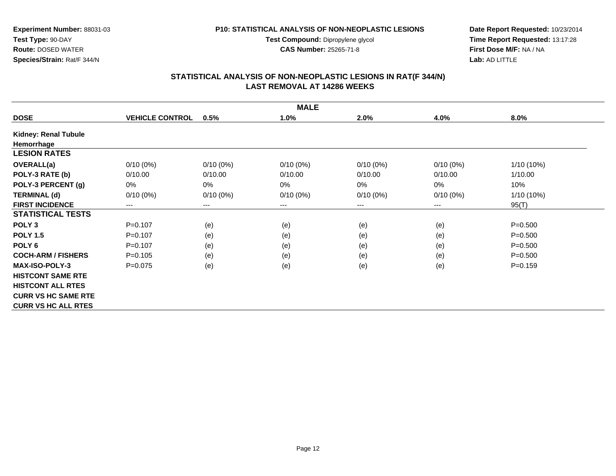**Test Compound:** Dipropylene glycol

**CAS Number:** 25265-71-8

**Date Report Requested:** 10/23/2014 **Time Report Requested:** 13:17:28**First Dose M/F:** NA / NA**Lab:** AD LITTLE

## **STATISTICAL ANALYSIS OF NON-NEOPLASTIC LESIONS IN RAT(F 344/N) LAST REMOVAL AT 14286 WEEKS**

| <b>MALE</b>                |                        |                        |             |             |             |             |  |  |
|----------------------------|------------------------|------------------------|-------------|-------------|-------------|-------------|--|--|
| <b>DOSE</b>                | <b>VEHICLE CONTROL</b> | 0.5%                   | 1.0%        | 2.0%        | 4.0%        | 8.0%        |  |  |
| Kidney: Renal Tubule       |                        |                        |             |             |             |             |  |  |
| Hemorrhage                 |                        |                        |             |             |             |             |  |  |
| <b>LESION RATES</b>        |                        |                        |             |             |             |             |  |  |
| <b>OVERALL(a)</b>          | $0/10(0\%)$            | $0/10(0\%)$            | $0/10(0\%)$ | $0/10(0\%)$ | $0/10(0\%)$ | 1/10 (10%)  |  |  |
| POLY-3 RATE (b)            | 0/10.00                | 0/10.00                | 0/10.00     | 0/10.00     | 0/10.00     | 1/10.00     |  |  |
| POLY-3 PERCENT (g)         | 0%                     | $0\%$                  | $0\%$       | 0%          | 0%          | 10%         |  |  |
| <b>TERMINAL (d)</b>        | $0/10(0\%)$            | $0/10(0\%)$            | $0/10(0\%)$ | $0/10(0\%)$ | $0/10(0\%)$ | 1/10 (10%)  |  |  |
| <b>FIRST INCIDENCE</b>     | $\qquad \qquad \cdots$ | $\qquad \qquad \cdots$ | ---         | ---         | ---         | 95(T)       |  |  |
| <b>STATISTICAL TESTS</b>   |                        |                        |             |             |             |             |  |  |
| POLY <sub>3</sub>          | $P=0.107$              | (e)                    | (e)         | (e)         | (e)         | $P = 0.500$ |  |  |
| <b>POLY 1.5</b>            | $P=0.107$              | (e)                    | (e)         | (e)         | (e)         | $P = 0.500$ |  |  |
| POLY <sub>6</sub>          | $P = 0.107$            | (e)                    | (e)         | (e)         | (e)         | $P = 0.500$ |  |  |
| <b>COCH-ARM / FISHERS</b>  | $P = 0.105$            | (e)                    | (e)         | (e)         | (e)         | $P = 0.500$ |  |  |
| <b>MAX-ISO-POLY-3</b>      | $P=0.075$              | (e)                    | (e)         | (e)         | (e)         | $P = 0.159$ |  |  |
| <b>HISTCONT SAME RTE</b>   |                        |                        |             |             |             |             |  |  |
| <b>HISTCONT ALL RTES</b>   |                        |                        |             |             |             |             |  |  |
| <b>CURR VS HC SAME RTE</b> |                        |                        |             |             |             |             |  |  |
| <b>CURR VS HC ALL RTES</b> |                        |                        |             |             |             |             |  |  |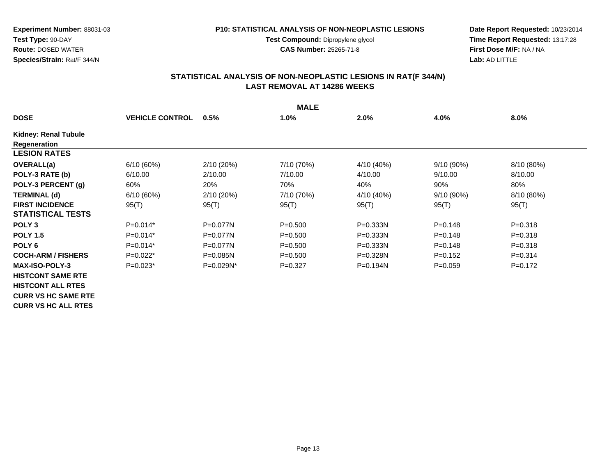#### **P10: STATISTICAL ANALYSIS OF NON-NEOPLASTIC LESIONS**

**Test Compound:** Dipropylene glycol **CAS Number:** 25265-71-8

**Date Report Requested:** 10/23/2014 **Time Report Requested:** 13:17:28**First Dose M/F:** NA / NA**Lab:** AD LITTLE

| <b>MALE</b>                |                        |              |             |              |              |             |  |  |
|----------------------------|------------------------|--------------|-------------|--------------|--------------|-------------|--|--|
| <b>DOSE</b>                | <b>VEHICLE CONTROL</b> | 0.5%         | 1.0%        | 2.0%         | 4.0%         | 8.0%        |  |  |
| Kidney: Renal Tubule       |                        |              |             |              |              |             |  |  |
| Regeneration               |                        |              |             |              |              |             |  |  |
| <b>LESION RATES</b>        |                        |              |             |              |              |             |  |  |
| <b>OVERALL(a)</b>          | 6/10(60%)              | 2/10(20%)    | 7/10 (70%)  | 4/10 (40%)   | 9/10(90%)    | 8/10 (80%)  |  |  |
| POLY-3 RATE (b)            | 6/10.00                | 2/10.00      | 7/10.00     | 4/10.00      | 9/10.00      | 8/10.00     |  |  |
| POLY-3 PERCENT (g)         | 60%                    | 20%          | 70%         | 40%          | 90%          | 80%         |  |  |
| <b>TERMINAL (d)</b>        | 6/10(60%)              | 2/10 (20%)   | 7/10 (70%)  | 4/10 (40%)   | $9/10(90\%)$ | 8/10 (80%)  |  |  |
| <b>FIRST INCIDENCE</b>     | 95(T)                  | 95(T)        | 95(T)       | 95(T)        | 95(T)        | 95(T)       |  |  |
| <b>STATISTICAL TESTS</b>   |                        |              |             |              |              |             |  |  |
| POLY <sub>3</sub>          | $P=0.014*$             | $P=0.077N$   | $P = 0.500$ | $P = 0.333N$ | $P = 0.148$  | $P = 0.318$ |  |  |
| <b>POLY 1.5</b>            | $P=0.014*$             | $P=0.077N$   | $P = 0.500$ | $P = 0.333N$ | $P=0.148$    | $P = 0.318$ |  |  |
| POLY <sub>6</sub>          | $P=0.014*$             | $P=0.077N$   | $P = 0.500$ | P=0.333N     | $P = 0.148$  | $P = 0.318$ |  |  |
| <b>COCH-ARM / FISHERS</b>  | $P=0.022*$             | $P=0.085N$   | $P = 0.500$ | $P = 0.328N$ | $P=0.152$    | $P = 0.314$ |  |  |
| <b>MAX-ISO-POLY-3</b>      | $P=0.023*$             | $P=0.029N^*$ | $P=0.327$   | $P = 0.194N$ | $P=0.059$    | $P=0.172$   |  |  |
| <b>HISTCONT SAME RTE</b>   |                        |              |             |              |              |             |  |  |
| <b>HISTCONT ALL RTES</b>   |                        |              |             |              |              |             |  |  |
| <b>CURR VS HC SAME RTE</b> |                        |              |             |              |              |             |  |  |
| <b>CURR VS HC ALL RTES</b> |                        |              |             |              |              |             |  |  |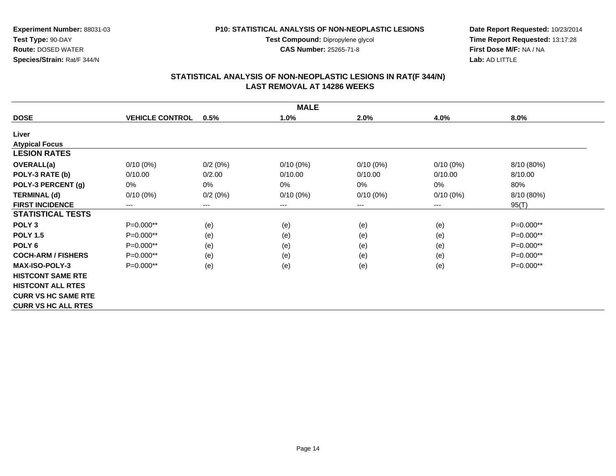**Test Compound:** Dipropylene glycol

**CAS Number:** 25265-71-8

**Date Report Requested:** 10/23/2014 **Time Report Requested:** 13:17:28**First Dose M/F:** NA / NA**Lab:** AD LITTLE

## **STATISTICAL ANALYSIS OF NON-NEOPLASTIC LESIONS IN RAT(F 344/N) LAST REMOVAL AT 14286 WEEKS**

|                            | <b>MALE</b>            |                        |             |             |                        |            |  |  |  |
|----------------------------|------------------------|------------------------|-------------|-------------|------------------------|------------|--|--|--|
| <b>DOSE</b>                | <b>VEHICLE CONTROL</b> | 0.5%                   | 1.0%        | 2.0%        | 4.0%                   | 8.0%       |  |  |  |
| Liver                      |                        |                        |             |             |                        |            |  |  |  |
| <b>Atypical Focus</b>      |                        |                        |             |             |                        |            |  |  |  |
| <b>LESION RATES</b>        |                        |                        |             |             |                        |            |  |  |  |
| <b>OVERALL(a)</b>          | $0/10(0\%)$            | 0/2(0%)                | $0/10(0\%)$ | $0/10(0\%)$ | $0/10(0\%)$            | 8/10 (80%) |  |  |  |
| POLY-3 RATE (b)            | 0/10.00                | 0/2.00                 | 0/10.00     | 0/10.00     | 0/10.00                | 8/10.00    |  |  |  |
| POLY-3 PERCENT (g)         | $0\%$                  | 0%                     | $0\%$       | 0%          | 0%                     | 80%        |  |  |  |
| <b>TERMINAL (d)</b>        | $0/10(0\%)$            | 0/2(0%)                | $0/10(0\%)$ | $0/10(0\%)$ | $0/10(0\%)$            | 8/10 (80%) |  |  |  |
| <b>FIRST INCIDENCE</b>     | ---                    | $\qquad \qquad \cdots$ | $--$        | ---         | $\qquad \qquad \cdots$ | 95(T)      |  |  |  |
| <b>STATISTICAL TESTS</b>   |                        |                        |             |             |                        |            |  |  |  |
| POLY <sub>3</sub>          | P=0.000**              | (e)                    | (e)         | (e)         | (e)                    | P=0.000**  |  |  |  |
| <b>POLY 1.5</b>            | $P=0.000**$            | (e)                    | (e)         | (e)         | (e)                    | P=0.000**  |  |  |  |
| POLY 6                     | P=0.000**              | (e)                    | (e)         | (e)         | (e)                    | P=0.000**  |  |  |  |
| <b>COCH-ARM / FISHERS</b>  | $P=0.000**$            | (e)                    | (e)         | (e)         | (e)                    | P=0.000**  |  |  |  |
| <b>MAX-ISO-POLY-3</b>      | P=0.000**              | (e)                    | (e)         | (e)         | (e)                    | P=0.000**  |  |  |  |
| <b>HISTCONT SAME RTE</b>   |                        |                        |             |             |                        |            |  |  |  |
| <b>HISTCONT ALL RTES</b>   |                        |                        |             |             |                        |            |  |  |  |
| <b>CURR VS HC SAME RTE</b> |                        |                        |             |             |                        |            |  |  |  |
| <b>CURR VS HC ALL RTES</b> |                        |                        |             |             |                        |            |  |  |  |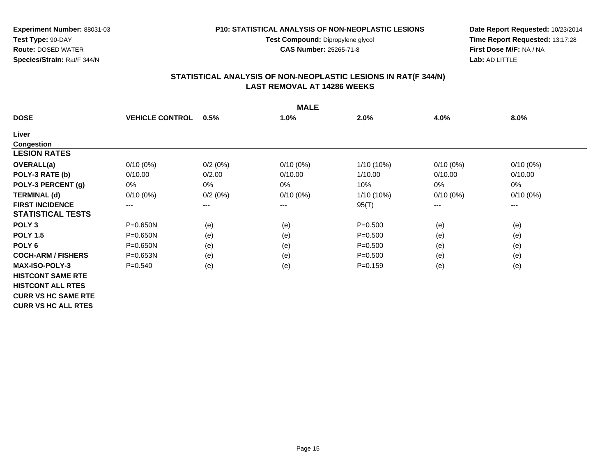**Test Compound:** Dipropylene glycol

**CAS Number:** 25265-71-8

**Date Report Requested:** 10/23/2014 **Time Report Requested:** 13:17:28**First Dose M/F:** NA / NA**Lab:** AD LITTLE

## **STATISTICAL ANALYSIS OF NON-NEOPLASTIC LESIONS IN RAT(F 344/N) LAST REMOVAL AT 14286 WEEKS**

|                            |                        |                        | <b>MALE</b> |              |                        |             |
|----------------------------|------------------------|------------------------|-------------|--------------|------------------------|-------------|
| <b>DOSE</b>                | <b>VEHICLE CONTROL</b> | 0.5%                   | 1.0%        | 2.0%         | 4.0%                   | 8.0%        |
| Liver                      |                        |                        |             |              |                        |             |
| <b>Congestion</b>          |                        |                        |             |              |                        |             |
| <b>LESION RATES</b>        |                        |                        |             |              |                        |             |
| OVERALL(a)                 | $0/10(0\%)$            | 0/2(0%)                | $0/10(0\%)$ | 1/10 (10%)   | $0/10(0\%)$            | $0/10(0\%)$ |
| POLY-3 RATE (b)            | 0/10.00                | 0/2.00                 | 0/10.00     | 1/10.00      | 0/10.00                | 0/10.00     |
| POLY-3 PERCENT (g)         | 0%                     | 0%                     | 0%          | 10%          | 0%                     | 0%          |
| <b>TERMINAL (d)</b>        | $0/10(0\%)$            | 0/2(0%)                | $0/10(0\%)$ | $1/10(10\%)$ | $0/10(0\%)$            | $0/10(0\%)$ |
| <b>FIRST INCIDENCE</b>     | $\qquad \qquad \cdots$ | $\qquad \qquad \cdots$ | ---         | 95(T)        | $\qquad \qquad \cdots$ | ---         |
| <b>STATISTICAL TESTS</b>   |                        |                        |             |              |                        |             |
| POLY <sub>3</sub>          | $P = 0.650N$           | (e)                    | (e)         | $P = 0.500$  | (e)                    | (e)         |
| <b>POLY 1.5</b>            | $P = 0.650N$           | (e)                    | (e)         | $P = 0.500$  | (e)                    | (e)         |
| POLY <sub>6</sub>          | $P = 0.650N$           | (e)                    | (e)         | $P = 0.500$  | (e)                    | (e)         |
| <b>COCH-ARM / FISHERS</b>  | $P = 0.653N$           | (e)                    | (e)         | $P = 0.500$  | (e)                    | (e)         |
| <b>MAX-ISO-POLY-3</b>      | $P = 0.540$            | (e)                    | (e)         | $P = 0.159$  | (e)                    | (e)         |
| <b>HISTCONT SAME RTE</b>   |                        |                        |             |              |                        |             |
| <b>HISTCONT ALL RTES</b>   |                        |                        |             |              |                        |             |
| <b>CURR VS HC SAME RTE</b> |                        |                        |             |              |                        |             |
| <b>CURR VS HC ALL RTES</b> |                        |                        |             |              |                        |             |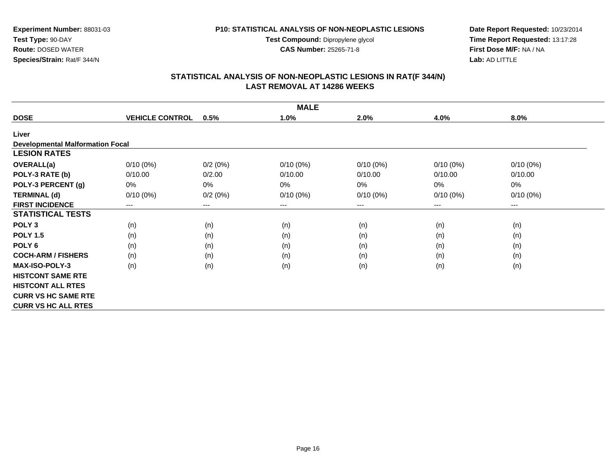**Test Compound:** Dipropylene glycol

**CAS Number:** 25265-71-8

**Date Report Requested:** 10/23/2014 **Time Report Requested:** 13:17:28**First Dose M/F:** NA / NA**Lab:** AD LITTLE

## **STATISTICAL ANALYSIS OF NON-NEOPLASTIC LESIONS IN RAT(F 344/N) LAST REMOVAL AT 14286 WEEKS**

|                                         |                        |         | <b>MALE</b> |             |             |             |
|-----------------------------------------|------------------------|---------|-------------|-------------|-------------|-------------|
| <b>DOSE</b>                             | <b>VEHICLE CONTROL</b> | 0.5%    | 1.0%        | 2.0%        | 4.0%        | 8.0%        |
| Liver                                   |                        |         |             |             |             |             |
| <b>Developmental Malformation Focal</b> |                        |         |             |             |             |             |
| <b>LESION RATES</b>                     |                        |         |             |             |             |             |
| <b>OVERALL(a)</b>                       | $0/10(0\%)$            | 0/2(0%) | $0/10(0\%)$ | $0/10(0\%)$ | $0/10(0\%)$ | $0/10(0\%)$ |
| POLY-3 RATE (b)                         | 0/10.00                | 0/2.00  | 0/10.00     | 0/10.00     | 0/10.00     | 0/10.00     |
| POLY-3 PERCENT (g)                      | 0%                     | 0%      | 0%          | 0%          | 0%          | 0%          |
| <b>TERMINAL (d)</b>                     | $0/10(0\%)$            | 0/2(0%) | $0/10(0\%)$ | $0/10(0\%)$ | $0/10(0\%)$ | $0/10(0\%)$ |
| <b>FIRST INCIDENCE</b>                  | ---                    | ---     | ---         | ---         | $--$        | ---         |
| <b>STATISTICAL TESTS</b>                |                        |         |             |             |             |             |
| POLY <sub>3</sub>                       | (n)                    | (n)     | (n)         | (n)         | (n)         | (n)         |
| <b>POLY 1.5</b>                         | (n)                    | (n)     | (n)         | (n)         | (n)         | (n)         |
| POLY <sub>6</sub>                       | (n)                    | (n)     | (n)         | (n)         | (n)         | (n)         |
| <b>COCH-ARM / FISHERS</b>               | (n)                    | (n)     | (n)         | (n)         | (n)         | (n)         |
| <b>MAX-ISO-POLY-3</b>                   | (n)                    | (n)     | (n)         | (n)         | (n)         | (n)         |
| <b>HISTCONT SAME RTE</b>                |                        |         |             |             |             |             |
| <b>HISTCONT ALL RTES</b>                |                        |         |             |             |             |             |
| <b>CURR VS HC SAME RTE</b>              |                        |         |             |             |             |             |
| <b>CURR VS HC ALL RTES</b>              |                        |         |             |             |             |             |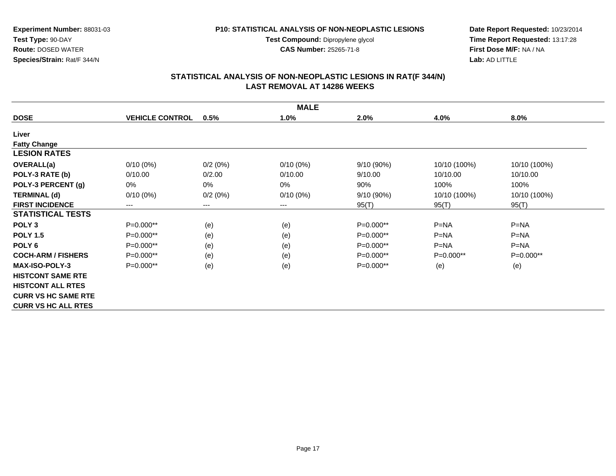**Test Compound:** Dipropylene glycol

**CAS Number:** 25265-71-8

**Date Report Requested:** 10/23/2014 **Time Report Requested:** 13:17:28**First Dose M/F:** NA / NA**Lab:** AD LITTLE

## **STATISTICAL ANALYSIS OF NON-NEOPLASTIC LESIONS IN RAT(F 344/N) LAST REMOVAL AT 14286 WEEKS**

| <b>MALE</b>                |                        |         |             |             |              |              |  |  |
|----------------------------|------------------------|---------|-------------|-------------|--------------|--------------|--|--|
| <b>DOSE</b>                | <b>VEHICLE CONTROL</b> | 0.5%    | 1.0%        | 2.0%        | 4.0%         | 8.0%         |  |  |
| Liver                      |                        |         |             |             |              |              |  |  |
| <b>Fatty Change</b>        |                        |         |             |             |              |              |  |  |
| <b>LESION RATES</b>        |                        |         |             |             |              |              |  |  |
| <b>OVERALL(a)</b>          | $0/10(0\%)$            | 0/2(0%) | $0/10(0\%)$ | 9/10(90%)   | 10/10 (100%) | 10/10 (100%) |  |  |
| POLY-3 RATE (b)            | 0/10.00                | 0/2.00  | 0/10.00     | 9/10.00     | 10/10.00     | 10/10.00     |  |  |
| POLY-3 PERCENT (g)         | 0%                     | 0%      | 0%          | 90%         | 100%         | 100%         |  |  |
| <b>TERMINAL (d)</b>        | $0/10(0\%)$            | 0/2(0%) | $0/10(0\%)$ | 9/10(90%)   | 10/10 (100%) | 10/10 (100%) |  |  |
| <b>FIRST INCIDENCE</b>     | $\qquad \qquad \cdots$ | $--$    | ---         | 95(T)       | 95(T)        | 95(T)        |  |  |
| <b>STATISTICAL TESTS</b>   |                        |         |             |             |              |              |  |  |
| POLY <sub>3</sub>          | P=0.000**              | (e)     | (e)         | $P=0.000**$ | $P=NA$       | $P=NA$       |  |  |
| <b>POLY 1.5</b>            | P=0.000**              | (e)     | (e)         | P=0.000**   | $P = NA$     | $P = NA$     |  |  |
| POLY <sub>6</sub>          | P=0.000**              | (e)     | (e)         | P=0.000**   | $P=NA$       | $P=NA$       |  |  |
| <b>COCH-ARM / FISHERS</b>  | $P=0.000**$            | (e)     | (e)         | $P=0.000**$ | $P=0.000**$  | $P=0.000**$  |  |  |
| <b>MAX-ISO-POLY-3</b>      | P=0.000**              | (e)     | (e)         | $P=0.000**$ | (e)          | (e)          |  |  |
| <b>HISTCONT SAME RTE</b>   |                        |         |             |             |              |              |  |  |
| <b>HISTCONT ALL RTES</b>   |                        |         |             |             |              |              |  |  |
| <b>CURR VS HC SAME RTE</b> |                        |         |             |             |              |              |  |  |
| <b>CURR VS HC ALL RTES</b> |                        |         |             |             |              |              |  |  |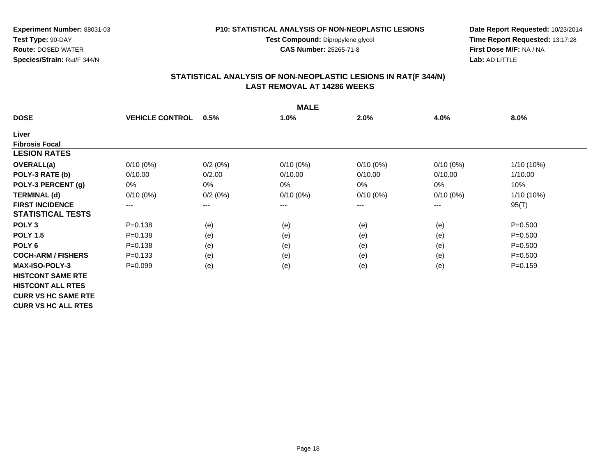**Test Compound:** Dipropylene glycol

**CAS Number:** 25265-71-8

**Date Report Requested:** 10/23/2014 **Time Report Requested:** 13:17:28**First Dose M/F:** NA / NA**Lab:** AD LITTLE

## **STATISTICAL ANALYSIS OF NON-NEOPLASTIC LESIONS IN RAT(F 344/N) LAST REMOVAL AT 14286 WEEKS**

| <b>MALE</b>                |                        |         |             |             |             |             |  |  |
|----------------------------|------------------------|---------|-------------|-------------|-------------|-------------|--|--|
| <b>DOSE</b>                | <b>VEHICLE CONTROL</b> | 0.5%    | 1.0%        | 2.0%        | 4.0%        | 8.0%        |  |  |
| Liver                      |                        |         |             |             |             |             |  |  |
| <b>Fibrosis Focal</b>      |                        |         |             |             |             |             |  |  |
| <b>LESION RATES</b>        |                        |         |             |             |             |             |  |  |
| <b>OVERALL(a)</b>          | $0/10(0\%)$            | 0/2(0%) | $0/10(0\%)$ | $0/10(0\%)$ | $0/10(0\%)$ | 1/10 (10%)  |  |  |
| POLY-3 RATE (b)            | 0/10.00                | 0/2.00  | 0/10.00     | 0/10.00     | 0/10.00     | 1/10.00     |  |  |
| POLY-3 PERCENT (g)         | 0%                     | $0\%$   | $0\%$       | 0%          | 0%          | 10%         |  |  |
| <b>TERMINAL (d)</b>        | $0/10(0\%)$            | 0/2(0%) | $0/10(0\%)$ | $0/10(0\%)$ | $0/10(0\%)$ | 1/10 (10%)  |  |  |
| <b>FIRST INCIDENCE</b>     | $---$                  | $---$   | ---         | ---         | ---         | 95(T)       |  |  |
| <b>STATISTICAL TESTS</b>   |                        |         |             |             |             |             |  |  |
| POLY <sub>3</sub>          | $P = 0.138$            | (e)     | (e)         | (e)         | (e)         | $P = 0.500$ |  |  |
| <b>POLY 1.5</b>            | $P = 0.138$            | (e)     | (e)         | (e)         | (e)         | $P = 0.500$ |  |  |
| POLY <sub>6</sub>          | $P = 0.138$            | (e)     | (e)         | (e)         | (e)         | $P = 0.500$ |  |  |
| <b>COCH-ARM / FISHERS</b>  | $P = 0.133$            | (e)     | (e)         | (e)         | (e)         | $P = 0.500$ |  |  |
| <b>MAX-ISO-POLY-3</b>      | $P=0.099$              | (e)     | (e)         | (e)         | (e)         | $P = 0.159$ |  |  |
| <b>HISTCONT SAME RTE</b>   |                        |         |             |             |             |             |  |  |
| <b>HISTCONT ALL RTES</b>   |                        |         |             |             |             |             |  |  |
| <b>CURR VS HC SAME RTE</b> |                        |         |             |             |             |             |  |  |
| <b>CURR VS HC ALL RTES</b> |                        |         |             |             |             |             |  |  |

Page 18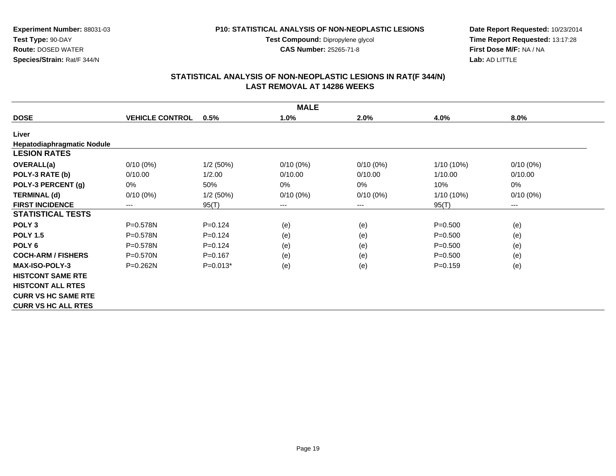**Test Compound:** Dipropylene glycol

**CAS Number:** 25265-71-8

**Date Report Requested:** 10/23/2014 **Time Report Requested:** 13:17:28**First Dose M/F:** NA / NA**Lab:** AD LITTLE

## **STATISTICAL ANALYSIS OF NON-NEOPLASTIC LESIONS IN RAT(F 344/N) LAST REMOVAL AT 14286 WEEKS**

| <b>MALE</b>                       |                        |             |             |             |             |             |  |  |
|-----------------------------------|------------------------|-------------|-------------|-------------|-------------|-------------|--|--|
| <b>DOSE</b>                       | <b>VEHICLE CONTROL</b> | 0.5%        | 1.0%        | 2.0%        | 4.0%        | 8.0%        |  |  |
| Liver                             |                        |             |             |             |             |             |  |  |
| <b>Hepatodiaphragmatic Nodule</b> |                        |             |             |             |             |             |  |  |
| <b>LESION RATES</b>               |                        |             |             |             |             |             |  |  |
| <b>OVERALL(a)</b>                 | $0/10(0\%)$            | $1/2$ (50%) | $0/10(0\%)$ | $0/10(0\%)$ | 1/10 (10%)  | $0/10(0\%)$ |  |  |
| POLY-3 RATE (b)                   | 0/10.00                | 1/2.00      | 0/10.00     | 0/10.00     | 1/10.00     | 0/10.00     |  |  |
| POLY-3 PERCENT (g)                | 0%                     | 50%         | $0\%$       | $0\%$       | 10%         | 0%          |  |  |
| <b>TERMINAL (d)</b>               | $0/10(0\%)$            | $1/2$ (50%) | $0/10(0\%)$ | $0/10(0\%)$ | 1/10 (10%)  | $0/10(0\%)$ |  |  |
| <b>FIRST INCIDENCE</b>            | $\cdots$               | 95(T)       | ---         | $---$       | 95(T)       | ---         |  |  |
| <b>STATISTICAL TESTS</b>          |                        |             |             |             |             |             |  |  |
| POLY <sub>3</sub>                 | P=0.578N               | $P=0.124$   | (e)         | (e)         | $P = 0.500$ | (e)         |  |  |
| <b>POLY 1.5</b>                   | P=0.578N               | $P=0.124$   | (e)         | (e)         | $P = 0.500$ | (e)         |  |  |
| POLY <sub>6</sub>                 | $P = 0.578N$           | $P = 0.124$ | (e)         | (e)         | $P = 0.500$ | (e)         |  |  |
| <b>COCH-ARM / FISHERS</b>         | $P = 0.570N$           | $P = 0.167$ | (e)         | (e)         | $P = 0.500$ | (e)         |  |  |
| <b>MAX-ISO-POLY-3</b>             | $P = 0.262N$           | $P=0.013*$  | (e)         | (e)         | $P = 0.159$ | (e)         |  |  |
| <b>HISTCONT SAME RTE</b>          |                        |             |             |             |             |             |  |  |
| <b>HISTCONT ALL RTES</b>          |                        |             |             |             |             |             |  |  |
| <b>CURR VS HC SAME RTE</b>        |                        |             |             |             |             |             |  |  |
| <b>CURR VS HC ALL RTES</b>        |                        |             |             |             |             |             |  |  |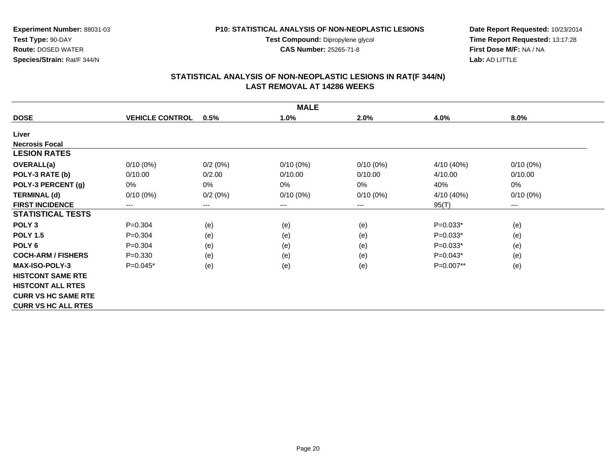**Test Compound:** Dipropylene glycol

**CAS Number:** 25265-71-8

**Date Report Requested:** 10/23/2014 **Time Report Requested:** 13:17:28**First Dose M/F:** NA / NA**Lab:** AD LITTLE

## **STATISTICAL ANALYSIS OF NON-NEOPLASTIC LESIONS IN RAT(F 344/N) LAST REMOVAL AT 14286 WEEKS**

| <b>MALE</b>                |                            |         |             |             |            |             |  |  |
|----------------------------|----------------------------|---------|-------------|-------------|------------|-------------|--|--|
| <b>DOSE</b>                | <b>VEHICLE CONTROL</b>     | 0.5%    | 1.0%        | 2.0%        | 4.0%       | 8.0%        |  |  |
| Liver                      |                            |         |             |             |            |             |  |  |
| <b>Necrosis Focal</b>      |                            |         |             |             |            |             |  |  |
| <b>LESION RATES</b>        |                            |         |             |             |            |             |  |  |
| <b>OVERALL(a)</b>          | $0/10(0\%)$                | 0/2(0%) | $0/10(0\%)$ | $0/10(0\%)$ | 4/10 (40%) | $0/10(0\%)$ |  |  |
| POLY-3 RATE (b)            | 0/10.00                    | 0/2.00  | 0/10.00     | 0/10.00     | 4/10.00    | 0/10.00     |  |  |
| POLY-3 PERCENT (g)         | 0%                         | 0%      | 0%          | 0%          | 40%        | 0%          |  |  |
| <b>TERMINAL (d)</b>        | $0/10(0\%)$                | 0/2(0%) | $0/10(0\%)$ | $0/10(0\%)$ | 4/10 (40%) | $0/10(0\%)$ |  |  |
| <b>FIRST INCIDENCE</b>     | $\qquad \qquad - \qquad -$ | $---$   | ---         | ---         | 95(T)      | ---         |  |  |
| <b>STATISTICAL TESTS</b>   |                            |         |             |             |            |             |  |  |
| POLY <sub>3</sub>          | $P=0.304$                  | (e)     | (e)         | (e)         | $P=0.033*$ | (e)         |  |  |
| <b>POLY 1.5</b>            | $P=0.304$                  | (e)     | (e)         | (e)         | $P=0.033*$ | (e)         |  |  |
| POLY <sub>6</sub>          | $P=0.304$                  | (e)     | (e)         | (e)         | $P=0.033*$ | (e)         |  |  |
| <b>COCH-ARM / FISHERS</b>  | $P = 0.330$                | (e)     | (e)         | (e)         | $P=0.043*$ | (e)         |  |  |
| <b>MAX-ISO-POLY-3</b>      | $P=0.045*$                 | (e)     | (e)         | (e)         | P=0.007**  | (e)         |  |  |
| <b>HISTCONT SAME RTE</b>   |                            |         |             |             |            |             |  |  |
| <b>HISTCONT ALL RTES</b>   |                            |         |             |             |            |             |  |  |
| <b>CURR VS HC SAME RTE</b> |                            |         |             |             |            |             |  |  |
| <b>CURR VS HC ALL RTES</b> |                            |         |             |             |            |             |  |  |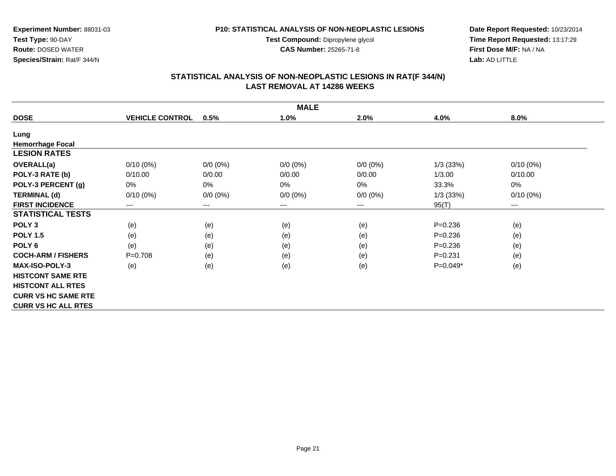**Test Compound:** Dipropylene glycol

**CAS Number:** 25265-71-8

**Date Report Requested:** 10/23/2014 **Time Report Requested:** 13:17:29**First Dose M/F:** NA / NA**Lab:** AD LITTLE

## **STATISTICAL ANALYSIS OF NON-NEOPLASTIC LESIONS IN RAT(F 344/N) LAST REMOVAL AT 14286 WEEKS**

|                            | <b>MALE</b>            |             |             |             |             |             |  |  |  |
|----------------------------|------------------------|-------------|-------------|-------------|-------------|-------------|--|--|--|
| <b>DOSE</b>                | <b>VEHICLE CONTROL</b> | 0.5%        | 1.0%        | 2.0%        | 4.0%        | 8.0%        |  |  |  |
| Lung                       |                        |             |             |             |             |             |  |  |  |
| <b>Hemorrhage Focal</b>    |                        |             |             |             |             |             |  |  |  |
| <b>LESION RATES</b>        |                        |             |             |             |             |             |  |  |  |
| <b>OVERALL(a)</b>          | $0/10(0\%)$            | $0/0 (0\%)$ | $0/0 (0\%)$ | $0/0 (0\%)$ | 1/3(33%)    | $0/10(0\%)$ |  |  |  |
| POLY-3 RATE (b)            | 0/10.00                | 0/0.00      | 0/0.00      | 0/0.00      | 1/3.00      | 0/10.00     |  |  |  |
| POLY-3 PERCENT (g)         | 0%                     | 0%          | 0%          | $0\%$       | 33.3%       | 0%          |  |  |  |
| <b>TERMINAL (d)</b>        | $0/10(0\%)$            | $0/0 (0\%)$ | $0/0 (0\%)$ | $0/0 (0\%)$ | 1/3(33%)    | $0/10(0\%)$ |  |  |  |
| <b>FIRST INCIDENCE</b>     | ---                    | $---$       | ---         | $---$       | 95(T)       | $---$       |  |  |  |
| <b>STATISTICAL TESTS</b>   |                        |             |             |             |             |             |  |  |  |
| POLY <sub>3</sub>          | (e)                    | (e)         | (e)         | (e)         | $P = 0.236$ | (e)         |  |  |  |
| <b>POLY 1.5</b>            | (e)                    | (e)         | (e)         | (e)         | $P = 0.236$ | (e)         |  |  |  |
| POLY <sub>6</sub>          | (e)                    | (e)         | (e)         | (e)         | $P = 0.236$ | (e)         |  |  |  |
| <b>COCH-ARM / FISHERS</b>  | $P=0.708$              | (e)         | (e)         | (e)         | $P = 0.231$ | (e)         |  |  |  |
| <b>MAX-ISO-POLY-3</b>      | (e)                    | (e)         | (e)         | (e)         | $P=0.049*$  | (e)         |  |  |  |
| <b>HISTCONT SAME RTE</b>   |                        |             |             |             |             |             |  |  |  |
| <b>HISTCONT ALL RTES</b>   |                        |             |             |             |             |             |  |  |  |
| <b>CURR VS HC SAME RTE</b> |                        |             |             |             |             |             |  |  |  |
| <b>CURR VS HC ALL RTES</b> |                        |             |             |             |             |             |  |  |  |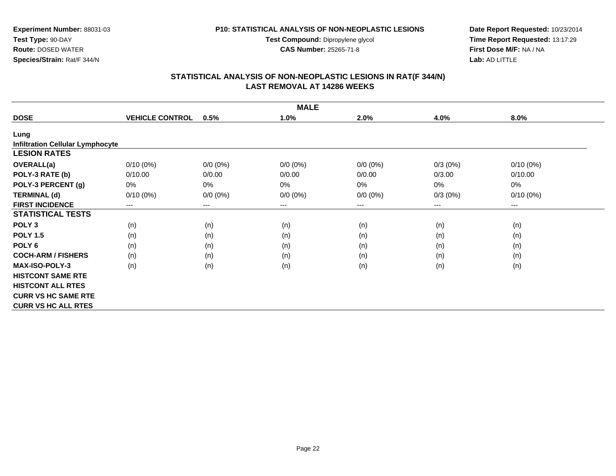**Test Compound:** Dipropylene glycol

**CAS Number:** 25265-71-8

**Date Report Requested:** 10/23/2014 **Time Report Requested:** 13:17:29**First Dose M/F:** NA / NA**Lab:** AD LITTLE

|                                         |                        |             | <b>MALE</b> |             |            |                      |
|-----------------------------------------|------------------------|-------------|-------------|-------------|------------|----------------------|
| <b>DOSE</b>                             | <b>VEHICLE CONTROL</b> | 0.5%        | 1.0%        | 2.0%        | 4.0%       | 8.0%                 |
| Lung                                    |                        |             |             |             |            |                      |
| <b>Infiltration Cellular Lymphocyte</b> |                        |             |             |             |            |                      |
| <b>LESION RATES</b>                     |                        |             |             |             |            |                      |
| OVERALL(a)                              | $0/10(0\%)$            | $0/0 (0\%)$ | $0/0 (0\%)$ | $0/0 (0\%)$ | $0/3(0\%)$ | $0/10(0\%)$          |
| POLY-3 RATE (b)                         | 0/10.00                | 0/0.00      | 0/0.00      | 0/0.00      | 0/3.00     | 0/10.00              |
| POLY-3 PERCENT (g)                      | 0%                     | 0%          | 0%          | 0%          | 0%         | 0%                   |
| <b>TERMINAL (d)</b>                     | $0/10(0\%)$            | $0/0 (0\%)$ | $0/0 (0\%)$ | $0/0 (0\%)$ | 0/3(0%)    | $0/10(0\%)$          |
| <b>FIRST INCIDENCE</b>                  | $\qquad \qquad \cdots$ | $---$       | ---         | ---         | ---        | $\scriptstyle\cdots$ |
| <b>STATISTICAL TESTS</b>                |                        |             |             |             |            |                      |
| POLY <sub>3</sub>                       | (n)                    | (n)         | (n)         | (n)         | (n)        | (n)                  |
| <b>POLY 1.5</b>                         | (n)                    | (n)         | (n)         | (n)         | (n)        | (n)                  |
| POLY <sub>6</sub>                       | (n)                    | (n)         | (n)         | (n)         | (n)        | (n)                  |
| <b>COCH-ARM / FISHERS</b>               | (n)                    | (n)         | (n)         | (n)         | (n)        | (n)                  |
| <b>MAX-ISO-POLY-3</b>                   | (n)                    | (n)         | (n)         | (n)         | (n)        | (n)                  |
| <b>HISTCONT SAME RTE</b>                |                        |             |             |             |            |                      |
| <b>HISTCONT ALL RTES</b>                |                        |             |             |             |            |                      |
| <b>CURR VS HC SAME RTE</b>              |                        |             |             |             |            |                      |
| <b>CURR VS HC ALL RTES</b>              |                        |             |             |             |            |                      |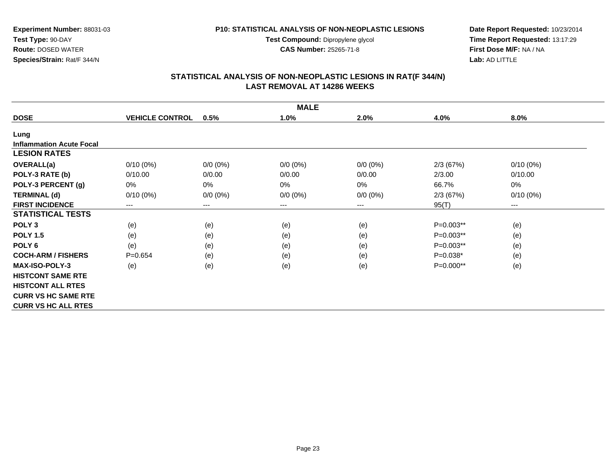**Test Compound:** Dipropylene glycol

**CAS Number:** 25265-71-8

**Date Report Requested:** 10/23/2014 **Time Report Requested:** 13:17:29**First Dose M/F:** NA / NA**Lab:** AD LITTLE

#### **STATISTICAL ANALYSIS OF NON-NEOPLASTIC LESIONS IN RAT(F 344/N) LAST REMOVAL AT 14286 WEEKS**

|                                 | <b>MALE</b>            |             |             |             |             |                        |  |  |  |
|---------------------------------|------------------------|-------------|-------------|-------------|-------------|------------------------|--|--|--|
| <b>DOSE</b>                     | <b>VEHICLE CONTROL</b> | 0.5%        | 1.0%        | 2.0%        | 4.0%        | 8.0%                   |  |  |  |
| Lung                            |                        |             |             |             |             |                        |  |  |  |
| <b>Inflammation Acute Focal</b> |                        |             |             |             |             |                        |  |  |  |
| <b>LESION RATES</b>             |                        |             |             |             |             |                        |  |  |  |
| <b>OVERALL(a)</b>               | $0/10(0\%)$            | $0/0 (0\%)$ | $0/0 (0\%)$ | $0/0 (0\%)$ | 2/3(67%)    | $0/10(0\%)$            |  |  |  |
| POLY-3 RATE (b)                 | 0/10.00                | 0/0.00      | 0/0.00      | 0/0.00      | 2/3.00      | 0/10.00                |  |  |  |
| POLY-3 PERCENT (g)              | 0%                     | $0\%$       | 0%          | 0%          | 66.7%       | 0%                     |  |  |  |
| <b>TERMINAL (d)</b>             | $0/10(0\%)$            | $0/0 (0\%)$ | $0/0 (0\%)$ | $0/0 (0\%)$ | 2/3(67%)    | $0/10(0\%)$            |  |  |  |
| <b>FIRST INCIDENCE</b>          | $---$                  | $---$       | ---         | ---         | 95(T)       | $\qquad \qquad \cdots$ |  |  |  |
| <b>STATISTICAL TESTS</b>        |                        |             |             |             |             |                        |  |  |  |
| POLY <sub>3</sub>               | (e)                    | (e)         | (e)         | (e)         | P=0.003**   | (e)                    |  |  |  |
| <b>POLY 1.5</b>                 | (e)                    | (e)         | (e)         | (e)         | $P=0.003**$ | (e)                    |  |  |  |
| POLY <sub>6</sub>               | (e)                    | (e)         | (e)         | (e)         | P=0.003**   | (e)                    |  |  |  |
| <b>COCH-ARM / FISHERS</b>       | $P=0.654$              | (e)         | (e)         | (e)         | $P=0.038*$  | (e)                    |  |  |  |
| <b>MAX-ISO-POLY-3</b>           | (e)                    | (e)         | (e)         | (e)         | P=0.000**   | (e)                    |  |  |  |
| <b>HISTCONT SAME RTE</b>        |                        |             |             |             |             |                        |  |  |  |
| <b>HISTCONT ALL RTES</b>        |                        |             |             |             |             |                        |  |  |  |
| <b>CURR VS HC SAME RTE</b>      |                        |             |             |             |             |                        |  |  |  |
| <b>CURR VS HC ALL RTES</b>      |                        |             |             |             |             |                        |  |  |  |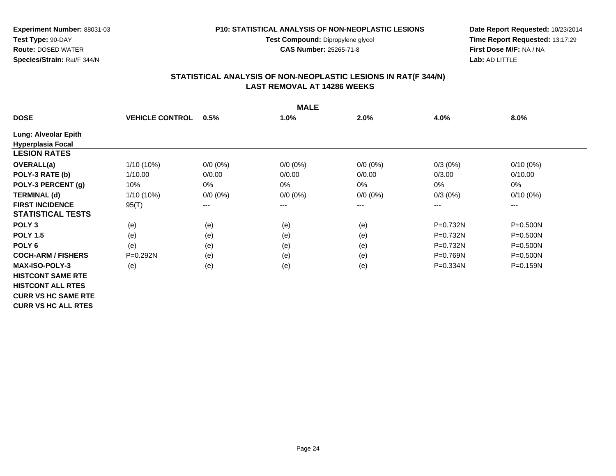**Test Compound:** Dipropylene glycol

**CAS Number:** 25265-71-8

**Date Report Requested:** 10/23/2014 **Time Report Requested:** 13:17:29**First Dose M/F:** NA / NA**Lab:** AD LITTLE

## **STATISTICAL ANALYSIS OF NON-NEOPLASTIC LESIONS IN RAT(F 344/N) LAST REMOVAL AT 14286 WEEKS**

| <b>MALE</b>                 |                        |             |                        |             |            |                        |  |  |
|-----------------------------|------------------------|-------------|------------------------|-------------|------------|------------------------|--|--|
| <b>DOSE</b>                 | <b>VEHICLE CONTROL</b> | 0.5%        | 1.0%                   | 2.0%        | 4.0%       | $8.0\%$                |  |  |
| <b>Lung: Alveolar Epith</b> |                        |             |                        |             |            |                        |  |  |
| <b>Hyperplasia Focal</b>    |                        |             |                        |             |            |                        |  |  |
| <b>LESION RATES</b>         |                        |             |                        |             |            |                        |  |  |
| <b>OVERALL(a)</b>           | 1/10 (10%)             | $0/0 (0\%)$ | $0/0 (0\%)$            | $0/0 (0\%)$ | $0/3(0\%)$ | $0/10(0\%)$            |  |  |
| POLY-3 RATE (b)             | 1/10.00                | 0/0.00      | 0/0.00                 | 0/0.00      | 0/3.00     | 0/10.00                |  |  |
| POLY-3 PERCENT (g)          | 10%                    | 0%          | $0\%$                  | 0%          | $0\%$      | 0%                     |  |  |
| <b>TERMINAL (d)</b>         | 1/10 (10%)             | $0/0 (0\%)$ | $0/0 (0\%)$            | $0/0 (0\%)$ | $0/3(0\%)$ | $0/10(0\%)$            |  |  |
| <b>FIRST INCIDENCE</b>      | 95(T)                  | $---$       | $\qquad \qquad \cdots$ | ---         | ---        | $\qquad \qquad \cdots$ |  |  |
| <b>STATISTICAL TESTS</b>    |                        |             |                        |             |            |                        |  |  |
| POLY <sub>3</sub>           | (e)                    | (e)         | (e)                    | (e)         | P=0.732N   | $P = 0.500N$           |  |  |
| <b>POLY 1.5</b>             | (e)                    | (e)         | (e)                    | (e)         | $P=0.732N$ | $P = 0.500N$           |  |  |
| POLY <sub>6</sub>           | (e)                    | (e)         | (e)                    | (e)         | P=0.732N   | $P = 0.500N$           |  |  |
| <b>COCH-ARM / FISHERS</b>   | P=0.292N               | (e)         | (e)                    | (e)         | $P=0.769N$ | $P = 0.500N$           |  |  |
| <b>MAX-ISO-POLY-3</b>       | (e)                    | (e)         | (e)                    | (e)         | P=0.334N   | P=0.159N               |  |  |
| <b>HISTCONT SAME RTE</b>    |                        |             |                        |             |            |                        |  |  |
| <b>HISTCONT ALL RTES</b>    |                        |             |                        |             |            |                        |  |  |
| <b>CURR VS HC SAME RTE</b>  |                        |             |                        |             |            |                        |  |  |
| <b>CURR VS HC ALL RTES</b>  |                        |             |                        |             |            |                        |  |  |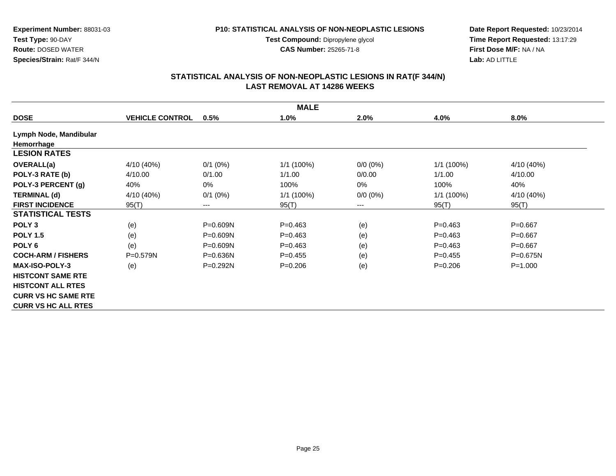#### **P10: STATISTICAL ANALYSIS OF NON-NEOPLASTIC LESIONS**

**Test Compound:** Dipropylene glycol **CAS Number:** 25265-71-8

**Date Report Requested:** 10/23/2014 **Time Report Requested:** 13:17:29**First Dose M/F:** NA / NA**Lab:** AD LITTLE

| <b>MALE</b>                |                        |              |            |             |              |              |  |  |
|----------------------------|------------------------|--------------|------------|-------------|--------------|--------------|--|--|
| <b>DOSE</b>                | <b>VEHICLE CONTROL</b> | 0.5%         | 1.0%       | 2.0%        | 4.0%         | 8.0%         |  |  |
| Lymph Node, Mandibular     |                        |              |            |             |              |              |  |  |
| Hemorrhage                 |                        |              |            |             |              |              |  |  |
| <b>LESION RATES</b>        |                        |              |            |             |              |              |  |  |
| OVERALL(a)                 | 4/10 (40%)             | $0/1$ (0%)   | 1/1(100%)  | $0/0 (0\%)$ | 1/1 (100%)   | 4/10 (40%)   |  |  |
| POLY-3 RATE (b)            | 4/10.00                | 0/1.00       | 1/1.00     | 0/0.00      | 1/1.00       | 4/10.00      |  |  |
| POLY-3 PERCENT (g)         | 40%                    | $0\%$        | 100%       | 0%          | 100%         | 40%          |  |  |
| <b>TERMINAL (d)</b>        | 4/10 (40%)             | $0/1$ (0%)   | 1/1 (100%) | $0/0 (0\%)$ | $1/1(100\%)$ | 4/10 (40%)   |  |  |
| <b>FIRST INCIDENCE</b>     | 95(T)                  | $--$         | 95(T)      | ---         | 95(T)        | 95(T)        |  |  |
| <b>STATISTICAL TESTS</b>   |                        |              |            |             |              |              |  |  |
| POLY <sub>3</sub>          | (e)                    | $P = 0.609N$ | $P=0.463$  | (e)         | $P=0.463$    | $P = 0.667$  |  |  |
| <b>POLY 1.5</b>            | (e)                    | $P = 0.609N$ | $P=0.463$  | (e)         | $P=0.463$    | $P=0.667$    |  |  |
| POLY <sub>6</sub>          | (e)                    | P=0.609N     | $P=0.463$  | (e)         | $P=0.463$    | $P = 0.667$  |  |  |
| <b>COCH-ARM / FISHERS</b>  | P=0.579N               | $P = 0.636N$ | $P=0.455$  | (e)         | $P=0.455$    | $P = 0.675N$ |  |  |
| <b>MAX-ISO-POLY-3</b>      | (e)                    | $P = 0.292N$ | $P=0.206$  | (e)         | $P = 0.206$  | $P = 1.000$  |  |  |
| <b>HISTCONT SAME RTE</b>   |                        |              |            |             |              |              |  |  |
| <b>HISTCONT ALL RTES</b>   |                        |              |            |             |              |              |  |  |
| <b>CURR VS HC SAME RTE</b> |                        |              |            |             |              |              |  |  |
| <b>CURR VS HC ALL RTES</b> |                        |              |            |             |              |              |  |  |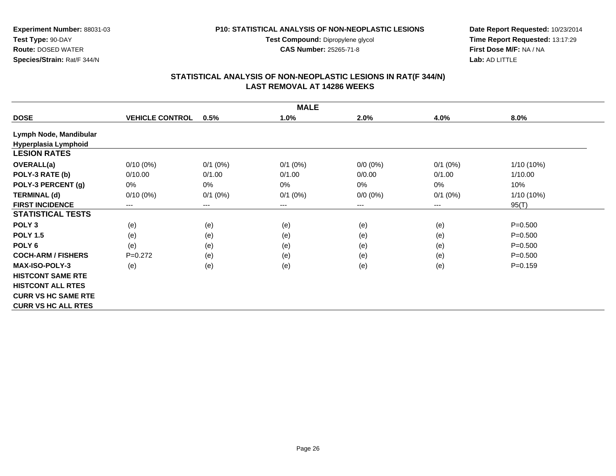**Test Compound:** Dipropylene glycol

**CAS Number:** 25265-71-8

**Date Report Requested:** 10/23/2014 **Time Report Requested:** 13:17:29**First Dose M/F:** NA / NA**Lab:** AD LITTLE

## **STATISTICAL ANALYSIS OF NON-NEOPLASTIC LESIONS IN RAT(F 344/N) LAST REMOVAL AT 14286 WEEKS**

|                            |                        |                        | <b>MALE</b>  |             |            |              |
|----------------------------|------------------------|------------------------|--------------|-------------|------------|--------------|
| <b>DOSE</b>                | <b>VEHICLE CONTROL</b> | 0.5%                   | 1.0%         | 2.0%        | 4.0%       | 8.0%         |
| Lymph Node, Mandibular     |                        |                        |              |             |            |              |
| Hyperplasia Lymphoid       |                        |                        |              |             |            |              |
| <b>LESION RATES</b>        |                        |                        |              |             |            |              |
| <b>OVERALL(a)</b>          | $0/10(0\%)$            | $0/1$ (0%)             | $0/1$ $(0%)$ | $0/0 (0\%)$ | $0/1$ (0%) | $1/10(10\%)$ |
| POLY-3 RATE (b)            | 0/10.00                | 0/1.00                 | 0/1.00       | 0/0.00      | 0/1.00     | 1/10.00      |
| POLY-3 PERCENT (g)         | $0\%$                  | $0\%$                  | 0%           | 0%          | 0%         | 10%          |
| <b>TERMINAL (d)</b>        | $0/10(0\%)$            | $0/1$ (0%)             | $0/1$ $(0%)$ | $0/0 (0\%)$ | $0/1$ (0%) | 1/10 (10%)   |
| <b>FIRST INCIDENCE</b>     | $---$                  | $\qquad \qquad \cdots$ | $--$         | ---         | ---        | 95(T)        |
| <b>STATISTICAL TESTS</b>   |                        |                        |              |             |            |              |
| POLY <sub>3</sub>          | (e)                    | (e)                    | (e)          | (e)         | (e)        | $P = 0.500$  |
| <b>POLY 1.5</b>            | (e)                    | (e)                    | (e)          | (e)         | (e)        | $P = 0.500$  |
| POLY <sub>6</sub>          | (e)                    | (e)                    | (e)          | (e)         | (e)        | $P = 0.500$  |
| <b>COCH-ARM / FISHERS</b>  | $P=0.272$              | (e)                    | (e)          | (e)         | (e)        | $P = 0.500$  |
| <b>MAX-ISO-POLY-3</b>      | (e)                    | (e)                    | (e)          | (e)         | (e)        | $P = 0.159$  |
| <b>HISTCONT SAME RTE</b>   |                        |                        |              |             |            |              |
| <b>HISTCONT ALL RTES</b>   |                        |                        |              |             |            |              |
| <b>CURR VS HC SAME RTE</b> |                        |                        |              |             |            |              |
| <b>CURR VS HC ALL RTES</b> |                        |                        |              |             |            |              |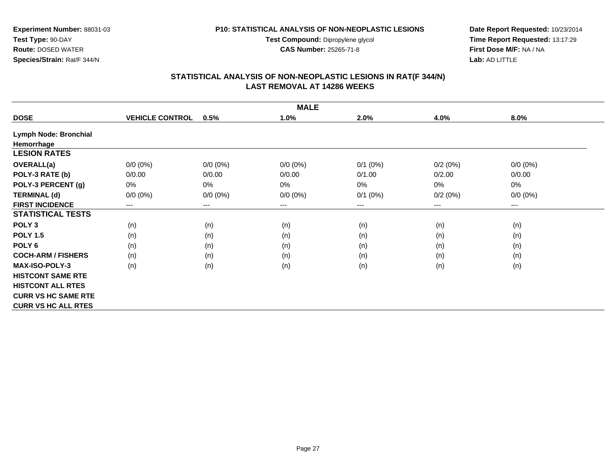**Test Compound:** Dipropylene glycol

**CAS Number:** 25265-71-8

**Date Report Requested:** 10/23/2014 **Time Report Requested:** 13:17:29**First Dose M/F:** NA / NA**Lab:** AD LITTLE

## **STATISTICAL ANALYSIS OF NON-NEOPLASTIC LESIONS IN RAT(F 344/N) LAST REMOVAL AT 14286 WEEKS**

|                            | <b>MALE</b>            |             |             |            |         |             |  |  |  |
|----------------------------|------------------------|-------------|-------------|------------|---------|-------------|--|--|--|
| <b>DOSE</b>                | <b>VEHICLE CONTROL</b> | 0.5%        | 1.0%        | 2.0%       | 4.0%    | 8.0%        |  |  |  |
| Lymph Node: Bronchial      |                        |             |             |            |         |             |  |  |  |
| Hemorrhage                 |                        |             |             |            |         |             |  |  |  |
| <b>LESION RATES</b>        |                        |             |             |            |         |             |  |  |  |
| OVERALL(a)                 | $0/0 (0\%)$            | $0/0 (0\%)$ | $0/0 (0\%)$ | $0/1$ (0%) | 0/2(0%) | $0/0 (0\%)$ |  |  |  |
| POLY-3 RATE (b)            | 0/0.00                 | 0/0.00      | 0/0.00      | 0/1.00     | 0/2.00  | 0/0.00      |  |  |  |
| POLY-3 PERCENT (g)         | 0%                     | $0\%$       | 0%          | 0%         | 0%      | 0%          |  |  |  |
| <b>TERMINAL (d)</b>        | $0/0 (0\%)$            | $0/0 (0\%)$ | $0/0 (0\%)$ | $0/1$ (0%) | 0/2(0%) | $0/0 (0\%)$ |  |  |  |
| <b>FIRST INCIDENCE</b>     | $--$                   | $--$        | ---         | ---        | ---     | $--$        |  |  |  |
| <b>STATISTICAL TESTS</b>   |                        |             |             |            |         |             |  |  |  |
| POLY <sub>3</sub>          | (n)                    | (n)         | (n)         | (n)        | (n)     | (n)         |  |  |  |
| <b>POLY 1.5</b>            | (n)                    | (n)         | (n)         | (n)        | (n)     | (n)         |  |  |  |
| POLY <sub>6</sub>          | (n)                    | (n)         | (n)         | (n)        | (n)     | (n)         |  |  |  |
| <b>COCH-ARM / FISHERS</b>  | (n)                    | (n)         | (n)         | (n)        | (n)     | (n)         |  |  |  |
| <b>MAX-ISO-POLY-3</b>      | (n)                    | (n)         | (n)         | (n)        | (n)     | (n)         |  |  |  |
| <b>HISTCONT SAME RTE</b>   |                        |             |             |            |         |             |  |  |  |
| <b>HISTCONT ALL RTES</b>   |                        |             |             |            |         |             |  |  |  |
| <b>CURR VS HC SAME RTE</b> |                        |             |             |            |         |             |  |  |  |
| <b>CURR VS HC ALL RTES</b> |                        |             |             |            |         |             |  |  |  |

Page 27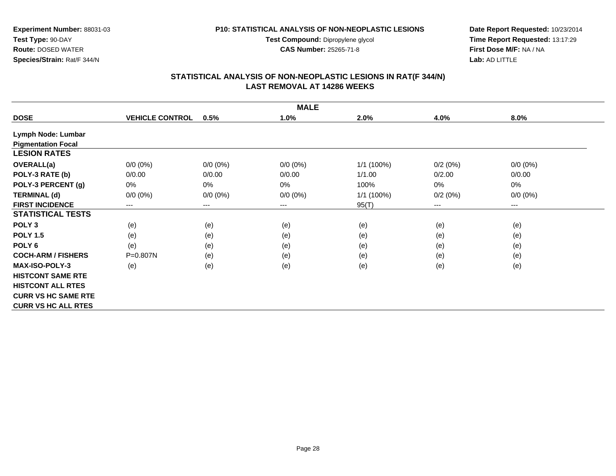**Test Compound:** Dipropylene glycol

**CAS Number:** 25265-71-8

**Date Report Requested:** 10/23/2014 **Time Report Requested:** 13:17:29**First Dose M/F:** NA / NA**Lab:** AD LITTLE

## **STATISTICAL ANALYSIS OF NON-NEOPLASTIC LESIONS IN RAT(F 344/N) LAST REMOVAL AT 14286 WEEKS**

|                            | <b>MALE</b>            |                        |             |            |         |             |  |  |  |
|----------------------------|------------------------|------------------------|-------------|------------|---------|-------------|--|--|--|
| <b>DOSE</b>                | <b>VEHICLE CONTROL</b> | 0.5%                   | 1.0%        | 2.0%       | 4.0%    | 8.0%        |  |  |  |
| Lymph Node: Lumbar         |                        |                        |             |            |         |             |  |  |  |
| <b>Pigmentation Focal</b>  |                        |                        |             |            |         |             |  |  |  |
| <b>LESION RATES</b>        |                        |                        |             |            |         |             |  |  |  |
| <b>OVERALL(a)</b>          | $0/0 (0\%)$            | $0/0 (0\%)$            | $0/0 (0\%)$ | 1/1 (100%) | 0/2(0%) | $0/0 (0\%)$ |  |  |  |
| POLY-3 RATE (b)            | 0/0.00                 | 0/0.00                 | 0/0.00      | 1/1.00     | 0/2.00  | 0/0.00      |  |  |  |
| POLY-3 PERCENT (g)         | $0\%$                  | 0%                     | $0\%$       | 100%       | 0%      | 0%          |  |  |  |
| <b>TERMINAL (d)</b>        | $0/0 (0\%)$            | $0/0 (0\%)$            | $0/0 (0\%)$ | 1/1 (100%) | 0/2(0%) | $0/0 (0\%)$ |  |  |  |
| <b>FIRST INCIDENCE</b>     | $---$                  | $\qquad \qquad \cdots$ | $--$        | 95(T)      | ---     | $--$        |  |  |  |
| <b>STATISTICAL TESTS</b>   |                        |                        |             |            |         |             |  |  |  |
| POLY <sub>3</sub>          | (e)                    | (e)                    | (e)         | (e)        | (e)     | (e)         |  |  |  |
| <b>POLY 1.5</b>            | (e)                    | (e)                    | (e)         | (e)        | (e)     | (e)         |  |  |  |
| POLY <sub>6</sub>          | (e)                    | (e)                    | (e)         | (e)        | (e)     | (e)         |  |  |  |
| <b>COCH-ARM / FISHERS</b>  | P=0.807N               | (e)                    | (e)         | (e)        | (e)     | (e)         |  |  |  |
| <b>MAX-ISO-POLY-3</b>      | (e)                    | (e)                    | (e)         | (e)        | (e)     | (e)         |  |  |  |
| <b>HISTCONT SAME RTE</b>   |                        |                        |             |            |         |             |  |  |  |
| <b>HISTCONT ALL RTES</b>   |                        |                        |             |            |         |             |  |  |  |
| <b>CURR VS HC SAME RTE</b> |                        |                        |             |            |         |             |  |  |  |
| <b>CURR VS HC ALL RTES</b> |                        |                        |             |            |         |             |  |  |  |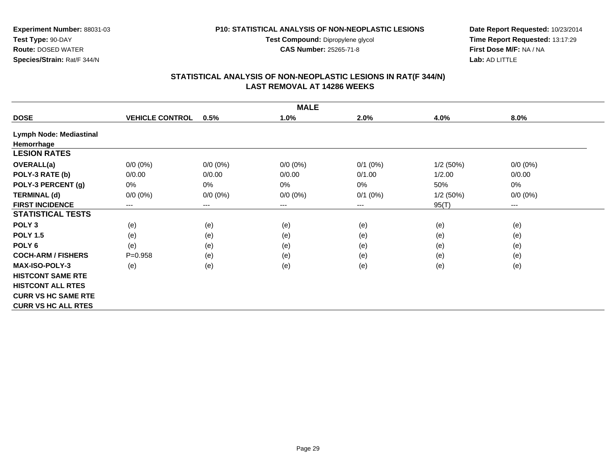**Test Compound:** Dipropylene glycol

**CAS Number:** 25265-71-8

**Date Report Requested:** 10/23/2014 **Time Report Requested:** 13:17:29**First Dose M/F:** NA / NA**Lab:** AD LITTLE

## **STATISTICAL ANALYSIS OF NON-NEOPLASTIC LESIONS IN RAT(F 344/N) LAST REMOVAL AT 14286 WEEKS**

|                            | <b>MALE</b>            |                        |             |            |          |             |  |  |  |
|----------------------------|------------------------|------------------------|-------------|------------|----------|-------------|--|--|--|
| <b>DOSE</b>                | <b>VEHICLE CONTROL</b> | 0.5%                   | 1.0%        | 2.0%       | 4.0%     | 8.0%        |  |  |  |
| Lymph Node: Mediastinal    |                        |                        |             |            |          |             |  |  |  |
| Hemorrhage                 |                        |                        |             |            |          |             |  |  |  |
| <b>LESION RATES</b>        |                        |                        |             |            |          |             |  |  |  |
| <b>OVERALL(a)</b>          | $0/0 (0\%)$            | $0/0 (0\%)$            | $0/0 (0\%)$ | $0/1$ (0%) | 1/2(50%) | $0/0 (0\%)$ |  |  |  |
| POLY-3 RATE (b)            | 0/0.00                 | 0/0.00                 | 0/0.00      | 0/1.00     | 1/2.00   | 0/0.00      |  |  |  |
| POLY-3 PERCENT (g)         | $0\%$                  | $0\%$                  | $0\%$       | 0%         | 50%      | 0%          |  |  |  |
| <b>TERMINAL (d)</b>        | $0/0 (0\%)$            | $0/0 (0\%)$            | $0/0 (0\%)$ | $0/1$ (0%) | 1/2(50%) | $0/0 (0\%)$ |  |  |  |
| <b>FIRST INCIDENCE</b>     | ---                    | $\qquad \qquad \cdots$ | $---$       | ---        | 95(T)    | $---$       |  |  |  |
| <b>STATISTICAL TESTS</b>   |                        |                        |             |            |          |             |  |  |  |
| POLY <sub>3</sub>          | (e)                    | (e)                    | (e)         | (e)        | (e)      | (e)         |  |  |  |
| <b>POLY 1.5</b>            | (e)                    | (e)                    | (e)         | (e)        | (e)      | (e)         |  |  |  |
| POLY <sub>6</sub>          | (e)                    | (e)                    | (e)         | (e)        | (e)      | (e)         |  |  |  |
| <b>COCH-ARM / FISHERS</b>  | $P = 0.958$            | (e)                    | (e)         | (e)        | (e)      | (e)         |  |  |  |
| <b>MAX-ISO-POLY-3</b>      | (e)                    | (e)                    | (e)         | (e)        | (e)      | (e)         |  |  |  |
| <b>HISTCONT SAME RTE</b>   |                        |                        |             |            |          |             |  |  |  |
| <b>HISTCONT ALL RTES</b>   |                        |                        |             |            |          |             |  |  |  |
| <b>CURR VS HC SAME RTE</b> |                        |                        |             |            |          |             |  |  |  |
| <b>CURR VS HC ALL RTES</b> |                        |                        |             |            |          |             |  |  |  |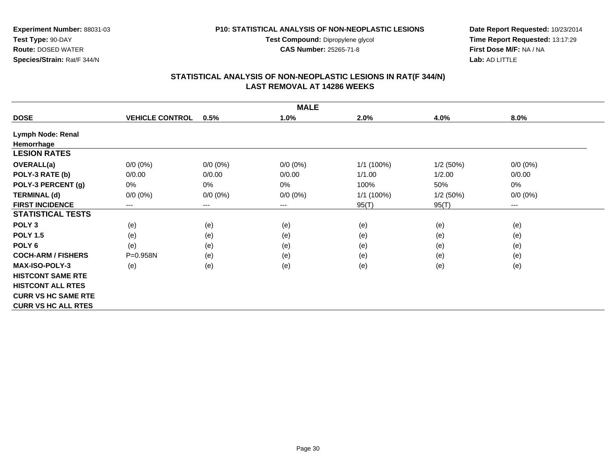**Test Compound:** Dipropylene glycol

**CAS Number:** 25265-71-8

**Date Report Requested:** 10/23/2014 **Time Report Requested:** 13:17:29**First Dose M/F:** NA / NA**Lab:** AD LITTLE

## **STATISTICAL ANALYSIS OF NON-NEOPLASTIC LESIONS IN RAT(F 344/N) LAST REMOVAL AT 14286 WEEKS**

|                            | <b>MALE</b>            |             |                        |            |          |             |  |  |  |
|----------------------------|------------------------|-------------|------------------------|------------|----------|-------------|--|--|--|
| <b>DOSE</b>                | <b>VEHICLE CONTROL</b> | 0.5%        | 1.0%                   | 2.0%       | 4.0%     | $8.0\%$     |  |  |  |
| Lymph Node: Renal          |                        |             |                        |            |          |             |  |  |  |
| Hemorrhage                 |                        |             |                        |            |          |             |  |  |  |
| <b>LESION RATES</b>        |                        |             |                        |            |          |             |  |  |  |
| <b>OVERALL(a)</b>          | $0/0 (0\%)$            | $0/0 (0\%)$ | $0/0 (0\%)$            | 1/1 (100%) | 1/2(50%) | $0/0 (0\%)$ |  |  |  |
| POLY-3 RATE (b)            | 0/0.00                 | 0/0.00      | 0/0.00                 | 1/1.00     | 1/2.00   | 0/0.00      |  |  |  |
| POLY-3 PERCENT (g)         | 0%                     | 0%          | 0%                     | 100%       | 50%      | 0%          |  |  |  |
| <b>TERMINAL (d)</b>        | $0/0 (0\%)$            | $0/0 (0\%)$ | $0/0 (0\%)$            | 1/1 (100%) | 1/2(50%) | $0/0 (0\%)$ |  |  |  |
| <b>FIRST INCIDENCE</b>     | ---                    | ---         | $\qquad \qquad \cdots$ | 95(T)      | 95(T)    | $--$        |  |  |  |
| <b>STATISTICAL TESTS</b>   |                        |             |                        |            |          |             |  |  |  |
| POLY <sub>3</sub>          | (e)                    | (e)         | (e)                    | (e)        | (e)      | (e)         |  |  |  |
| <b>POLY 1.5</b>            | (e)                    | (e)         | (e)                    | (e)        | (e)      | (e)         |  |  |  |
| POLY <sub>6</sub>          | (e)                    | (e)         | (e)                    | (e)        | (e)      | (e)         |  |  |  |
| <b>COCH-ARM / FISHERS</b>  | P=0.958N               | (e)         | (e)                    | (e)        | (e)      | (e)         |  |  |  |
| <b>MAX-ISO-POLY-3</b>      | (e)                    | (e)         | (e)                    | (e)        | (e)      | (e)         |  |  |  |
| <b>HISTCONT SAME RTE</b>   |                        |             |                        |            |          |             |  |  |  |
| <b>HISTCONT ALL RTES</b>   |                        |             |                        |            |          |             |  |  |  |
| <b>CURR VS HC SAME RTE</b> |                        |             |                        |            |          |             |  |  |  |
| <b>CURR VS HC ALL RTES</b> |                        |             |                        |            |          |             |  |  |  |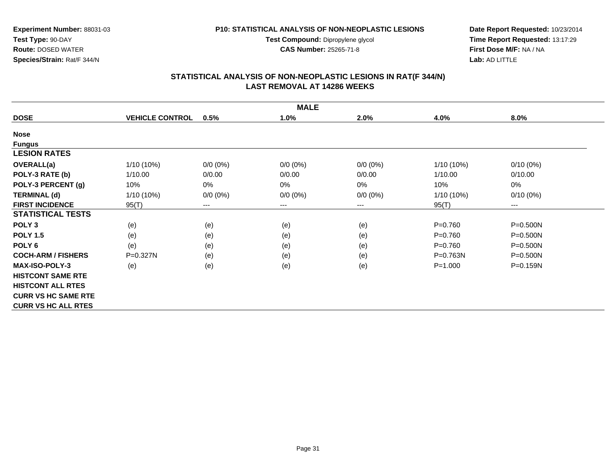**Test Compound:** Dipropylene glycol

**CAS Number:** 25265-71-8

**Date Report Requested:** 10/23/2014 **Time Report Requested:** 13:17:29**First Dose M/F:** NA / NA**Lab:** AD LITTLE

## **STATISTICAL ANALYSIS OF NON-NEOPLASTIC LESIONS IN RAT(F 344/N) LAST REMOVAL AT 14286 WEEKS**

|                            | <b>MALE</b>            |                            |             |             |              |              |  |  |  |
|----------------------------|------------------------|----------------------------|-------------|-------------|--------------|--------------|--|--|--|
| <b>DOSE</b>                | <b>VEHICLE CONTROL</b> | 0.5%                       | 1.0%        | 2.0%        | 4.0%         | 8.0%         |  |  |  |
| <b>Nose</b>                |                        |                            |             |             |              |              |  |  |  |
| <b>Fungus</b>              |                        |                            |             |             |              |              |  |  |  |
| <b>LESION RATES</b>        |                        |                            |             |             |              |              |  |  |  |
| <b>OVERALL(a)</b>          | 1/10 (10%)             | $0/0 (0\%)$                | $0/0 (0\%)$ | $0/0 (0\%)$ | $1/10(10\%)$ | $0/10(0\%)$  |  |  |  |
| POLY-3 RATE (b)            | 1/10.00                | 0/0.00                     | 0/0.00      | 0/0.00      | 1/10.00      | 0/10.00      |  |  |  |
| POLY-3 PERCENT (g)         | 10%                    | 0%                         | 0%          | $0\%$       | 10%          | 0%           |  |  |  |
| <b>TERMINAL (d)</b>        | 1/10 (10%)             | $0/0 (0\%)$                | $0/0 (0\%)$ | $0/0 (0\%)$ | $1/10(10\%)$ | $0/10(0\%)$  |  |  |  |
| <b>FIRST INCIDENCE</b>     | 95(T)                  | $\qquad \qquad - \qquad -$ | ---         | ---         | 95(T)        | $--$         |  |  |  |
| <b>STATISTICAL TESTS</b>   |                        |                            |             |             |              |              |  |  |  |
| POLY <sub>3</sub>          | (e)                    | (e)                        | (e)         | (e)         | $P = 0.760$  | $P = 0.500N$ |  |  |  |
| <b>POLY 1.5</b>            | (e)                    | (e)                        | (e)         | (e)         | $P = 0.760$  | $P = 0.500N$ |  |  |  |
| POLY <sub>6</sub>          | (e)                    | (e)                        | (e)         | (e)         | $P = 0.760$  | $P = 0.500N$ |  |  |  |
| <b>COCH-ARM / FISHERS</b>  | $P = 0.327N$           | (e)                        | (e)         | (e)         | P=0.763N     | $P = 0.500N$ |  |  |  |
| <b>MAX-ISO-POLY-3</b>      | (e)                    | (e)                        | (e)         | (e)         | $P = 1.000$  | $P = 0.159N$ |  |  |  |
| <b>HISTCONT SAME RTE</b>   |                        |                            |             |             |              |              |  |  |  |
| <b>HISTCONT ALL RTES</b>   |                        |                            |             |             |              |              |  |  |  |
| <b>CURR VS HC SAME RTE</b> |                        |                            |             |             |              |              |  |  |  |
| <b>CURR VS HC ALL RTES</b> |                        |                            |             |             |              |              |  |  |  |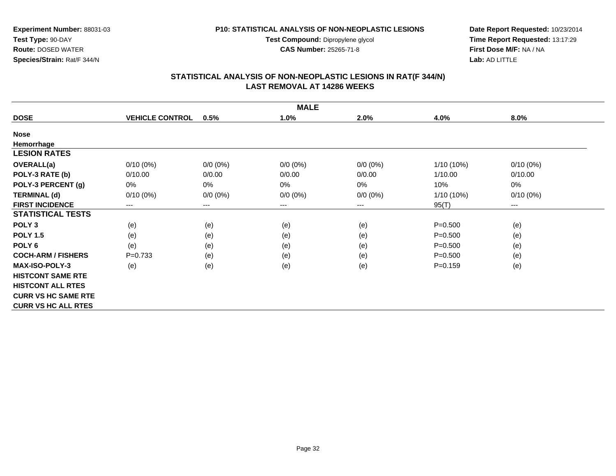**Test Compound:** Dipropylene glycol

**CAS Number:** 25265-71-8

**Date Report Requested:** 10/23/2014 **Time Report Requested:** 13:17:29**First Dose M/F:** NA / NA**Lab:** AD LITTLE

## **STATISTICAL ANALYSIS OF NON-NEOPLASTIC LESIONS IN RAT(F 344/N) LAST REMOVAL AT 14286 WEEKS**

|                            | <b>MALE</b>            |             |             |             |              |             |  |  |  |
|----------------------------|------------------------|-------------|-------------|-------------|--------------|-------------|--|--|--|
| <b>DOSE</b>                | <b>VEHICLE CONTROL</b> | 0.5%        | 1.0%        | 2.0%        | 4.0%         | 8.0%        |  |  |  |
| <b>Nose</b>                |                        |             |             |             |              |             |  |  |  |
| Hemorrhage                 |                        |             |             |             |              |             |  |  |  |
| <b>LESION RATES</b>        |                        |             |             |             |              |             |  |  |  |
| OVERALL(a)                 | $0/10(0\%)$            | $0/0 (0\%)$ | $0/0 (0\%)$ | $0/0 (0\%)$ | $1/10(10\%)$ | $0/10(0\%)$ |  |  |  |
| POLY-3 RATE (b)            | 0/10.00                | 0/0.00      | 0/0.00      | 0/0.00      | 1/10.00      | 0/10.00     |  |  |  |
| POLY-3 PERCENT (g)         | 0%                     | 0%          | 0%          | $0\%$       | 10%          | 0%          |  |  |  |
| <b>TERMINAL (d)</b>        | $0/10(0\%)$            | $0/0 (0\%)$ | $0/0 (0\%)$ | $0/0 (0\%)$ | $1/10(10\%)$ | $0/10(0\%)$ |  |  |  |
| <b>FIRST INCIDENCE</b>     | ---                    | $---$       | ---         | $---$       | 95(T)        | ---         |  |  |  |
| <b>STATISTICAL TESTS</b>   |                        |             |             |             |              |             |  |  |  |
| POLY <sub>3</sub>          | (e)                    | (e)         | (e)         | (e)         | $P = 0.500$  | (e)         |  |  |  |
| <b>POLY 1.5</b>            | (e)                    | (e)         | (e)         | (e)         | $P = 0.500$  | (e)         |  |  |  |
| POLY <sub>6</sub>          | (e)                    | (e)         | (e)         | (e)         | $P = 0.500$  | (e)         |  |  |  |
| <b>COCH-ARM / FISHERS</b>  | $P=0.733$              | (e)         | (e)         | (e)         | $P = 0.500$  | (e)         |  |  |  |
| <b>MAX-ISO-POLY-3</b>      | (e)                    | (e)         | (e)         | (e)         | $P = 0.159$  | (e)         |  |  |  |
| <b>HISTCONT SAME RTE</b>   |                        |             |             |             |              |             |  |  |  |
| <b>HISTCONT ALL RTES</b>   |                        |             |             |             |              |             |  |  |  |
| <b>CURR VS HC SAME RTE</b> |                        |             |             |             |              |             |  |  |  |
| <b>CURR VS HC ALL RTES</b> |                        |             |             |             |              |             |  |  |  |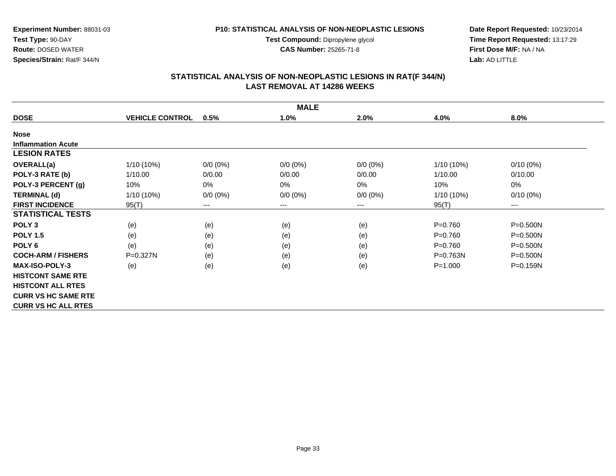**Test Compound:** Dipropylene glycol

**CAS Number:** 25265-71-8

**Date Report Requested:** 10/23/2014 **Time Report Requested:** 13:17:29**First Dose M/F:** NA / NA**Lab:** AD LITTLE

## **STATISTICAL ANALYSIS OF NON-NEOPLASTIC LESIONS IN RAT(F 344/N) LAST REMOVAL AT 14286 WEEKS**

|                            |                        |             | <b>MALE</b> |             |              |              |
|----------------------------|------------------------|-------------|-------------|-------------|--------------|--------------|
| <b>DOSE</b>                | <b>VEHICLE CONTROL</b> | 0.5%        | 1.0%        | 2.0%        | 4.0%         | 8.0%         |
| <b>Nose</b>                |                        |             |             |             |              |              |
| <b>Inflammation Acute</b>  |                        |             |             |             |              |              |
| <b>LESION RATES</b>        |                        |             |             |             |              |              |
| OVERALL(a)                 | $1/10(10\%)$           | $0/0 (0\%)$ | $0/0 (0\%)$ | $0/0 (0\%)$ | 1/10 (10%)   | $0/10(0\%)$  |
| POLY-3 RATE (b)            | 1/10.00                | 0/0.00      | 0/0.00      | 0/0.00      | 1/10.00      | 0/10.00      |
| POLY-3 PERCENT (g)         | 10%                    | 0%          | 0%          | 0%          | 10%          | 0%           |
| <b>TERMINAL (d)</b>        | $1/10(10\%)$           | $0/0 (0\%)$ | $0/0 (0\%)$ | $0/0 (0\%)$ | 1/10 (10%)   | $0/10(0\%)$  |
| <b>FIRST INCIDENCE</b>     | 95(T)                  | $--$        | ---         | ---         | 95(T)        | ---          |
| <b>STATISTICAL TESTS</b>   |                        |             |             |             |              |              |
| POLY <sub>3</sub>          | (e)                    | (e)         | (e)         | (e)         | $P = 0.760$  | $P = 0.500N$ |
| <b>POLY 1.5</b>            | (e)                    | (e)         | (e)         | (e)         | $P = 0.760$  | $P = 0.500N$ |
| POLY <sub>6</sub>          | (e)                    | (e)         | (e)         | (e)         | $P = 0.760$  | $P = 0.500N$ |
| <b>COCH-ARM / FISHERS</b>  | $P = 0.327N$           | (e)         | (e)         | (e)         | $P = 0.763N$ | $P = 0.500N$ |
| <b>MAX-ISO-POLY-3</b>      | (e)                    | (e)         | (e)         | (e)         | $P = 1.000$  | P=0.159N     |
| <b>HISTCONT SAME RTE</b>   |                        |             |             |             |              |              |
| <b>HISTCONT ALL RTES</b>   |                        |             |             |             |              |              |
| <b>CURR VS HC SAME RTE</b> |                        |             |             |             |              |              |
| <b>CURR VS HC ALL RTES</b> |                        |             |             |             |              |              |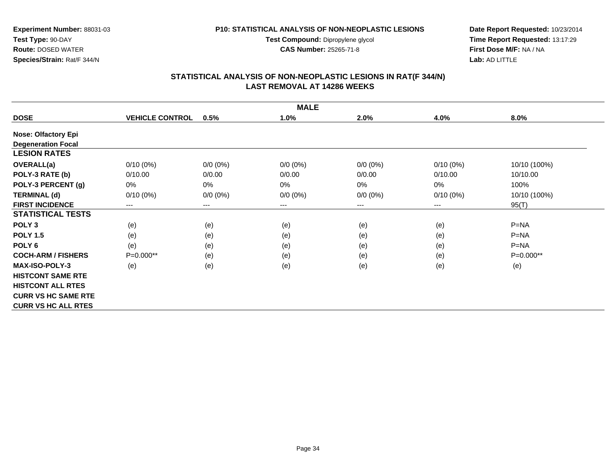**Test Compound:** Dipropylene glycol

**CAS Number:** 25265-71-8

**Date Report Requested:** 10/23/2014 **Time Report Requested:** 13:17:29**First Dose M/F:** NA / NA**Lab:** AD LITTLE

## **STATISTICAL ANALYSIS OF NON-NEOPLASTIC LESIONS IN RAT(F 344/N) LAST REMOVAL AT 14286 WEEKS**

|                            | <b>MALE</b>            |             |             |             |             |              |  |  |  |
|----------------------------|------------------------|-------------|-------------|-------------|-------------|--------------|--|--|--|
| <b>DOSE</b>                | <b>VEHICLE CONTROL</b> | 0.5%        | 1.0%        | 2.0%        | 4.0%        | 8.0%         |  |  |  |
| <b>Nose: Olfactory Epi</b> |                        |             |             |             |             |              |  |  |  |
| <b>Degeneration Focal</b>  |                        |             |             |             |             |              |  |  |  |
| <b>LESION RATES</b>        |                        |             |             |             |             |              |  |  |  |
| <b>OVERALL(a)</b>          | $0/10(0\%)$            | $0/0 (0\%)$ | $0/0 (0\%)$ | $0/0 (0\%)$ | $0/10(0\%)$ | 10/10 (100%) |  |  |  |
| POLY-3 RATE (b)            | 0/10.00                | 0/0.00      | 0/0.00      | 0/0.00      | 0/10.00     | 10/10.00     |  |  |  |
| POLY-3 PERCENT (g)         | 0%                     | 0%          | 0%          | 0%          | $0\%$       | 100%         |  |  |  |
| <b>TERMINAL (d)</b>        | $0/10(0\%)$            | $0/0 (0\%)$ | $0/0 (0\%)$ | $0/0 (0\%)$ | $0/10(0\%)$ | 10/10 (100%) |  |  |  |
| <b>FIRST INCIDENCE</b>     | ---                    | ---         | ---         | ---         | ---         | 95(T)        |  |  |  |
| <b>STATISTICAL TESTS</b>   |                        |             |             |             |             |              |  |  |  |
| POLY <sub>3</sub>          | (e)                    | (e)         | (e)         | (e)         | (e)         | $P=NA$       |  |  |  |
| <b>POLY 1.5</b>            | (e)                    | (e)         | (e)         | (e)         | (e)         | $P = NA$     |  |  |  |
| POLY <sub>6</sub>          | (e)                    | (e)         | (e)         | (e)         | (e)         | $P=NA$       |  |  |  |
| <b>COCH-ARM / FISHERS</b>  | $P=0.000**$            | (e)         | (e)         | (e)         | (e)         | $P=0.000**$  |  |  |  |
| <b>MAX-ISO-POLY-3</b>      | (e)                    | (e)         | (e)         | (e)         | (e)         | (e)          |  |  |  |
| <b>HISTCONT SAME RTE</b>   |                        |             |             |             |             |              |  |  |  |
| <b>HISTCONT ALL RTES</b>   |                        |             |             |             |             |              |  |  |  |
| <b>CURR VS HC SAME RTE</b> |                        |             |             |             |             |              |  |  |  |
| <b>CURR VS HC ALL RTES</b> |                        |             |             |             |             |              |  |  |  |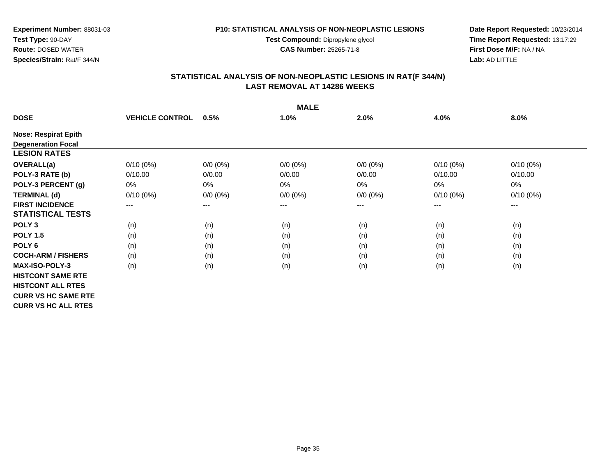**Test Compound:** Dipropylene glycol

**CAS Number:** 25265-71-8

**Date Report Requested:** 10/23/2014 **Time Report Requested:** 13:17:29**First Dose M/F:** NA / NA**Lab:** AD LITTLE

## **STATISTICAL ANALYSIS OF NON-NEOPLASTIC LESIONS IN RAT(F 344/N) LAST REMOVAL AT 14286 WEEKS**

|                             | <b>MALE</b>            |                        |             |             |                        |             |  |  |  |
|-----------------------------|------------------------|------------------------|-------------|-------------|------------------------|-------------|--|--|--|
| <b>DOSE</b>                 | <b>VEHICLE CONTROL</b> | 0.5%                   | 1.0%        | 2.0%        | 4.0%                   | 8.0%        |  |  |  |
| <b>Nose: Respirat Epith</b> |                        |                        |             |             |                        |             |  |  |  |
| <b>Degeneration Focal</b>   |                        |                        |             |             |                        |             |  |  |  |
| <b>LESION RATES</b>         |                        |                        |             |             |                        |             |  |  |  |
| <b>OVERALL(a)</b>           | $0/10(0\%)$            | $0/0 (0\%)$            | $0/0 (0\%)$ | $0/0 (0\%)$ | $0/10(0\%)$            | $0/10(0\%)$ |  |  |  |
| POLY-3 RATE (b)             | 0/10.00                | 0/0.00                 | 0/0.00      | 0/0.00      | 0/10.00                | 0/10.00     |  |  |  |
| POLY-3 PERCENT (g)          | 0%                     | 0%                     | 0%          | $0\%$       | 0%                     | 0%          |  |  |  |
| <b>TERMINAL (d)</b>         | $0/10(0\%)$            | $0/0 (0\%)$            | $0/0 (0\%)$ | $0/0 (0\%)$ | $0/10(0\%)$            | $0/10(0\%)$ |  |  |  |
| <b>FIRST INCIDENCE</b>      | ---                    | $\qquad \qquad \cdots$ | ---         | ---         | $\qquad \qquad \cdots$ | $--$        |  |  |  |
| <b>STATISTICAL TESTS</b>    |                        |                        |             |             |                        |             |  |  |  |
| POLY <sub>3</sub>           | (n)                    | (n)                    | (n)         | (n)         | (n)                    | (n)         |  |  |  |
| <b>POLY 1.5</b>             | (n)                    | (n)                    | (n)         | (n)         | (n)                    | (n)         |  |  |  |
| POLY <sub>6</sub>           | (n)                    | (n)                    | (n)         | (n)         | (n)                    | (n)         |  |  |  |
| <b>COCH-ARM / FISHERS</b>   | (n)                    | (n)                    | (n)         | (n)         | (n)                    | (n)         |  |  |  |
| <b>MAX-ISO-POLY-3</b>       | (n)                    | (n)                    | (n)         | (n)         | (n)                    | (n)         |  |  |  |
| <b>HISTCONT SAME RTE</b>    |                        |                        |             |             |                        |             |  |  |  |
| <b>HISTCONT ALL RTES</b>    |                        |                        |             |             |                        |             |  |  |  |
| <b>CURR VS HC SAME RTE</b>  |                        |                        |             |             |                        |             |  |  |  |
| <b>CURR VS HC ALL RTES</b>  |                        |                        |             |             |                        |             |  |  |  |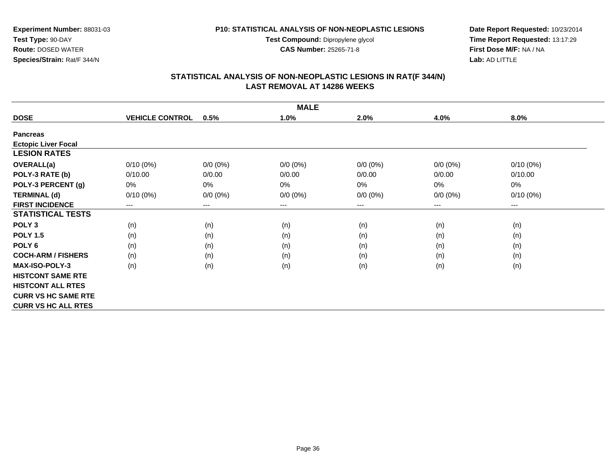**Test Compound:** Dipropylene glycol

**CAS Number:** 25265-71-8

**Date Report Requested:** 10/23/2014 **Time Report Requested:** 13:17:29**First Dose M/F:** NA / NA**Lab:** AD LITTLE

## **STATISTICAL ANALYSIS OF NON-NEOPLASTIC LESIONS IN RAT(F 344/N) LAST REMOVAL AT 14286 WEEKS**

|                            | <b>MALE</b>            |                        |             |             |             |             |  |  |  |
|----------------------------|------------------------|------------------------|-------------|-------------|-------------|-------------|--|--|--|
| <b>DOSE</b>                | <b>VEHICLE CONTROL</b> | 0.5%                   | 1.0%        | 2.0%        | 4.0%        | 8.0%        |  |  |  |
| <b>Pancreas</b>            |                        |                        |             |             |             |             |  |  |  |
| <b>Ectopic Liver Focal</b> |                        |                        |             |             |             |             |  |  |  |
| <b>LESION RATES</b>        |                        |                        |             |             |             |             |  |  |  |
| <b>OVERALL(a)</b>          | $0/10(0\%)$            | $0/0 (0\%)$            | $0/0 (0\%)$ | $0/0 (0\%)$ | $0/0 (0\%)$ | $0/10(0\%)$ |  |  |  |
| POLY-3 RATE (b)            | 0/10.00                | 0/0.00                 | 0/0.00      | 0/0.00      | 0/0.00      | 0/10.00     |  |  |  |
| POLY-3 PERCENT (g)         | 0%                     | 0%                     | 0%          | 0%          | 0%          | 0%          |  |  |  |
| <b>TERMINAL (d)</b>        | $0/10(0\%)$            | $0/0 (0\%)$            | $0/0 (0\%)$ | $0/0 (0\%)$ | $0/0 (0\%)$ | $0/10(0\%)$ |  |  |  |
| <b>FIRST INCIDENCE</b>     | $\qquad \qquad \cdots$ | $\qquad \qquad \cdots$ | ---         | ---         | $---$       | $---$       |  |  |  |
| <b>STATISTICAL TESTS</b>   |                        |                        |             |             |             |             |  |  |  |
| POLY <sub>3</sub>          | (n)                    | (n)                    | (n)         | (n)         | (n)         | (n)         |  |  |  |
| <b>POLY 1.5</b>            | (n)                    | (n)                    | (n)         | (n)         | (n)         | (n)         |  |  |  |
| POLY <sub>6</sub>          | (n)                    | (n)                    | (n)         | (n)         | (n)         | (n)         |  |  |  |
| <b>COCH-ARM / FISHERS</b>  | (n)                    | (n)                    | (n)         | (n)         | (n)         | (n)         |  |  |  |
| <b>MAX-ISO-POLY-3</b>      | (n)                    | (n)                    | (n)         | (n)         | (n)         | (n)         |  |  |  |
| <b>HISTCONT SAME RTE</b>   |                        |                        |             |             |             |             |  |  |  |
| <b>HISTCONT ALL RTES</b>   |                        |                        |             |             |             |             |  |  |  |
| <b>CURR VS HC SAME RTE</b> |                        |                        |             |             |             |             |  |  |  |
| <b>CURR VS HC ALL RTES</b> |                        |                        |             |             |             |             |  |  |  |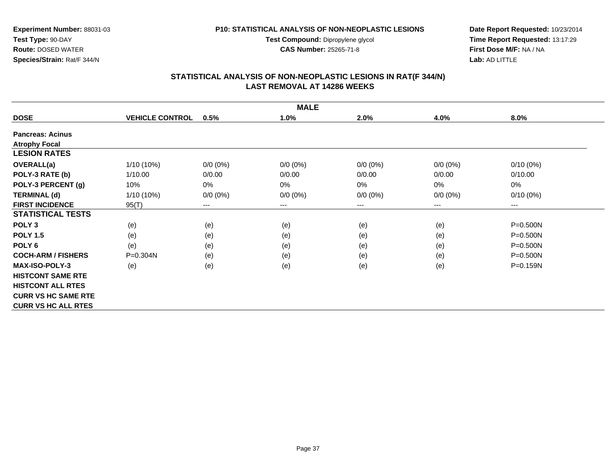**Test Compound:** Dipropylene glycol

**CAS Number:** 25265-71-8

**Date Report Requested:** 10/23/2014 **Time Report Requested:** 13:17:29**First Dose M/F:** NA / NA**Lab:** AD LITTLE

# **STATISTICAL ANALYSIS OF NON-NEOPLASTIC LESIONS IN RAT(F 344/N) LAST REMOVAL AT 14286 WEEKS**

|                            |                        |                        | <b>MALE</b> |             |                        |              |
|----------------------------|------------------------|------------------------|-------------|-------------|------------------------|--------------|
| <b>DOSE</b>                | <b>VEHICLE CONTROL</b> | 0.5%                   | 1.0%        | 2.0%        | 4.0%                   | 8.0%         |
| <b>Pancreas: Acinus</b>    |                        |                        |             |             |                        |              |
| <b>Atrophy Focal</b>       |                        |                        |             |             |                        |              |
| <b>LESION RATES</b>        |                        |                        |             |             |                        |              |
| <b>OVERALL(a)</b>          | 1/10 (10%)             | $0/0 (0\%)$            | $0/0 (0\%)$ | $0/0 (0\%)$ | $0/0 (0\%)$            | $0/10(0\%)$  |
| POLY-3 RATE (b)            | 1/10.00                | 0/0.00                 | 0/0.00      | 0/0.00      | 0/0.00                 | 0/10.00      |
| POLY-3 PERCENT (g)         | 10%                    | 0%                     | 0%          | $0\%$       | $0\%$                  | 0%           |
| <b>TERMINAL (d)</b>        | $1/10(10\%)$           | $0/0 (0\%)$            | $0/0 (0\%)$ | $0/0 (0\%)$ | $0/0 (0\%)$            | $0/10(0\%)$  |
| <b>FIRST INCIDENCE</b>     | 95(T)                  | $\qquad \qquad \cdots$ | ---         | ---         | $\qquad \qquad \cdots$ | $\cdots$     |
| <b>STATISTICAL TESTS</b>   |                        |                        |             |             |                        |              |
| POLY <sub>3</sub>          | (e)                    | (e)                    | (e)         | (e)         | (e)                    | $P = 0.500N$ |
| <b>POLY 1.5</b>            | (e)                    | (e)                    | (e)         | (e)         | (e)                    | $P = 0.500N$ |
| POLY <sub>6</sub>          | (e)                    | (e)                    | (e)         | (e)         | (e)                    | $P = 0.500N$ |
| <b>COCH-ARM / FISHERS</b>  | $P = 0.304N$           | (e)                    | (e)         | (e)         | (e)                    | $P = 0.500N$ |
| <b>MAX-ISO-POLY-3</b>      | (e)                    | (e)                    | (e)         | (e)         | (e)                    | $P = 0.159N$ |
| <b>HISTCONT SAME RTE</b>   |                        |                        |             |             |                        |              |
| <b>HISTCONT ALL RTES</b>   |                        |                        |             |             |                        |              |
| <b>CURR VS HC SAME RTE</b> |                        |                        |             |             |                        |              |
| <b>CURR VS HC ALL RTES</b> |                        |                        |             |             |                        |              |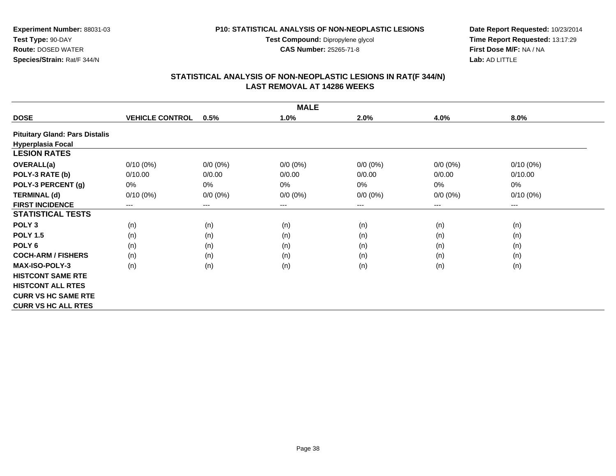**Test Compound:** Dipropylene glycol

**CAS Number:** 25265-71-8

**Date Report Requested:** 10/23/2014 **Time Report Requested:** 13:17:29**First Dose M/F:** NA / NA**Lab:** AD LITTLE

# **STATISTICAL ANALYSIS OF NON-NEOPLASTIC LESIONS IN RAT(F 344/N) LAST REMOVAL AT 14286 WEEKS**

|                                       |                        |                            | <b>MALE</b> |             |             |             |
|---------------------------------------|------------------------|----------------------------|-------------|-------------|-------------|-------------|
| <b>DOSE</b>                           | <b>VEHICLE CONTROL</b> | 0.5%                       | 1.0%        | 2.0%        | 4.0%        | 8.0%        |
| <b>Pituitary Gland: Pars Distalis</b> |                        |                            |             |             |             |             |
| <b>Hyperplasia Focal</b>              |                        |                            |             |             |             |             |
| <b>LESION RATES</b>                   |                        |                            |             |             |             |             |
| <b>OVERALL(a)</b>                     | $0/10(0\%)$            | $0/0 (0\%)$                | $0/0 (0\%)$ | $0/0 (0\%)$ | $0/0 (0\%)$ | $0/10(0\%)$ |
| POLY-3 RATE (b)                       | 0/10.00                | 0/0.00                     | 0/0.00      | 0/0.00      | 0/0.00      | 0/10.00     |
| POLY-3 PERCENT (g)                    | 0%                     | $0\%$                      | $0\%$       | 0%          | 0%          | 0%          |
| <b>TERMINAL (d)</b>                   | $0/10(0\%)$            | $0/0 (0\%)$                | $0/0 (0\%)$ | $0/0 (0\%)$ | $0/0 (0\%)$ | $0/10(0\%)$ |
| <b>FIRST INCIDENCE</b>                | ---                    | $\qquad \qquad - \qquad -$ | $--$        | ---         | ---         | $--$        |
| <b>STATISTICAL TESTS</b>              |                        |                            |             |             |             |             |
| POLY <sub>3</sub>                     | (n)                    | (n)                        | (n)         | (n)         | (n)         | (n)         |
| <b>POLY 1.5</b>                       | (n)                    | (n)                        | (n)         | (n)         | (n)         | (n)         |
| POLY 6                                | (n)                    | (n)                        | (n)         | (n)         | (n)         | (n)         |
| <b>COCH-ARM / FISHERS</b>             | (n)                    | (n)                        | (n)         | (n)         | (n)         | (n)         |
| <b>MAX-ISO-POLY-3</b>                 | (n)                    | (n)                        | (n)         | (n)         | (n)         | (n)         |
| <b>HISTCONT SAME RTE</b>              |                        |                            |             |             |             |             |
| <b>HISTCONT ALL RTES</b>              |                        |                            |             |             |             |             |
| <b>CURR VS HC SAME RTE</b>            |                        |                            |             |             |             |             |
| <b>CURR VS HC ALL RTES</b>            |                        |                            |             |             |             |             |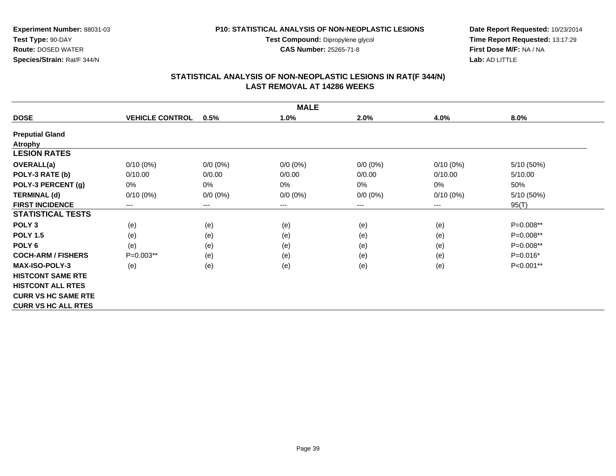**Test Compound:** Dipropylene glycol

**CAS Number:** 25265-71-8

**Date Report Requested:** 10/23/2014 **Time Report Requested:** 13:17:29**First Dose M/F:** NA / NA**Lab:** AD LITTLE

# **STATISTICAL ANALYSIS OF NON-NEOPLASTIC LESIONS IN RAT(F 344/N) LAST REMOVAL AT 14286 WEEKS**

|                            |                        |                        | <b>MALE</b>         |             |                        |            |
|----------------------------|------------------------|------------------------|---------------------|-------------|------------------------|------------|
| <b>DOSE</b>                | <b>VEHICLE CONTROL</b> | 0.5%                   | 1.0%                | 2.0%        | 4.0%                   | 8.0%       |
| <b>Preputial Gland</b>     |                        |                        |                     |             |                        |            |
| <b>Atrophy</b>             |                        |                        |                     |             |                        |            |
| <b>LESION RATES</b>        |                        |                        |                     |             |                        |            |
| <b>OVERALL(a)</b>          | $0/10(0\%)$            | $0/0 (0\%)$            | $0/0 (0\%)$         | $0/0 (0\%)$ | $0/10(0\%)$            | 5/10 (50%) |
| POLY-3 RATE (b)            | 0/10.00                | 0/0.00                 | 0/0.00              | 0/0.00      | 0/10.00                | 5/10.00    |
| POLY-3 PERCENT (g)         | $0\%$                  | 0%                     | $0\%$               | 0%          | 0%                     | 50%        |
| <b>TERMINAL (d)</b>        | $0/10(0\%)$            | $0/0 (0\%)$            | $0/0 (0\%)$         | $0/0 (0\%)$ | $0/10(0\%)$            | 5/10 (50%) |
| <b>FIRST INCIDENCE</b>     | ---                    | $\qquad \qquad \cdots$ | $\qquad \qquad - -$ | ---         | $\qquad \qquad \cdots$ | 95(T)      |
| <b>STATISTICAL TESTS</b>   |                        |                        |                     |             |                        |            |
| POLY <sub>3</sub>          | (e)                    | (e)                    | (e)                 | (e)         | (e)                    | P=0.008**  |
| <b>POLY 1.5</b>            | (e)                    | (e)                    | (e)                 | (e)         | (e)                    | P=0.008**  |
| POLY 6                     | (e)                    | (e)                    | (e)                 | (e)         | (e)                    | P=0.008**  |
| <b>COCH-ARM / FISHERS</b>  | $P=0.003**$            | (e)                    | (e)                 | (e)         | (e)                    | $P=0.016*$ |
| <b>MAX-ISO-POLY-3</b>      | (e)                    | (e)                    | (e)                 | (e)         | (e)                    | P<0.001**  |
| <b>HISTCONT SAME RTE</b>   |                        |                        |                     |             |                        |            |
| <b>HISTCONT ALL RTES</b>   |                        |                        |                     |             |                        |            |
| <b>CURR VS HC SAME RTE</b> |                        |                        |                     |             |                        |            |
| <b>CURR VS HC ALL RTES</b> |                        |                        |                     |             |                        |            |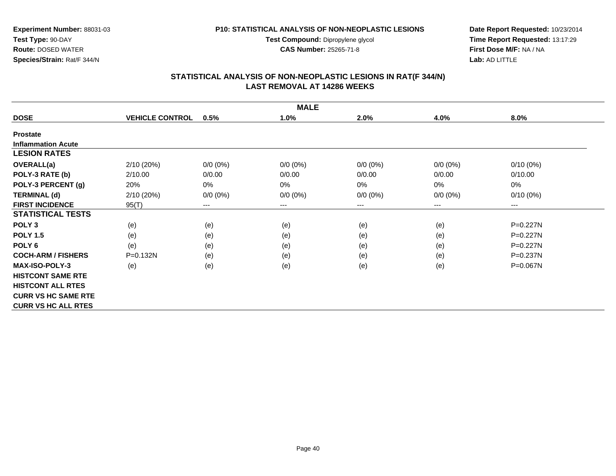**Test Compound:** Dipropylene glycol

**CAS Number:** 25265-71-8

**Date Report Requested:** 10/23/2014 **Time Report Requested:** 13:17:29**First Dose M/F:** NA / NA**Lab:** AD LITTLE

# **STATISTICAL ANALYSIS OF NON-NEOPLASTIC LESIONS IN RAT(F 344/N) LAST REMOVAL AT 14286 WEEKS**

|                            |                        |             | <b>MALE</b> |             |             |              |
|----------------------------|------------------------|-------------|-------------|-------------|-------------|--------------|
| <b>DOSE</b>                | <b>VEHICLE CONTROL</b> | 0.5%        | 1.0%        | 2.0%        | 4.0%        | 8.0%         |
| <b>Prostate</b>            |                        |             |             |             |             |              |
| <b>Inflammation Acute</b>  |                        |             |             |             |             |              |
| <b>LESION RATES</b>        |                        |             |             |             |             |              |
| OVERALL(a)                 | 2/10(20%)              | $0/0 (0\%)$ | $0/0 (0\%)$ | $0/0 (0\%)$ | $0/0 (0\%)$ | $0/10(0\%)$  |
| POLY-3 RATE (b)            | 2/10.00                | 0/0.00      | 0/0.00      | 0/0.00      | 0/0.00      | 0/10.00      |
| POLY-3 PERCENT (g)         | 20%                    | $0\%$       | $0\%$       | 0%          | 0%          | 0%           |
| <b>TERMINAL (d)</b>        | 2/10(20%)              | $0/0 (0\%)$ | $0/0 (0\%)$ | $0/0 (0\%)$ | $0/0 (0\%)$ | $0/10(0\%)$  |
| <b>FIRST INCIDENCE</b>     | 95(T)                  | $---$       | ---         | ---         | ---         | $--$         |
| <b>STATISTICAL TESTS</b>   |                        |             |             |             |             |              |
| POLY <sub>3</sub>          | (e)                    | (e)         | (e)         | (e)         | (e)         | P=0.227N     |
| <b>POLY 1.5</b>            | (e)                    | (e)         | (e)         | (e)         | (e)         | $P=0.227N$   |
| POLY <sub>6</sub>          | (e)                    | (e)         | (e)         | (e)         | (e)         | $P=0.227N$   |
| <b>COCH-ARM / FISHERS</b>  | $P = 0.132N$           | (e)         | (e)         | (e)         | (e)         | $P = 0.237N$ |
| <b>MAX-ISO-POLY-3</b>      | (e)                    | (e)         | (e)         | (e)         | (e)         | P=0.067N     |
| <b>HISTCONT SAME RTE</b>   |                        |             |             |             |             |              |
| <b>HISTCONT ALL RTES</b>   |                        |             |             |             |             |              |
| <b>CURR VS HC SAME RTE</b> |                        |             |             |             |             |              |
| <b>CURR VS HC ALL RTES</b> |                        |             |             |             |             |              |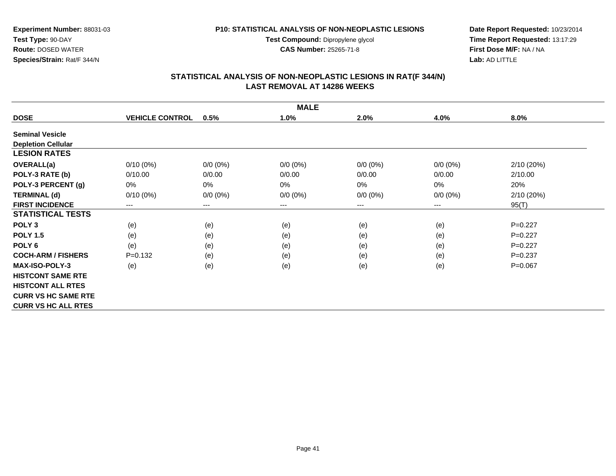**Test Compound:** Dipropylene glycol

**CAS Number:** 25265-71-8

**Date Report Requested:** 10/23/2014 **Time Report Requested:** 13:17:29**First Dose M/F:** NA / NA**Lab:** AD LITTLE

# **STATISTICAL ANALYSIS OF NON-NEOPLASTIC LESIONS IN RAT(F 344/N) LAST REMOVAL AT 14286 WEEKS**

|                            |                        |                        | <b>MALE</b> |             |             |             |
|----------------------------|------------------------|------------------------|-------------|-------------|-------------|-------------|
| <b>DOSE</b>                | <b>VEHICLE CONTROL</b> | 0.5%                   | 1.0%        | 2.0%        | 4.0%        | 8.0%        |
| <b>Seminal Vesicle</b>     |                        |                        |             |             |             |             |
| <b>Depletion Cellular</b>  |                        |                        |             |             |             |             |
| <b>LESION RATES</b>        |                        |                        |             |             |             |             |
| <b>OVERALL(a)</b>          | $0/10(0\%)$            | $0/0 (0\%)$            | $0/0 (0\%)$ | $0/0 (0\%)$ | $0/0 (0\%)$ | 2/10(20%)   |
| POLY-3 RATE (b)            | 0/10.00                | 0/0.00                 | 0/0.00      | 0/0.00      | 0/0.00      | 2/10.00     |
| POLY-3 PERCENT (g)         | $0\%$                  | 0%                     | 0%          | 0%          | 0%          | 20%         |
| <b>TERMINAL (d)</b>        | $0/10(0\%)$            | $0/0 (0\%)$            | $0/0 (0\%)$ | $0/0 (0\%)$ | $0/0 (0\%)$ | 2/10 (20%)  |
| <b>FIRST INCIDENCE</b>     | $---$                  | $\qquad \qquad \cdots$ | $--$        | ---         | ---         | 95(T)       |
| <b>STATISTICAL TESTS</b>   |                        |                        |             |             |             |             |
| POLY <sub>3</sub>          | (e)                    | (e)                    | (e)         | (e)         | (e)         | $P=0.227$   |
| <b>POLY 1.5</b>            | (e)                    | (e)                    | (e)         | (e)         | (e)         | $P=0.227$   |
| POLY <sub>6</sub>          | (e)                    | (e)                    | (e)         | (e)         | (e)         | $P=0.227$   |
| <b>COCH-ARM / FISHERS</b>  | $P = 0.132$            | (e)                    | (e)         | (e)         | (e)         | $P = 0.237$ |
| <b>MAX-ISO-POLY-3</b>      | (e)                    | (e)                    | (e)         | (e)         | (e)         | $P=0.067$   |
| <b>HISTCONT SAME RTE</b>   |                        |                        |             |             |             |             |
| <b>HISTCONT ALL RTES</b>   |                        |                        |             |             |             |             |
| <b>CURR VS HC SAME RTE</b> |                        |                        |             |             |             |             |
| <b>CURR VS HC ALL RTES</b> |                        |                        |             |             |             |             |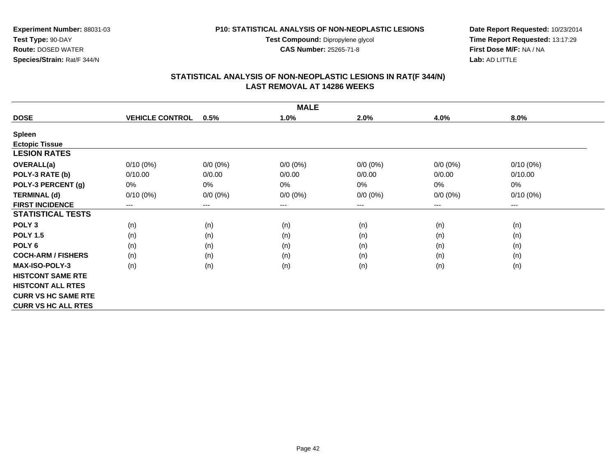**Test Compound:** Dipropylene glycol

**CAS Number:** 25265-71-8

**Date Report Requested:** 10/23/2014 **Time Report Requested:** 13:17:29**First Dose M/F:** NA / NA**Lab:** AD LITTLE

# **STATISTICAL ANALYSIS OF NON-NEOPLASTIC LESIONS IN RAT(F 344/N) LAST REMOVAL AT 14286 WEEKS**

|                            |                        |             | <b>MALE</b> |             |             |             |
|----------------------------|------------------------|-------------|-------------|-------------|-------------|-------------|
| <b>DOSE</b>                | <b>VEHICLE CONTROL</b> | 0.5%        | 1.0%        | 2.0%        | 4.0%        | 8.0%        |
| <b>Spleen</b>              |                        |             |             |             |             |             |
| <b>Ectopic Tissue</b>      |                        |             |             |             |             |             |
| <b>LESION RATES</b>        |                        |             |             |             |             |             |
| <b>OVERALL(a)</b>          | $0/10(0\%)$            | $0/0 (0\%)$ | $0/0 (0\%)$ | $0/0 (0\%)$ | $0/0 (0\%)$ | $0/10(0\%)$ |
| POLY-3 RATE (b)            | 0/10.00                | 0/0.00      | 0/0.00      | 0/0.00      | 0/0.00      | 0/10.00     |
| POLY-3 PERCENT (g)         | 0%                     | $0\%$       | 0%          | 0%          | 0%          | 0%          |
| <b>TERMINAL (d)</b>        | $0/10(0\%)$            | $0/0 (0\%)$ | $0/0 (0\%)$ | $0/0 (0\%)$ | $0/0 (0\%)$ | $0/10(0\%)$ |
| <b>FIRST INCIDENCE</b>     | $---$                  | $--$        | ---         | ---         | $---$       | $--$        |
| <b>STATISTICAL TESTS</b>   |                        |             |             |             |             |             |
| POLY <sub>3</sub>          | (n)                    | (n)         | (n)         | (n)         | (n)         | (n)         |
| <b>POLY 1.5</b>            | (n)                    | (n)         | (n)         | (n)         | (n)         | (n)         |
| POLY <sub>6</sub>          | (n)                    | (n)         | (n)         | (n)         | (n)         | (n)         |
| <b>COCH-ARM / FISHERS</b>  | (n)                    | (n)         | (n)         | (n)         | (n)         | (n)         |
| <b>MAX-ISO-POLY-3</b>      | (n)                    | (n)         | (n)         | (n)         | (n)         | (n)         |
| <b>HISTCONT SAME RTE</b>   |                        |             |             |             |             |             |
| <b>HISTCONT ALL RTES</b>   |                        |             |             |             |             |             |
| <b>CURR VS HC SAME RTE</b> |                        |             |             |             |             |             |
| <b>CURR VS HC ALL RTES</b> |                        |             |             |             |             |             |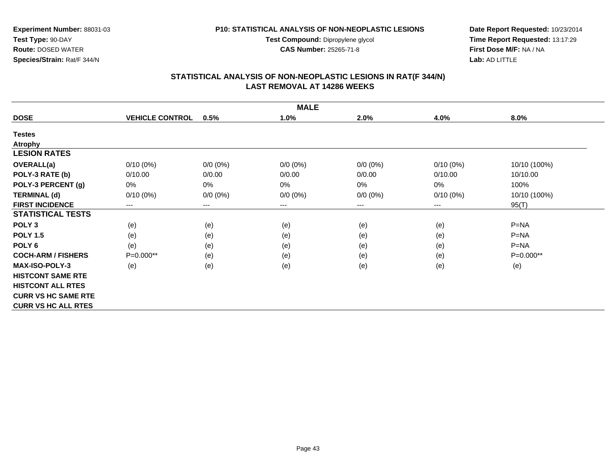**Test Compound:** Dipropylene glycol

**CAS Number:** 25265-71-8

**Date Report Requested:** 10/23/2014 **Time Report Requested:** 13:17:29**First Dose M/F:** NA / NA**Lab:** AD LITTLE

# **STATISTICAL ANALYSIS OF NON-NEOPLASTIC LESIONS IN RAT(F 344/N) LAST REMOVAL AT 14286 WEEKS**

|                            | <b>MALE</b>            |                        |             |             |                        |              |  |  |  |
|----------------------------|------------------------|------------------------|-------------|-------------|------------------------|--------------|--|--|--|
| <b>DOSE</b>                | <b>VEHICLE CONTROL</b> | 0.5%                   | 1.0%        | 2.0%        | 4.0%                   | 8.0%         |  |  |  |
| <b>Testes</b>              |                        |                        |             |             |                        |              |  |  |  |
| <b>Atrophy</b>             |                        |                        |             |             |                        |              |  |  |  |
| <b>LESION RATES</b>        |                        |                        |             |             |                        |              |  |  |  |
| <b>OVERALL(a)</b>          | $0/10(0\%)$            | $0/0 (0\%)$            | $0/0 (0\%)$ | $0/0 (0\%)$ | $0/10(0\%)$            | 10/10 (100%) |  |  |  |
| POLY-3 RATE (b)            | 0/10.00                | 0/0.00                 | 0/0.00      | 0/0.00      | 0/10.00                | 10/10.00     |  |  |  |
| POLY-3 PERCENT (g)         | 0%                     | 0%                     | 0%          | $0\%$       | 0%                     | 100%         |  |  |  |
| <b>TERMINAL (d)</b>        | $0/10(0\%)$            | $0/0 (0\%)$            | $0/0 (0\%)$ | $0/0 (0\%)$ | $0/10(0\%)$            | 10/10 (100%) |  |  |  |
| <b>FIRST INCIDENCE</b>     | ---                    | $\qquad \qquad \cdots$ | ---         | ---         | $\qquad \qquad \cdots$ | 95(T)        |  |  |  |
| <b>STATISTICAL TESTS</b>   |                        |                        |             |             |                        |              |  |  |  |
| POLY <sub>3</sub>          | (e)                    | (e)                    | (e)         | (e)         | (e)                    | $P = NA$     |  |  |  |
| <b>POLY 1.5</b>            | (e)                    | (e)                    | (e)         | (e)         | (e)                    | $P=NA$       |  |  |  |
| POLY <sub>6</sub>          | (e)                    | (e)                    | (e)         | (e)         | (e)                    | $P=NA$       |  |  |  |
| <b>COCH-ARM / FISHERS</b>  | P=0.000**              | (e)                    | (e)         | (e)         | (e)                    | P=0.000**    |  |  |  |
| MAX-ISO-POLY-3             | (e)                    | (e)                    | (e)         | (e)         | (e)                    | (e)          |  |  |  |
| <b>HISTCONT SAME RTE</b>   |                        |                        |             |             |                        |              |  |  |  |
| <b>HISTCONT ALL RTES</b>   |                        |                        |             |             |                        |              |  |  |  |
| <b>CURR VS HC SAME RTE</b> |                        |                        |             |             |                        |              |  |  |  |
| <b>CURR VS HC ALL RTES</b> |                        |                        |             |             |                        |              |  |  |  |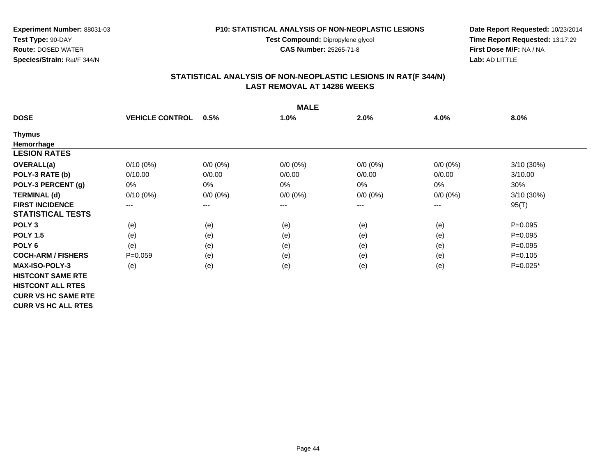**Test Compound:** Dipropylene glycol

**CAS Number:** 25265-71-8

**Date Report Requested:** 10/23/2014 **Time Report Requested:** 13:17:29**First Dose M/F:** NA / NA**Lab:** AD LITTLE

# **STATISTICAL ANALYSIS OF NON-NEOPLASTIC LESIONS IN RAT(F 344/N) LAST REMOVAL AT 14286 WEEKS**

|                            |                        |             | <b>MALE</b>            |             |             |             |
|----------------------------|------------------------|-------------|------------------------|-------------|-------------|-------------|
| <b>DOSE</b>                | <b>VEHICLE CONTROL</b> | 0.5%        | 1.0%                   | 2.0%        | 4.0%        | 8.0%        |
| <b>Thymus</b>              |                        |             |                        |             |             |             |
| Hemorrhage                 |                        |             |                        |             |             |             |
| <b>LESION RATES</b>        |                        |             |                        |             |             |             |
| <b>OVERALL(a)</b>          | $0/10(0\%)$            | $0/0 (0\%)$ | $0/0 (0\%)$            | $0/0 (0\%)$ | $0/0 (0\%)$ | 3/10(30%)   |
| POLY-3 RATE (b)            | 0/10.00                | 0/0.00      | 0/0.00                 | 0/0.00      | 0/0.00      | 3/10.00     |
| POLY-3 PERCENT (g)         | 0%                     | 0%          | 0%                     | 0%          | 0%          | 30%         |
| <b>TERMINAL (d)</b>        | $0/10(0\%)$            | $0/0 (0\%)$ | $0/0 (0\%)$            | $0/0 (0\%)$ | $0/0 (0\%)$ | 3/10(30%)   |
| <b>FIRST INCIDENCE</b>     | ---                    | ---         | $\qquad \qquad \cdots$ | ---         | ---         | 95(T)       |
| <b>STATISTICAL TESTS</b>   |                        |             |                        |             |             |             |
| POLY <sub>3</sub>          | (e)                    | (e)         | (e)                    | (e)         | (e)         | $P = 0.095$ |
| <b>POLY 1.5</b>            | (e)                    | (e)         | (e)                    | (e)         | (e)         | $P = 0.095$ |
| POLY <sub>6</sub>          | (e)                    | (e)         | (e)                    | (e)         | (e)         | $P = 0.095$ |
| <b>COCH-ARM / FISHERS</b>  | $P=0.059$              | (e)         | (e)                    | (e)         | (e)         | $P = 0.105$ |
| <b>MAX-ISO-POLY-3</b>      | (e)                    | (e)         | (e)                    | (e)         | (e)         | $P=0.025*$  |
| <b>HISTCONT SAME RTE</b>   |                        |             |                        |             |             |             |
| <b>HISTCONT ALL RTES</b>   |                        |             |                        |             |             |             |
| <b>CURR VS HC SAME RTE</b> |                        |             |                        |             |             |             |
| <b>CURR VS HC ALL RTES</b> |                        |             |                        |             |             |             |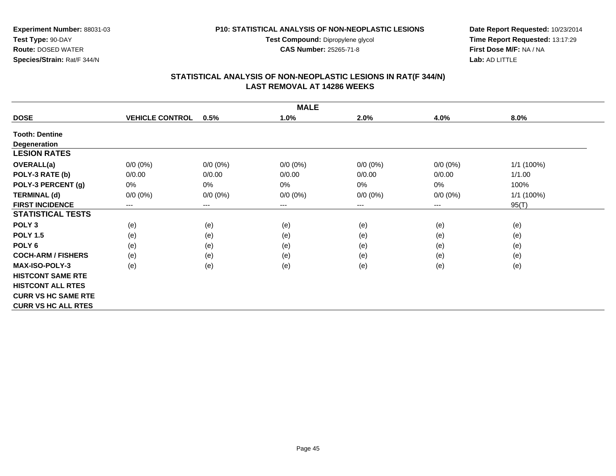**Test Compound:** Dipropylene glycol

**CAS Number:** 25265-71-8

**Date Report Requested:** 10/23/2014 **Time Report Requested:** 13:17:29**First Dose M/F:** NA / NA**Lab:** AD LITTLE

# **STATISTICAL ANALYSIS OF NON-NEOPLASTIC LESIONS IN RAT(F 344/N) LAST REMOVAL AT 14286 WEEKS**

|                            |                        |                            | <b>MALE</b> |             |             |            |
|----------------------------|------------------------|----------------------------|-------------|-------------|-------------|------------|
| <b>DOSE</b>                | <b>VEHICLE CONTROL</b> | 0.5%                       | 1.0%        | 2.0%        | 4.0%        | 8.0%       |
| <b>Tooth: Dentine</b>      |                        |                            |             |             |             |            |
| <b>Degeneration</b>        |                        |                            |             |             |             |            |
| <b>LESION RATES</b>        |                        |                            |             |             |             |            |
| OVERALL(a)                 | $0/0 (0\%)$            | $0/0 (0\%)$                | $0/0 (0\%)$ | $0/0 (0\%)$ | $0/0 (0\%)$ | 1/1 (100%) |
| POLY-3 RATE (b)            | 0/0.00                 | 0/0.00                     | 0/0.00      | 0/0.00      | 0/0.00      | 1/1.00     |
| POLY-3 PERCENT (g)         | $0\%$                  | $0\%$                      | 0%          | 0%          | 0%          | 100%       |
| <b>TERMINAL (d)</b>        | $0/0 (0\%)$            | $0/0 (0\%)$                | $0/0 (0\%)$ | $0/0 (0\%)$ | $0/0 (0\%)$ | 1/1 (100%) |
| <b>FIRST INCIDENCE</b>     | $---$                  | $\qquad \qquad - \qquad -$ | $--$        | ---         | ---         | 95(T)      |
| <b>STATISTICAL TESTS</b>   |                        |                            |             |             |             |            |
| POLY <sub>3</sub>          | (e)                    | (e)                        | (e)         | (e)         | (e)         | (e)        |
| <b>POLY 1.5</b>            | (e)                    | (e)                        | (e)         | (e)         | (e)         | (e)        |
| POLY <sub>6</sub>          | (e)                    | (e)                        | (e)         | (e)         | (e)         | (e)        |
| <b>COCH-ARM / FISHERS</b>  | (e)                    | (e)                        | (e)         | (e)         | (e)         | (e)        |
| MAX-ISO-POLY-3             | (e)                    | (e)                        | (e)         | (e)         | (e)         | (e)        |
| <b>HISTCONT SAME RTE</b>   |                        |                            |             |             |             |            |
| <b>HISTCONT ALL RTES</b>   |                        |                            |             |             |             |            |
| <b>CURR VS HC SAME RTE</b> |                        |                            |             |             |             |            |
| <b>CURR VS HC ALL RTES</b> |                        |                            |             |             |             |            |

**Test Type:** 90-DAY **Route:** DOSED WATER**Species/Strain:** Rat/F 344/N

**Experiment Number:** 88031-03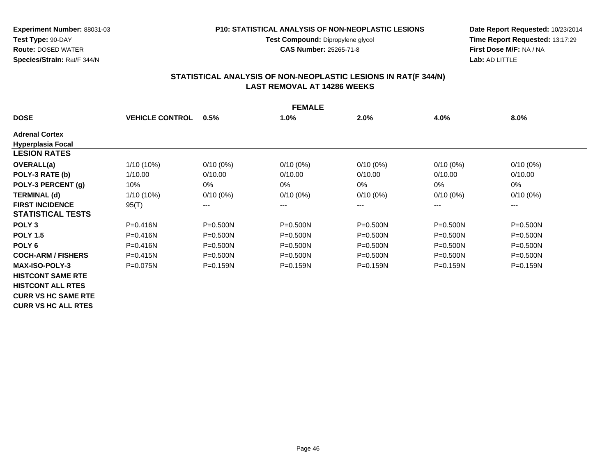#### **P10: STATISTICAL ANALYSIS OF NON-NEOPLASTIC LESIONS**

**Test Compound:** Dipropylene glycol **CAS Number:** 25265-71-8

**Date Report Requested:** 10/23/2014 **Time Report Requested:** 13:17:29**First Dose M/F:** NA / NA**Lab:** AD LITTLE

|                            |                        |              | <b>FEMALE</b> |              |              |              |
|----------------------------|------------------------|--------------|---------------|--------------|--------------|--------------|
| <b>DOSE</b>                | <b>VEHICLE CONTROL</b> | 0.5%         | 1.0%          | 2.0%         | 4.0%         | $8.0\%$      |
| <b>Adrenal Cortex</b>      |                        |              |               |              |              |              |
| <b>Hyperplasia Focal</b>   |                        |              |               |              |              |              |
| <b>LESION RATES</b>        |                        |              |               |              |              |              |
| OVERALL(a)                 | $1/10(10\%)$           | $0/10(0\%)$  | $0/10(0\%)$   | $0/10(0\%)$  | $0/10(0\%)$  | $0/10(0\%)$  |
| POLY-3 RATE (b)            | 1/10.00                | 0/10.00      | 0/10.00       | 0/10.00      | 0/10.00      | 0/10.00      |
| POLY-3 PERCENT (g)         | 10%                    | $0\%$        | $0\%$         | 0%           | 0%           | 0%           |
| <b>TERMINAL (d)</b>        | $1/10(10\%)$           | $0/10(0\%)$  | $0/10(0\%)$   | $0/10(0\%)$  | $0/10(0\%)$  | $0/10(0\%)$  |
| <b>FIRST INCIDENCE</b>     | 95(T)                  | $---$        | ---           | ---          | ---          | $---$        |
| <b>STATISTICAL TESTS</b>   |                        |              |               |              |              |              |
| POLY <sub>3</sub>          | $P = 0.416N$           | $P = 0.500N$ | $P = 0.500N$  | $P = 0.500N$ | $P = 0.500N$ | $P = 0.500N$ |
| <b>POLY 1.5</b>            | $P = 0.416N$           | $P = 0.500N$ | $P = 0.500N$  | $P = 0.500N$ | $P = 0.500N$ | $P = 0.500N$ |
| POLY <sub>6</sub>          | $P = 0.416N$           | $P = 0.500N$ | $P = 0.500N$  | $P = 0.500N$ | $P = 0.500N$ | $P = 0.500N$ |
| <b>COCH-ARM / FISHERS</b>  | $P = 0.415N$           | $P = 0.500N$ | $P = 0.500N$  | $P = 0.500N$ | $P = 0.500N$ | $P = 0.500N$ |
| <b>MAX-ISO-POLY-3</b>      | $P = 0.075N$           | $P = 0.159N$ | $P = 0.159N$  | $P = 0.159N$ | $P = 0.159N$ | $P = 0.159N$ |
| <b>HISTCONT SAME RTE</b>   |                        |              |               |              |              |              |
| <b>HISTCONT ALL RTES</b>   |                        |              |               |              |              |              |
| <b>CURR VS HC SAME RTE</b> |                        |              |               |              |              |              |
| <b>CURR VS HC ALL RTES</b> |                        |              |               |              |              |              |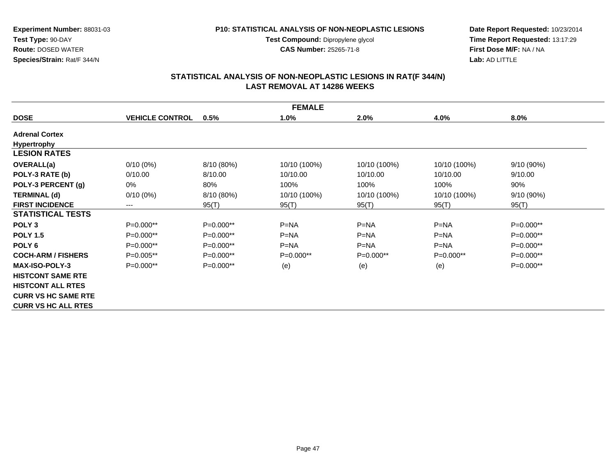**Experiment Number:** 88031-03**Test Type:** 90-DAY**Route:** DOSED WATER

**Species/Strain:** Rat/F 344/N

#### **P10: STATISTICAL ANALYSIS OF NON-NEOPLASTIC LESIONS**

**Test Compound:** Dipropylene glycol **CAS Number:** 25265-71-8

**Date Report Requested:** 10/23/2014 **Time Report Requested:** 13:17:29**First Dose M/F:** NA / NA**Lab:** AD LITTLE

|                            | <b>FEMALE</b>          |             |              |              |              |              |  |  |
|----------------------------|------------------------|-------------|--------------|--------------|--------------|--------------|--|--|
| <b>DOSE</b>                | <b>VEHICLE CONTROL</b> | 0.5%        | 1.0%         | 2.0%         | 4.0%         | 8.0%         |  |  |
| <b>Adrenal Cortex</b>      |                        |             |              |              |              |              |  |  |
| <b>Hypertrophy</b>         |                        |             |              |              |              |              |  |  |
| <b>LESION RATES</b>        |                        |             |              |              |              |              |  |  |
| OVERALL(a)                 | $0/10(0\%)$            | 8/10 (80%)  | 10/10 (100%) | 10/10 (100%) | 10/10 (100%) | $9/10(90\%)$ |  |  |
| POLY-3 RATE (b)            | 0/10.00                | 8/10.00     | 10/10.00     | 10/10.00     | 10/10.00     | 9/10.00      |  |  |
| POLY-3 PERCENT (g)         | 0%                     | 80%         | 100%         | 100%         | 100%         | 90%          |  |  |
| <b>TERMINAL (d)</b>        | $0/10(0\%)$            | 8/10 (80%)  | 10/10 (100%) | 10/10 (100%) | 10/10 (100%) | $9/10(90\%)$ |  |  |
| <b>FIRST INCIDENCE</b>     | ---                    | 95(T)       | 95(T)        | 95(T)        | 95(T)        | 95(T)        |  |  |
| <b>STATISTICAL TESTS</b>   |                        |             |              |              |              |              |  |  |
| POLY <sub>3</sub>          | $P=0.000**$            | P=0.000**   | $P=NA$       | $P=NA$       | $P=NA$       | P=0.000**    |  |  |
| <b>POLY 1.5</b>            | $P=0.000**$            | $P=0.000**$ | $P=NA$       | $P=NA$       | $P=NA$       | $P=0.000**$  |  |  |
| POLY <sub>6</sub>          | P=0.000**              | $P=0.000**$ | $P=NA$       | $P=NA$       | $P=NA$       | P=0.000**    |  |  |
| <b>COCH-ARM / FISHERS</b>  | $P=0.005**$            | $P=0.000**$ | $P=0.000**$  | $P=0.000**$  | $P=0.000**$  | $P=0.000**$  |  |  |
| <b>MAX-ISO-POLY-3</b>      | $P=0.000**$            | $P=0.000**$ | (e)          | (e)          | (e)          | $P=0.000**$  |  |  |
| <b>HISTCONT SAME RTE</b>   |                        |             |              |              |              |              |  |  |
| <b>HISTCONT ALL RTES</b>   |                        |             |              |              |              |              |  |  |
| <b>CURR VS HC SAME RTE</b> |                        |             |              |              |              |              |  |  |
| <b>CURR VS HC ALL RTES</b> |                        |             |              |              |              |              |  |  |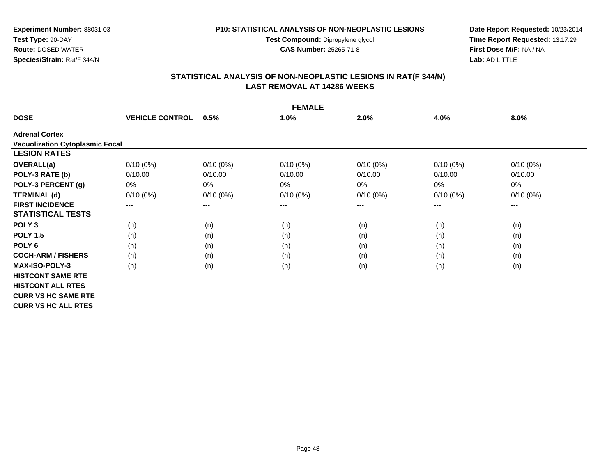#### **P10: STATISTICAL ANALYSIS OF NON-NEOPLASTIC LESIONS**

**Test Compound:** Dipropylene glycol **CAS Number:** 25265-71-8

**Date Report Requested:** 10/23/2014 **Time Report Requested:** 13:17:29**First Dose M/F:** NA / NA**Lab:** AD LITTLE

|                                        |                        |                        | <b>FEMALE</b> |             |             |             |
|----------------------------------------|------------------------|------------------------|---------------|-------------|-------------|-------------|
| <b>DOSE</b>                            | <b>VEHICLE CONTROL</b> | 0.5%                   | 1.0%          | 2.0%        | 4.0%        | 8.0%        |
| <b>Adrenal Cortex</b>                  |                        |                        |               |             |             |             |
| <b>Vacuolization Cytoplasmic Focal</b> |                        |                        |               |             |             |             |
| <b>LESION RATES</b>                    |                        |                        |               |             |             |             |
| <b>OVERALL(a)</b>                      | $0/10(0\%)$            | $0/10(0\%)$            | $0/10(0\%)$   | $0/10(0\%)$ | $0/10(0\%)$ | $0/10(0\%)$ |
| POLY-3 RATE (b)                        | 0/10.00                | 0/10.00                | 0/10.00       | 0/10.00     | 0/10.00     | 0/10.00     |
| POLY-3 PERCENT (g)                     | 0%                     | 0%                     | 0%            | 0%          | 0%          | 0%          |
| <b>TERMINAL (d)</b>                    | $0/10(0\%)$            | $0/10(0\%)$            | $0/10(0\%)$   | $0/10(0\%)$ | $0/10(0\%)$ | $0/10(0\%)$ |
| <b>FIRST INCIDENCE</b>                 | $\qquad \qquad \cdots$ | $\qquad \qquad \cdots$ | ---           | ---         | ---         | $--$        |
| <b>STATISTICAL TESTS</b>               |                        |                        |               |             |             |             |
| POLY <sub>3</sub>                      | (n)                    | (n)                    | (n)           | (n)         | (n)         | (n)         |
| <b>POLY 1.5</b>                        | (n)                    | (n)                    | (n)           | (n)         | (n)         | (n)         |
| POLY <sub>6</sub>                      | (n)                    | (n)                    | (n)           | (n)         | (n)         | (n)         |
| <b>COCH-ARM / FISHERS</b>              | (n)                    | (n)                    | (n)           | (n)         | (n)         | (n)         |
| <b>MAX-ISO-POLY-3</b>                  | (n)                    | (n)                    | (n)           | (n)         | (n)         | (n)         |
| <b>HISTCONT SAME RTE</b>               |                        |                        |               |             |             |             |
| <b>HISTCONT ALL RTES</b>               |                        |                        |               |             |             |             |
| <b>CURR VS HC SAME RTE</b>             |                        |                        |               |             |             |             |
| <b>CURR VS HC ALL RTES</b>             |                        |                        |               |             |             |             |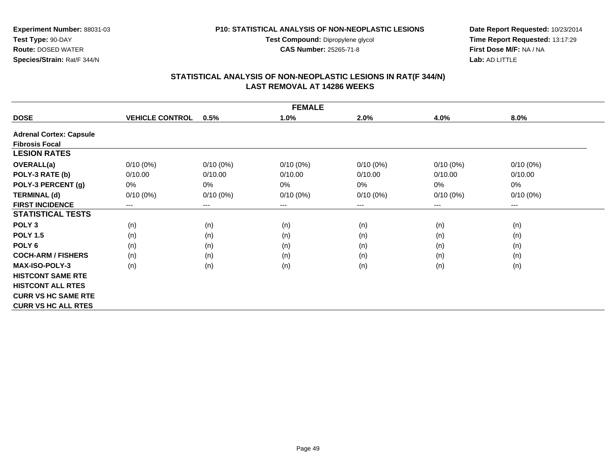#### **P10: STATISTICAL ANALYSIS OF NON-NEOPLASTIC LESIONS**

**Test Compound:** Dipropylene glycol **CAS Number:** 25265-71-8

**Date Report Requested:** 10/23/2014 **Time Report Requested:** 13:17:29**First Dose M/F:** NA / NA**Lab:** AD LITTLE

| <b>FEMALE</b>                  |                        |             |             |             |             |                        |  |  |  |  |
|--------------------------------|------------------------|-------------|-------------|-------------|-------------|------------------------|--|--|--|--|
| <b>DOSE</b>                    | <b>VEHICLE CONTROL</b> | 0.5%        | 1.0%        | 2.0%        | 4.0%        | 8.0%                   |  |  |  |  |
| <b>Adrenal Cortex: Capsule</b> |                        |             |             |             |             |                        |  |  |  |  |
| <b>Fibrosis Focal</b>          |                        |             |             |             |             |                        |  |  |  |  |
| <b>LESION RATES</b>            |                        |             |             |             |             |                        |  |  |  |  |
| OVERALL(a)                     | $0/10(0\%)$            | $0/10(0\%)$ | $0/10(0\%)$ | $0/10(0\%)$ | $0/10(0\%)$ | $0/10(0\%)$            |  |  |  |  |
| POLY-3 RATE (b)                | 0/10.00                | 0/10.00     | 0/10.00     | 0/10.00     | 0/10.00     | 0/10.00                |  |  |  |  |
| POLY-3 PERCENT (g)             | 0%                     | 0%          | 0%          | $0\%$       | 0%          | 0%                     |  |  |  |  |
| <b>TERMINAL (d)</b>            | $0/10(0\%)$            | $0/10(0\%)$ | $0/10(0\%)$ | $0/10(0\%)$ | $0/10(0\%)$ | $0/10(0\%)$            |  |  |  |  |
| <b>FIRST INCIDENCE</b>         | $---$                  | $--$        | ---         | ---         | ---         | $\qquad \qquad \cdots$ |  |  |  |  |
| <b>STATISTICAL TESTS</b>       |                        |             |             |             |             |                        |  |  |  |  |
| POLY <sub>3</sub>              | (n)                    | (n)         | (n)         | (n)         | (n)         | (n)                    |  |  |  |  |
| <b>POLY 1.5</b>                | (n)                    | (n)         | (n)         | (n)         | (n)         | (n)                    |  |  |  |  |
| POLY <sub>6</sub>              | (n)                    | (n)         | (n)         | (n)         | (n)         | (n)                    |  |  |  |  |
| <b>COCH-ARM / FISHERS</b>      | (n)                    | (n)         | (n)         | (n)         | (n)         | (n)                    |  |  |  |  |
| <b>MAX-ISO-POLY-3</b>          | (n)                    | (n)         | (n)         | (n)         | (n)         | (n)                    |  |  |  |  |
| <b>HISTCONT SAME RTE</b>       |                        |             |             |             |             |                        |  |  |  |  |
| <b>HISTCONT ALL RTES</b>       |                        |             |             |             |             |                        |  |  |  |  |
| <b>CURR VS HC SAME RTE</b>     |                        |             |             |             |             |                        |  |  |  |  |
| <b>CURR VS HC ALL RTES</b>     |                        |             |             |             |             |                        |  |  |  |  |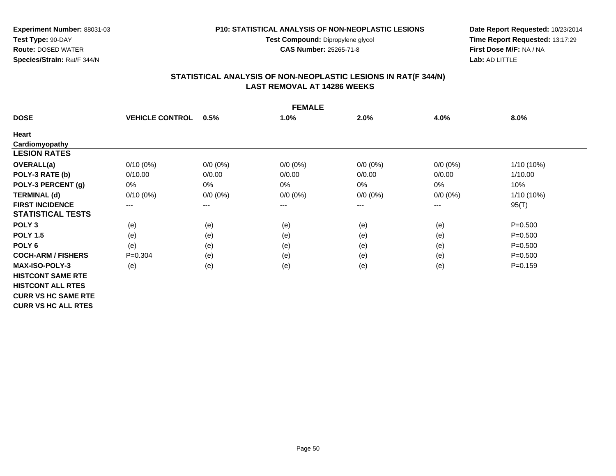**Test Compound:** Dipropylene glycol

**CAS Number:** 25265-71-8

**Date Report Requested:** 10/23/2014 **Time Report Requested:** 13:17:29**First Dose M/F:** NA / NA**Lab:** AD LITTLE

# **STATISTICAL ANALYSIS OF NON-NEOPLASTIC LESIONS IN RAT(F 344/N) LAST REMOVAL AT 14286 WEEKS**

| <b>FEMALE</b>              |                        |                        |             |             |             |             |  |  |  |  |
|----------------------------|------------------------|------------------------|-------------|-------------|-------------|-------------|--|--|--|--|
| <b>DOSE</b>                | <b>VEHICLE CONTROL</b> | 0.5%                   | 1.0%        | 2.0%        | 4.0%        | 8.0%        |  |  |  |  |
| Heart                      |                        |                        |             |             |             |             |  |  |  |  |
| Cardiomyopathy             |                        |                        |             |             |             |             |  |  |  |  |
| <b>LESION RATES</b>        |                        |                        |             |             |             |             |  |  |  |  |
| <b>OVERALL(a)</b>          | $0/10(0\%)$            | $0/0 (0\%)$            | $0/0 (0\%)$ | $0/0 (0\%)$ | $0/0 (0\%)$ | 1/10 (10%)  |  |  |  |  |
| POLY-3 RATE (b)            | 0/10.00                | 0/0.00                 | 0/0.00      | 0/0.00      | 0/0.00      | 1/10.00     |  |  |  |  |
| POLY-3 PERCENT (g)         | 0%                     | 0%                     | 0%          | $0\%$       | 0%          | 10%         |  |  |  |  |
| <b>TERMINAL (d)</b>        | $0/10(0\%)$            | $0/0 (0\%)$            | $0/0 (0\%)$ | $0/0 (0\%)$ | $0/0 (0\%)$ | 1/10 (10%)  |  |  |  |  |
| <b>FIRST INCIDENCE</b>     | $\qquad \qquad \cdots$ | $\qquad \qquad \cdots$ | ---         | ---         | $---$       | 95(T)       |  |  |  |  |
| <b>STATISTICAL TESTS</b>   |                        |                        |             |             |             |             |  |  |  |  |
| POLY <sub>3</sub>          | (e)                    | (e)                    | (e)         | (e)         | (e)         | $P = 0.500$ |  |  |  |  |
| <b>POLY 1.5</b>            | (e)                    | (e)                    | (e)         | (e)         | (e)         | $P = 0.500$ |  |  |  |  |
| POLY <sub>6</sub>          | (e)                    | (e)                    | (e)         | (e)         | (e)         | $P = 0.500$ |  |  |  |  |
| <b>COCH-ARM / FISHERS</b>  | $P=0.304$              | (e)                    | (e)         | (e)         | (e)         | $P = 0.500$ |  |  |  |  |
| <b>MAX-ISO-POLY-3</b>      | (e)                    | (e)                    | (e)         | (e)         | (e)         | $P = 0.159$ |  |  |  |  |
| <b>HISTCONT SAME RTE</b>   |                        |                        |             |             |             |             |  |  |  |  |
| <b>HISTCONT ALL RTES</b>   |                        |                        |             |             |             |             |  |  |  |  |
| <b>CURR VS HC SAME RTE</b> |                        |                        |             |             |             |             |  |  |  |  |
| <b>CURR VS HC ALL RTES</b> |                        |                        |             |             |             |             |  |  |  |  |

Page 50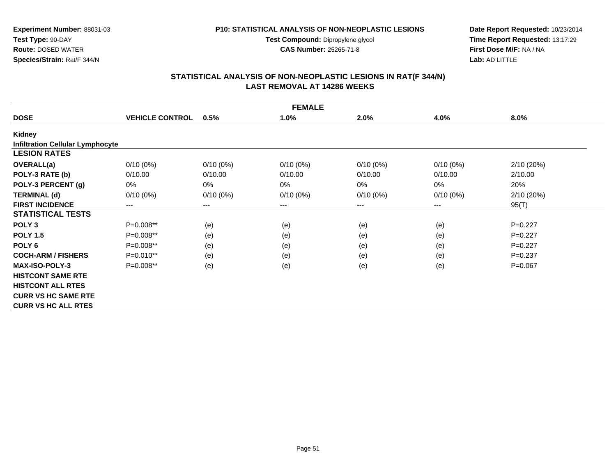#### **P10: STATISTICAL ANALYSIS OF NON-NEOPLASTIC LESIONS**

**Test Compound:** Dipropylene glycol **CAS Number:** 25265-71-8

**Date Report Requested:** 10/23/2014 **Time Report Requested:** 13:17:29**First Dose M/F:** NA / NA**Lab:** AD LITTLE

|                                         |                        |             | <b>FEMALE</b> |             |                            |            |
|-----------------------------------------|------------------------|-------------|---------------|-------------|----------------------------|------------|
| <b>DOSE</b>                             | <b>VEHICLE CONTROL</b> | 0.5%        | 1.0%          | 2.0%        | 4.0%                       | 8.0%       |
| Kidney                                  |                        |             |               |             |                            |            |
| <b>Infiltration Cellular Lymphocyte</b> |                        |             |               |             |                            |            |
| <b>LESION RATES</b>                     |                        |             |               |             |                            |            |
| <b>OVERALL(a)</b>                       | $0/10(0\%)$            | $0/10(0\%)$ | $0/10(0\%)$   | $0/10(0\%)$ | $0/10(0\%)$                | 2/10(20%)  |
| POLY-3 RATE (b)                         | 0/10.00                | 0/10.00     | 0/10.00       | 0/10.00     | 0/10.00                    | 2/10.00    |
| POLY-3 PERCENT (g)                      | 0%                     | 0%          | $0\%$         | 0%          | 0%                         | 20%        |
| <b>TERMINAL (d)</b>                     | $0/10(0\%)$            | $0/10(0\%)$ | $0/10(0\%)$   | $0/10(0\%)$ | $0/10(0\%)$                | 2/10 (20%) |
| <b>FIRST INCIDENCE</b>                  | $---$                  | ---         | ---           | ---         | $\qquad \qquad - \qquad -$ | 95(T)      |
| <b>STATISTICAL TESTS</b>                |                        |             |               |             |                            |            |
| POLY <sub>3</sub>                       | P=0.008**              | (e)         | (e)           | (e)         | (e)                        | $P=0.227$  |
| <b>POLY 1.5</b>                         | P=0.008**              | (e)         | (e)           | (e)         | (e)                        | $P=0.227$  |
| POLY <sub>6</sub>                       | P=0.008**              | (e)         | (e)           | (e)         | (e)                        | $P=0.227$  |
| <b>COCH-ARM / FISHERS</b>               | P=0.010**              | (e)         | (e)           | (e)         | (e)                        | $P=0.237$  |
| <b>MAX-ISO-POLY-3</b>                   | P=0.008**              | (e)         | (e)           | (e)         | (e)                        | $P=0.067$  |
| <b>HISTCONT SAME RTE</b>                |                        |             |               |             |                            |            |
| <b>HISTCONT ALL RTES</b>                |                        |             |               |             |                            |            |
| <b>CURR VS HC SAME RTE</b>              |                        |             |               |             |                            |            |
| <b>CURR VS HC ALL RTES</b>              |                        |             |               |             |                            |            |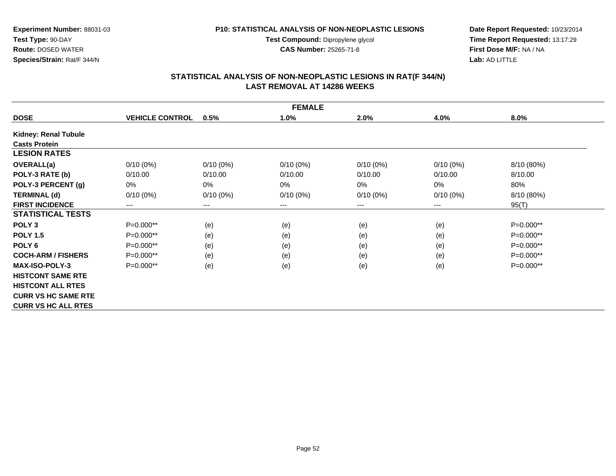#### **P10: STATISTICAL ANALYSIS OF NON-NEOPLASTIC LESIONS**

**Test Compound:** Dipropylene glycol **CAS Number:** 25265-71-8

**Date Report Requested:** 10/23/2014 **Time Report Requested:** 13:17:29**First Dose M/F:** NA / NA**Lab:** AD LITTLE

|                             |                        |             | <b>FEMALE</b> |             |             |             |
|-----------------------------|------------------------|-------------|---------------|-------------|-------------|-------------|
| <b>DOSE</b>                 | <b>VEHICLE CONTROL</b> | 0.5%        | 1.0%          | 2.0%        | 4.0%        | 8.0%        |
| <b>Kidney: Renal Tubule</b> |                        |             |               |             |             |             |
| <b>Casts Protein</b>        |                        |             |               |             |             |             |
| <b>LESION RATES</b>         |                        |             |               |             |             |             |
| OVERALL(a)                  | $0/10(0\%)$            | $0/10(0\%)$ | $0/10(0\%)$   | $0/10(0\%)$ | $0/10(0\%)$ | 8/10 (80%)  |
| POLY-3 RATE (b)             | 0/10.00                | 0/10.00     | 0/10.00       | 0/10.00     | 0/10.00     | 8/10.00     |
| POLY-3 PERCENT (g)          | 0%                     | 0%          | 0%            | $0\%$       | 0%          | 80%         |
| <b>TERMINAL (d)</b>         | $0/10(0\%)$            | $0/10(0\%)$ | $0/10(0\%)$   | $0/10(0\%)$ | $0/10(0\%)$ | 8/10 (80%)  |
| <b>FIRST INCIDENCE</b>      | $---$                  | $---$       | ---           | $---$       | ---         | 95(T)       |
| <b>STATISTICAL TESTS</b>    |                        |             |               |             |             |             |
| POLY <sub>3</sub>           | P=0.000**              | (e)         | (e)           | (e)         | (e)         | $P=0.000**$ |
| <b>POLY 1.5</b>             | P=0.000**              | (e)         | (e)           | (e)         | (e)         | $P=0.000**$ |
| POLY <sub>6</sub>           | P=0.000**              | (e)         | (e)           | (e)         | (e)         | P=0.000**   |
| <b>COCH-ARM / FISHERS</b>   | $P=0.000**$            | (e)         | (e)           | (e)         | (e)         | $P=0.000**$ |
| <b>MAX-ISO-POLY-3</b>       | P=0.000**              | (e)         | (e)           | (e)         | (e)         | P=0.000**   |
| <b>HISTCONT SAME RTE</b>    |                        |             |               |             |             |             |
| <b>HISTCONT ALL RTES</b>    |                        |             |               |             |             |             |
| <b>CURR VS HC SAME RTE</b>  |                        |             |               |             |             |             |
| <b>CURR VS HC ALL RTES</b>  |                        |             |               |             |             |             |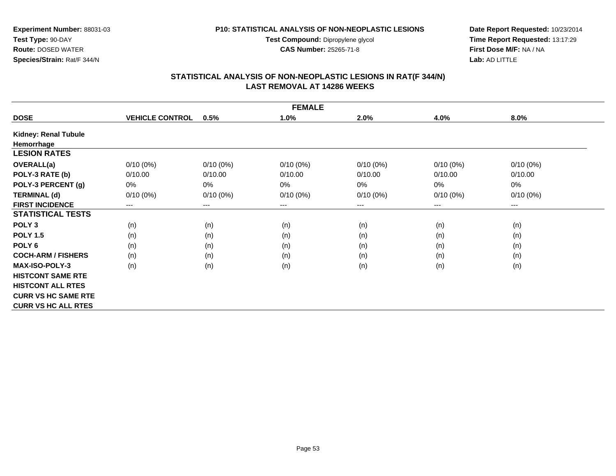#### **P10: STATISTICAL ANALYSIS OF NON-NEOPLASTIC LESIONS**

**Test Compound:** Dipropylene glycol **CAS Number:** 25265-71-8

**Date Report Requested:** 10/23/2014 **Time Report Requested:** 13:17:29**First Dose M/F:** NA / NA**Lab:** AD LITTLE

|                            | <b>FEMALE</b>          |             |             |             |             |             |  |  |  |  |  |
|----------------------------|------------------------|-------------|-------------|-------------|-------------|-------------|--|--|--|--|--|
| <b>DOSE</b>                | <b>VEHICLE CONTROL</b> | 0.5%        | 1.0%        | 2.0%        | 4.0%        | 8.0%        |  |  |  |  |  |
| Kidney: Renal Tubule       |                        |             |             |             |             |             |  |  |  |  |  |
| Hemorrhage                 |                        |             |             |             |             |             |  |  |  |  |  |
| <b>LESION RATES</b>        |                        |             |             |             |             |             |  |  |  |  |  |
| OVERALL(a)                 | $0/10(0\%)$            | $0/10(0\%)$ | $0/10(0\%)$ | $0/10(0\%)$ | $0/10(0\%)$ | $0/10(0\%)$ |  |  |  |  |  |
| POLY-3 RATE (b)            | 0/10.00                | 0/10.00     | 0/10.00     | 0/10.00     | 0/10.00     | 0/10.00     |  |  |  |  |  |
| POLY-3 PERCENT (g)         | 0%                     | 0%          | 0%          | 0%          | 0%          | $0\%$       |  |  |  |  |  |
| <b>TERMINAL (d)</b>        | $0/10(0\%)$            | $0/10(0\%)$ | $0/10(0\%)$ | $0/10(0\%)$ | $0/10(0\%)$ | $0/10(0\%)$ |  |  |  |  |  |
| <b>FIRST INCIDENCE</b>     | $---$                  | $--$        | ---         | ---         | ---         | $--$        |  |  |  |  |  |
| <b>STATISTICAL TESTS</b>   |                        |             |             |             |             |             |  |  |  |  |  |
| POLY <sub>3</sub>          | (n)                    | (n)         | (n)         | (n)         | (n)         | (n)         |  |  |  |  |  |
| <b>POLY 1.5</b>            | (n)                    | (n)         | (n)         | (n)         | (n)         | (n)         |  |  |  |  |  |
| POLY <sub>6</sub>          | (n)                    | (n)         | (n)         | (n)         | (n)         | (n)         |  |  |  |  |  |
| <b>COCH-ARM / FISHERS</b>  | (n)                    | (n)         | (n)         | (n)         | (n)         | (n)         |  |  |  |  |  |
| <b>MAX-ISO-POLY-3</b>      | (n)                    | (n)         | (n)         | (n)         | (n)         | (n)         |  |  |  |  |  |
| <b>HISTCONT SAME RTE</b>   |                        |             |             |             |             |             |  |  |  |  |  |
| <b>HISTCONT ALL RTES</b>   |                        |             |             |             |             |             |  |  |  |  |  |
| <b>CURR VS HC SAME RTE</b> |                        |             |             |             |             |             |  |  |  |  |  |
| <b>CURR VS HC ALL RTES</b> |                        |             |             |             |             |             |  |  |  |  |  |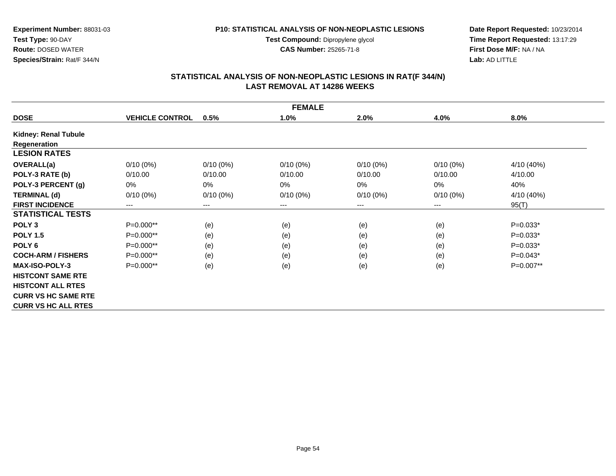#### **P10: STATISTICAL ANALYSIS OF NON-NEOPLASTIC LESIONS**

**Test Compound:** Dipropylene glycol **CAS Number:** 25265-71-8

**Date Report Requested:** 10/23/2014 **Time Report Requested:** 13:17:29**First Dose M/F:** NA / NA**Lab:** AD LITTLE

|                            |                        |             | <b>FEMALE</b> |             |             |            |
|----------------------------|------------------------|-------------|---------------|-------------|-------------|------------|
| <b>DOSE</b>                | <b>VEHICLE CONTROL</b> | 0.5%        | 1.0%          | 2.0%        | 4.0%        | 8.0%       |
| Kidney: Renal Tubule       |                        |             |               |             |             |            |
| Regeneration               |                        |             |               |             |             |            |
| <b>LESION RATES</b>        |                        |             |               |             |             |            |
| <b>OVERALL(a)</b>          | $0/10(0\%)$            | $0/10(0\%)$ | $0/10(0\%)$   | $0/10(0\%)$ | $0/10(0\%)$ | 4/10 (40%) |
| POLY-3 RATE (b)            | 0/10.00                | 0/10.00     | 0/10.00       | 0/10.00     | 0/10.00     | 4/10.00    |
| POLY-3 PERCENT (g)         | 0%                     | 0%          | 0%            | 0%          | 0%          | 40%        |
| <b>TERMINAL (d)</b>        | $0/10(0\%)$            | $0/10(0\%)$ | $0/10(0\%)$   | $0/10(0\%)$ | $0/10(0\%)$ | 4/10 (40%) |
| <b>FIRST INCIDENCE</b>     | ---                    | $---$       | ---           | ---         | ---         | 95(T)      |
| <b>STATISTICAL TESTS</b>   |                        |             |               |             |             |            |
| POLY <sub>3</sub>          | $P=0.000**$            | (e)         | (e)           | (e)         | (e)         | $P=0.033*$ |
| <b>POLY 1.5</b>            | P=0.000**              | (e)         | (e)           | (e)         | (e)         | $P=0.033*$ |
| POLY <sub>6</sub>          | P=0.000**              | (e)         | (e)           | (e)         | (e)         | $P=0.033*$ |
| <b>COCH-ARM / FISHERS</b>  | $P=0.000**$            | (e)         | (e)           | (e)         | (e)         | $P=0.043*$ |
| <b>MAX-ISO-POLY-3</b>      | P=0.000**              | (e)         | (e)           | (e)         | (e)         | P=0.007**  |
| <b>HISTCONT SAME RTE</b>   |                        |             |               |             |             |            |
| <b>HISTCONT ALL RTES</b>   |                        |             |               |             |             |            |
| <b>CURR VS HC SAME RTE</b> |                        |             |               |             |             |            |
| <b>CURR VS HC ALL RTES</b> |                        |             |               |             |             |            |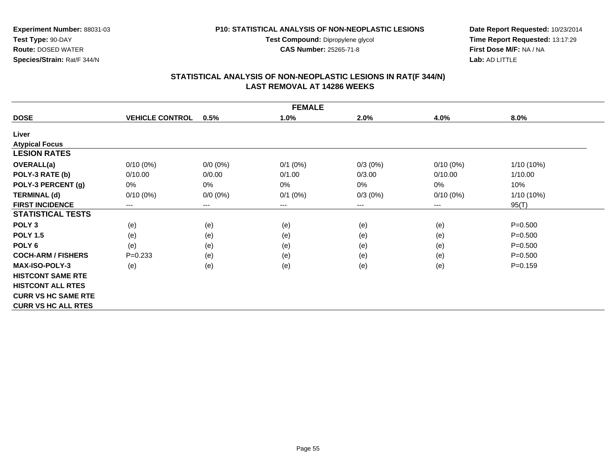**Test Compound:** Dipropylene glycol

**CAS Number:** 25265-71-8

**Date Report Requested:** 10/23/2014 **Time Report Requested:** 13:17:29**First Dose M/F:** NA / NA**Lab:** AD LITTLE

## **STATISTICAL ANALYSIS OF NON-NEOPLASTIC LESIONS IN RAT(F 344/N) LAST REMOVAL AT 14286 WEEKS**

| <b>FEMALE</b>              |                        |                        |            |         |             |              |  |  |  |  |
|----------------------------|------------------------|------------------------|------------|---------|-------------|--------------|--|--|--|--|
| <b>DOSE</b>                | <b>VEHICLE CONTROL</b> | 0.5%                   | 1.0%       | 2.0%    | 4.0%        | 8.0%         |  |  |  |  |
| Liver                      |                        |                        |            |         |             |              |  |  |  |  |
| <b>Atypical Focus</b>      |                        |                        |            |         |             |              |  |  |  |  |
| <b>LESION RATES</b>        |                        |                        |            |         |             |              |  |  |  |  |
| OVERALL(a)                 | $0/10(0\%)$            | $0/0 (0\%)$            | $0/1$ (0%) | 0/3(0%) | $0/10(0\%)$ | $1/10(10\%)$ |  |  |  |  |
| POLY-3 RATE (b)            | 0/10.00                | 0/0.00                 | 0/1.00     | 0/3.00  | 0/10.00     | 1/10.00      |  |  |  |  |
| POLY-3 PERCENT (g)         | 0%                     | 0%                     | 0%         | 0%      | 0%          | 10%          |  |  |  |  |
| <b>TERMINAL (d)</b>        | $0/10(0\%)$            | $0/0 (0\%)$            | $0/1$ (0%) | 0/3(0%) | $0/10(0\%)$ | $1/10(10\%)$ |  |  |  |  |
| <b>FIRST INCIDENCE</b>     | $\qquad \qquad \cdots$ | $\qquad \qquad \cdots$ | ---        | ---     | ---         | 95(T)        |  |  |  |  |
| <b>STATISTICAL TESTS</b>   |                        |                        |            |         |             |              |  |  |  |  |
| POLY <sub>3</sub>          | (e)                    | (e)                    | (e)        | (e)     | (e)         | $P = 0.500$  |  |  |  |  |
| <b>POLY 1.5</b>            | (e)                    | (e)                    | (e)        | (e)     | (e)         | $P = 0.500$  |  |  |  |  |
| POLY <sub>6</sub>          | (e)                    | (e)                    | (e)        | (e)     | (e)         | $P = 0.500$  |  |  |  |  |
| <b>COCH-ARM / FISHERS</b>  | $P = 0.233$            | (e)                    | (e)        | (e)     | (e)         | $P = 0.500$  |  |  |  |  |
| <b>MAX-ISO-POLY-3</b>      | (e)                    | (e)                    | (e)        | (e)     | (e)         | $P=0.159$    |  |  |  |  |
| <b>HISTCONT SAME RTE</b>   |                        |                        |            |         |             |              |  |  |  |  |
| <b>HISTCONT ALL RTES</b>   |                        |                        |            |         |             |              |  |  |  |  |
| <b>CURR VS HC SAME RTE</b> |                        |                        |            |         |             |              |  |  |  |  |
| <b>CURR VS HC ALL RTES</b> |                        |                        |            |         |             |              |  |  |  |  |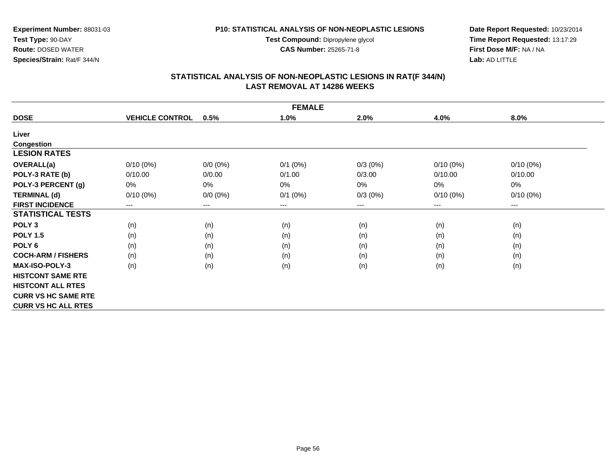**Test Compound:** Dipropylene glycol

**CAS Number:** 25265-71-8

**Date Report Requested:** 10/23/2014 **Time Report Requested:** 13:17:29**First Dose M/F:** NA / NA**Lab:** AD LITTLE

# **STATISTICAL ANALYSIS OF NON-NEOPLASTIC LESIONS IN RAT(F 344/N) LAST REMOVAL AT 14286 WEEKS**

| <b>FEMALE</b>              |                        |                            |              |         |             |                        |  |  |  |  |
|----------------------------|------------------------|----------------------------|--------------|---------|-------------|------------------------|--|--|--|--|
| <b>DOSE</b>                | <b>VEHICLE CONTROL</b> | 0.5%                       | 1.0%         | 2.0%    | 4.0%        | 8.0%                   |  |  |  |  |
| Liver                      |                        |                            |              |         |             |                        |  |  |  |  |
| <b>Congestion</b>          |                        |                            |              |         |             |                        |  |  |  |  |
| <b>LESION RATES</b>        |                        |                            |              |         |             |                        |  |  |  |  |
| <b>OVERALL(a)</b>          | $0/10(0\%)$            | $0/0 (0\%)$                | $0/1$ (0%)   | 0/3(0%) | $0/10(0\%)$ | $0/10(0\%)$            |  |  |  |  |
| POLY-3 RATE (b)            | 0/10.00                | 0/0.00                     | 0/1.00       | 0/3.00  | 0/10.00     | 0/10.00                |  |  |  |  |
| POLY-3 PERCENT (g)         | 0%                     | 0%                         | 0%           | 0%      | 0%          | $0\%$                  |  |  |  |  |
| <b>TERMINAL (d)</b>        | $0/10(0\%)$            | $0/0 (0\%)$                | $0/1$ $(0%)$ | 0/3(0%) | $0/10(0\%)$ | $0/10(0\%)$            |  |  |  |  |
| <b>FIRST INCIDENCE</b>     | ---                    | $\qquad \qquad - \qquad -$ | $---$        | ---     | ---         | $\qquad \qquad \cdots$ |  |  |  |  |
| <b>STATISTICAL TESTS</b>   |                        |                            |              |         |             |                        |  |  |  |  |
| POLY <sub>3</sub>          | (n)                    | (n)                        | (n)          | (n)     | (n)         | (n)                    |  |  |  |  |
| <b>POLY 1.5</b>            | (n)                    | (n)                        | (n)          | (n)     | (n)         | (n)                    |  |  |  |  |
| POLY <sub>6</sub>          | (n)                    | (n)                        | (n)          | (n)     | (n)         | (n)                    |  |  |  |  |
| <b>COCH-ARM / FISHERS</b>  | (n)                    | (n)                        | (n)          | (n)     | (n)         | (n)                    |  |  |  |  |
| <b>MAX-ISO-POLY-3</b>      | (n)                    | (n)                        | (n)          | (n)     | (n)         | (n)                    |  |  |  |  |
| <b>HISTCONT SAME RTE</b>   |                        |                            |              |         |             |                        |  |  |  |  |
| <b>HISTCONT ALL RTES</b>   |                        |                            |              |         |             |                        |  |  |  |  |
| <b>CURR VS HC SAME RTE</b> |                        |                            |              |         |             |                        |  |  |  |  |
| <b>CURR VS HC ALL RTES</b> |                        |                            |              |         |             |                        |  |  |  |  |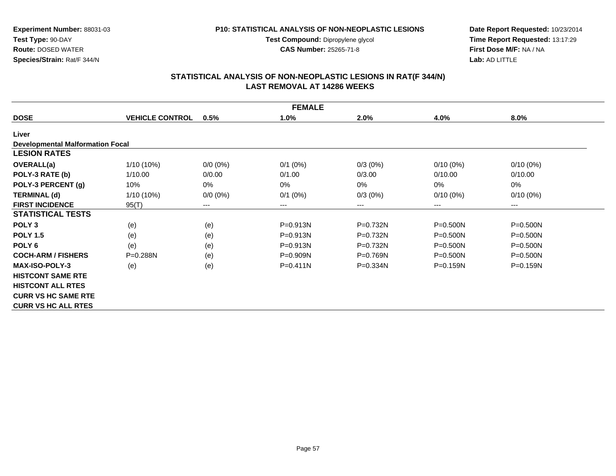**Test Compound:** Dipropylene glycol

**CAS Number:** 25265-71-8

**Date Report Requested:** 10/23/2014 **Time Report Requested:** 13:17:29**First Dose M/F:** NA / NA**Lab:** AD LITTLE

# **STATISTICAL ANALYSIS OF NON-NEOPLASTIC LESIONS IN RAT(F 344/N) LAST REMOVAL AT 14286 WEEKS**

| <b>FEMALE</b>                           |                        |             |              |              |                            |              |  |  |  |  |
|-----------------------------------------|------------------------|-------------|--------------|--------------|----------------------------|--------------|--|--|--|--|
| <b>DOSE</b>                             | <b>VEHICLE CONTROL</b> | 0.5%        | 1.0%         | 2.0%         | 4.0%                       | 8.0%         |  |  |  |  |
| Liver                                   |                        |             |              |              |                            |              |  |  |  |  |
| <b>Developmental Malformation Focal</b> |                        |             |              |              |                            |              |  |  |  |  |
| <b>LESION RATES</b>                     |                        |             |              |              |                            |              |  |  |  |  |
| <b>OVERALL(a)</b>                       | 1/10 (10%)             | $0/0 (0\%)$ | $0/1$ (0%)   | $0/3(0\%)$   | $0/10(0\%)$                | $0/10(0\%)$  |  |  |  |  |
| POLY-3 RATE (b)                         | 1/10.00                | 0/0.00      | 0/1.00       | 0/3.00       | 0/10.00                    | 0/10.00      |  |  |  |  |
| POLY-3 PERCENT (g)                      | 10%                    | 0%          | 0%           | 0%           | 0%                         | 0%           |  |  |  |  |
| <b>TERMINAL (d)</b>                     | $1/10(10\%)$           | $0/0 (0\%)$ | $0/1$ (0%)   | $0/3(0\%)$   | $0/10(0\%)$                | $0/10(0\%)$  |  |  |  |  |
| <b>FIRST INCIDENCE</b>                  | 95(T)                  | ---         | ---          | ---          | $\qquad \qquad - \qquad -$ | $---$        |  |  |  |  |
| <b>STATISTICAL TESTS</b>                |                        |             |              |              |                            |              |  |  |  |  |
| POLY <sub>3</sub>                       | (e)                    | (e)         | P=0.913N     | P=0.732N     | $P = 0.500N$               | P=0.500N     |  |  |  |  |
| <b>POLY 1.5</b>                         | (e)                    | (e)         | P=0.913N     | $P=0.732N$   | $P = 0.500N$               | $P = 0.500N$ |  |  |  |  |
| POLY <sub>6</sub>                       | (e)                    | (e)         | P=0.913N     | $P=0.732N$   | $P = 0.500N$               | $P = 0.500N$ |  |  |  |  |
| <b>COCH-ARM / FISHERS</b>               | $P = 0.288N$           | (e)         | $P = 0.909N$ | $P = 0.769N$ | $P = 0.500N$               | $P = 0.500N$ |  |  |  |  |
| <b>MAX-ISO-POLY-3</b>                   | (e)                    | (e)         | $P = 0.411N$ | $P = 0.334N$ | $P = 0.159N$               | $P = 0.159N$ |  |  |  |  |
| <b>HISTCONT SAME RTE</b>                |                        |             |              |              |                            |              |  |  |  |  |
| <b>HISTCONT ALL RTES</b>                |                        |             |              |              |                            |              |  |  |  |  |
| <b>CURR VS HC SAME RTE</b>              |                        |             |              |              |                            |              |  |  |  |  |
| <b>CURR VS HC ALL RTES</b>              |                        |             |              |              |                            |              |  |  |  |  |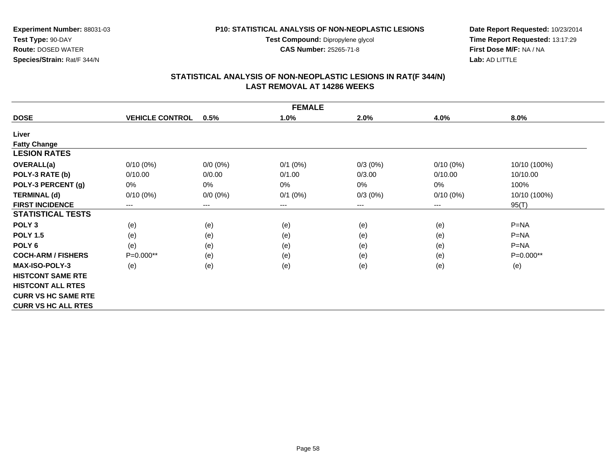**Test Compound:** Dipropylene glycol

**CAS Number:** 25265-71-8

**Date Report Requested:** 10/23/2014 **Time Report Requested:** 13:17:29**First Dose M/F:** NA / NA**Lab:** AD LITTLE

# **STATISTICAL ANALYSIS OF NON-NEOPLASTIC LESIONS IN RAT(F 344/N) LAST REMOVAL AT 14286 WEEKS**

| <b>FEMALE</b>              |                        |             |              |            |             |              |  |  |  |  |
|----------------------------|------------------------|-------------|--------------|------------|-------------|--------------|--|--|--|--|
| <b>DOSE</b>                | <b>VEHICLE CONTROL</b> | 0.5%        | 1.0%         | 2.0%       | 4.0%        | 8.0%         |  |  |  |  |
| Liver                      |                        |             |              |            |             |              |  |  |  |  |
| <b>Fatty Change</b>        |                        |             |              |            |             |              |  |  |  |  |
| <b>LESION RATES</b>        |                        |             |              |            |             |              |  |  |  |  |
| <b>OVERALL(a)</b>          | $0/10(0\%)$            | $0/0 (0\%)$ | $0/1$ (0%)   | $0/3(0\%)$ | $0/10(0\%)$ | 10/10 (100%) |  |  |  |  |
| POLY-3 RATE (b)            | 0/10.00                | 0/0.00      | 0/1.00       | 0/3.00     | 0/10.00     | 10/10.00     |  |  |  |  |
| POLY-3 PERCENT (g)         | 0%                     | 0%          | 0%           | $0\%$      | 0%          | 100%         |  |  |  |  |
| <b>TERMINAL (d)</b>        | $0/10(0\%)$            | $0/0 (0\%)$ | $0/1$ $(0%)$ | $0/3(0\%)$ | $0/10(0\%)$ | 10/10 (100%) |  |  |  |  |
| <b>FIRST INCIDENCE</b>     | $---$                  | $---$       | ---          | ---        | $---$       | 95(T)        |  |  |  |  |
| <b>STATISTICAL TESTS</b>   |                        |             |              |            |             |              |  |  |  |  |
| POLY <sub>3</sub>          | (e)                    | (e)         | (e)          | (e)        | (e)         | $P = NA$     |  |  |  |  |
| <b>POLY 1.5</b>            | (e)                    | (e)         | (e)          | (e)        | (e)         | $P = NA$     |  |  |  |  |
| POLY <sub>6</sub>          | (e)                    | (e)         | (e)          | (e)        | (e)         | $P=NA$       |  |  |  |  |
| <b>COCH-ARM / FISHERS</b>  | $P=0.000**$            | (e)         | (e)          | (e)        | (e)         | $P=0.000**$  |  |  |  |  |
| <b>MAX-ISO-POLY-3</b>      | (e)                    | (e)         | (e)          | (e)        | (e)         | (e)          |  |  |  |  |
| <b>HISTCONT SAME RTE</b>   |                        |             |              |            |             |              |  |  |  |  |
| <b>HISTCONT ALL RTES</b>   |                        |             |              |            |             |              |  |  |  |  |
| <b>CURR VS HC SAME RTE</b> |                        |             |              |            |             |              |  |  |  |  |
| <b>CURR VS HC ALL RTES</b> |                        |             |              |            |             |              |  |  |  |  |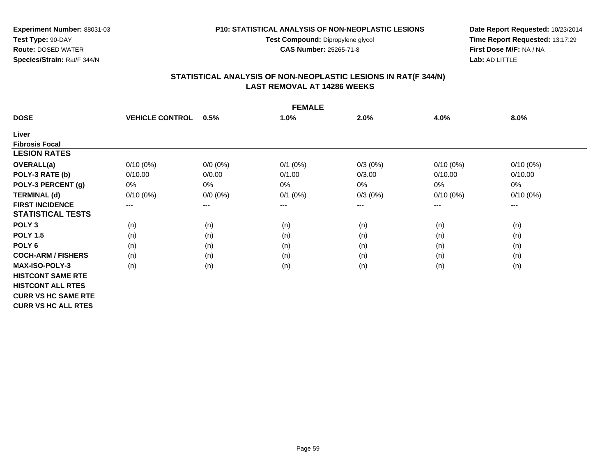**Test Compound:** Dipropylene glycol

**CAS Number:** 25265-71-8

**Date Report Requested:** 10/23/2014 **Time Report Requested:** 13:17:29**First Dose M/F:** NA / NA**Lab:** AD LITTLE

# **STATISTICAL ANALYSIS OF NON-NEOPLASTIC LESIONS IN RAT(F 344/N) LAST REMOVAL AT 14286 WEEKS**

| <b>FEMALE</b>              |                        |             |              |            |             |             |  |  |  |  |
|----------------------------|------------------------|-------------|--------------|------------|-------------|-------------|--|--|--|--|
| <b>DOSE</b>                | <b>VEHICLE CONTROL</b> | 0.5%        | 1.0%         | 2.0%       | 4.0%        | 8.0%        |  |  |  |  |
| Liver                      |                        |             |              |            |             |             |  |  |  |  |
| <b>Fibrosis Focal</b>      |                        |             |              |            |             |             |  |  |  |  |
| <b>LESION RATES</b>        |                        |             |              |            |             |             |  |  |  |  |
| <b>OVERALL(a)</b>          | $0/10(0\%)$            | $0/0 (0\%)$ | $0/1$ $(0%)$ | $0/3(0\%)$ | $0/10(0\%)$ | $0/10(0\%)$ |  |  |  |  |
| POLY-3 RATE (b)            | 0/10.00                | 0/0.00      | 0/1.00       | 0/3.00     | 0/10.00     | 0/10.00     |  |  |  |  |
| POLY-3 PERCENT (g)         | 0%                     | 0%          | $0\%$        | $0\%$      | 0%          | 0%          |  |  |  |  |
| <b>TERMINAL (d)</b>        | $0/10(0\%)$            | $0/0 (0\%)$ | $0/1$ $(0%)$ | $0/3(0\%)$ | $0/10(0\%)$ | $0/10(0\%)$ |  |  |  |  |
| <b>FIRST INCIDENCE</b>     | $--$                   | $---$       | ---          | ---        | $---$       | $---$       |  |  |  |  |
| <b>STATISTICAL TESTS</b>   |                        |             |              |            |             |             |  |  |  |  |
| POLY <sub>3</sub>          | (n)                    | (n)         | (n)          | (n)        | (n)         | (n)         |  |  |  |  |
| <b>POLY 1.5</b>            | (n)                    | (n)         | (n)          | (n)        | (n)         | (n)         |  |  |  |  |
| POLY <sub>6</sub>          | (n)                    | (n)         | (n)          | (n)        | (n)         | (n)         |  |  |  |  |
| <b>COCH-ARM / FISHERS</b>  | (n)                    | (n)         | (n)          | (n)        | (n)         | (n)         |  |  |  |  |
| <b>MAX-ISO-POLY-3</b>      | (n)                    | (n)         | (n)          | (n)        | (n)         | (n)         |  |  |  |  |
| <b>HISTCONT SAME RTE</b>   |                        |             |              |            |             |             |  |  |  |  |
| <b>HISTCONT ALL RTES</b>   |                        |             |              |            |             |             |  |  |  |  |
| <b>CURR VS HC SAME RTE</b> |                        |             |              |            |             |             |  |  |  |  |
| <b>CURR VS HC ALL RTES</b> |                        |             |              |            |             |             |  |  |  |  |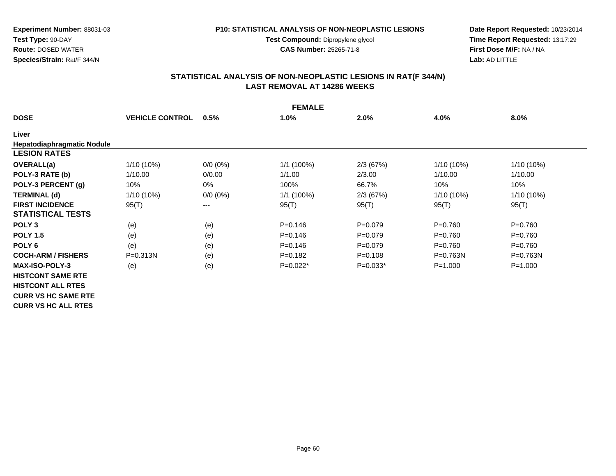**Test Compound:** Dipropylene glycol

**CAS Number:** 25265-71-8

**Date Report Requested:** 10/23/2014 **Time Report Requested:** 13:17:29**First Dose M/F:** NA / NA**Lab:** AD LITTLE

# **STATISTICAL ANALYSIS OF NON-NEOPLASTIC LESIONS IN RAT(F 344/N) LAST REMOVAL AT 14286 WEEKS**

|                            | <b>FEMALE</b>          |             |             |             |              |              |  |  |  |  |  |
|----------------------------|------------------------|-------------|-------------|-------------|--------------|--------------|--|--|--|--|--|
| <b>DOSE</b>                | <b>VEHICLE CONTROL</b> | 0.5%        | 1.0%        | 2.0%        | 4.0%         | 8.0%         |  |  |  |  |  |
| Liver                      |                        |             |             |             |              |              |  |  |  |  |  |
| Hepatodiaphragmatic Nodule |                        |             |             |             |              |              |  |  |  |  |  |
| <b>LESION RATES</b>        |                        |             |             |             |              |              |  |  |  |  |  |
| <b>OVERALL(a)</b>          | 1/10 (10%)             | $0/0 (0\%)$ | 1/1(100%)   | 2/3(67%)    | 1/10 (10%)   | 1/10 (10%)   |  |  |  |  |  |
| POLY-3 RATE (b)            | 1/10.00                | 0/0.00      | 1/1.00      | 2/3.00      | 1/10.00      | 1/10.00      |  |  |  |  |  |
| POLY-3 PERCENT (g)         | 10%                    | 0%          | 100%        | 66.7%       | 10%          | 10%          |  |  |  |  |  |
| <b>TERMINAL (d)</b>        | $1/10(10\%)$           | $0/0 (0\%)$ | 1/1(100%)   | 2/3(67%)    | 1/10 (10%)   | 1/10 (10%)   |  |  |  |  |  |
| <b>FIRST INCIDENCE</b>     | 95(T)                  | ---         | 95(T)       | 95(T)       | 95(T)        | 95(T)        |  |  |  |  |  |
| <b>STATISTICAL TESTS</b>   |                        |             |             |             |              |              |  |  |  |  |  |
| POLY <sub>3</sub>          | (e)                    | (e)         | $P = 0.146$ | $P=0.079$   | $P = 0.760$  | $P = 0.760$  |  |  |  |  |  |
| <b>POLY 1.5</b>            | (e)                    | (e)         | $P=0.146$   | $P=0.079$   | $P=0.760$    | $P=0.760$    |  |  |  |  |  |
| POLY <sub>6</sub>          | (e)                    | (e)         | $P = 0.146$ | $P=0.079$   | $P = 0.760$  | $P = 0.760$  |  |  |  |  |  |
| <b>COCH-ARM / FISHERS</b>  | $P = 0.313N$           | (e)         | $P = 0.182$ | $P = 0.108$ | $P = 0.763N$ | $P = 0.763N$ |  |  |  |  |  |
| <b>MAX-ISO-POLY-3</b>      | (e)                    | (e)         | $P=0.022*$  | $P=0.033*$  | $P = 1.000$  | $P = 1.000$  |  |  |  |  |  |
| <b>HISTCONT SAME RTE</b>   |                        |             |             |             |              |              |  |  |  |  |  |
| <b>HISTCONT ALL RTES</b>   |                        |             |             |             |              |              |  |  |  |  |  |
| <b>CURR VS HC SAME RTE</b> |                        |             |             |             |              |              |  |  |  |  |  |
| <b>CURR VS HC ALL RTES</b> |                        |             |             |             |              |              |  |  |  |  |  |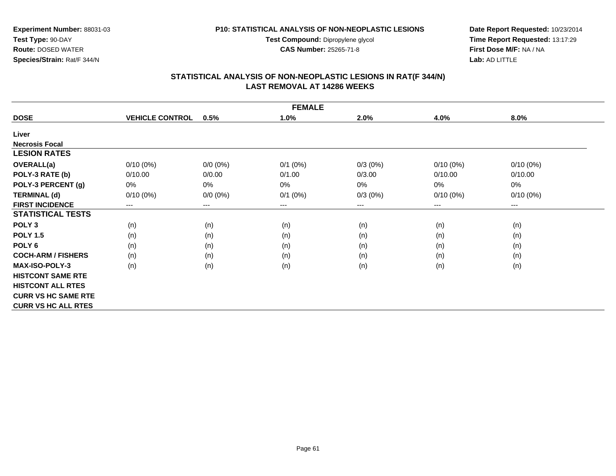**Test Compound:** Dipropylene glycol

**CAS Number:** 25265-71-8

**Date Report Requested:** 10/23/2014 **Time Report Requested:** 13:17:29**First Dose M/F:** NA / NA**Lab:** AD LITTLE

# **STATISTICAL ANALYSIS OF NON-NEOPLASTIC LESIONS IN RAT(F 344/N) LAST REMOVAL AT 14286 WEEKS**

| <b>FEMALE</b>              |                        |                            |              |            |             |                        |  |  |
|----------------------------|------------------------|----------------------------|--------------|------------|-------------|------------------------|--|--|
| <b>DOSE</b>                | <b>VEHICLE CONTROL</b> | 0.5%                       | 1.0%         | 2.0%       | 4.0%        | 8.0%                   |  |  |
| Liver                      |                        |                            |              |            |             |                        |  |  |
| <b>Necrosis Focal</b>      |                        |                            |              |            |             |                        |  |  |
| <b>LESION RATES</b>        |                        |                            |              |            |             |                        |  |  |
| <b>OVERALL(a)</b>          | $0/10(0\%)$            | $0/0 (0\%)$                | $0/1$ (0%)   | $0/3(0\%)$ | $0/10(0\%)$ | $0/10(0\%)$            |  |  |
| POLY-3 RATE (b)            | 0/10.00                | 0/0.00                     | 0/1.00       | 0/3.00     | 0/10.00     | 0/10.00                |  |  |
| POLY-3 PERCENT (g)         | 0%                     | $0\%$                      | 0%           | 0%         | 0%          | $0\%$                  |  |  |
| <b>TERMINAL (d)</b>        | $0/10(0\%)$            | $0/0 (0\%)$                | $0/1$ $(0%)$ | $0/3(0\%)$ | $0/10(0\%)$ | $0/10(0\%)$            |  |  |
| <b>FIRST INCIDENCE</b>     | $---$                  | $\qquad \qquad - \qquad -$ | $--$         | ---        | ---         | $\qquad \qquad \cdots$ |  |  |
| <b>STATISTICAL TESTS</b>   |                        |                            |              |            |             |                        |  |  |
| POLY <sub>3</sub>          | (n)                    | (n)                        | (n)          | (n)        | (n)         | (n)                    |  |  |
| <b>POLY 1.5</b>            | (n)                    | (n)                        | (n)          | (n)        | (n)         | (n)                    |  |  |
| POLY <sub>6</sub>          | (n)                    | (n)                        | (n)          | (n)        | (n)         | (n)                    |  |  |
| <b>COCH-ARM / FISHERS</b>  | (n)                    | (n)                        | (n)          | (n)        | (n)         | (n)                    |  |  |
| MAX-ISO-POLY-3             | (n)                    | (n)                        | (n)          | (n)        | (n)         | (n)                    |  |  |
| <b>HISTCONT SAME RTE</b>   |                        |                            |              |            |             |                        |  |  |
| <b>HISTCONT ALL RTES</b>   |                        |                            |              |            |             |                        |  |  |
| <b>CURR VS HC SAME RTE</b> |                        |                            |              |            |             |                        |  |  |
| <b>CURR VS HC ALL RTES</b> |                        |                            |              |            |             |                        |  |  |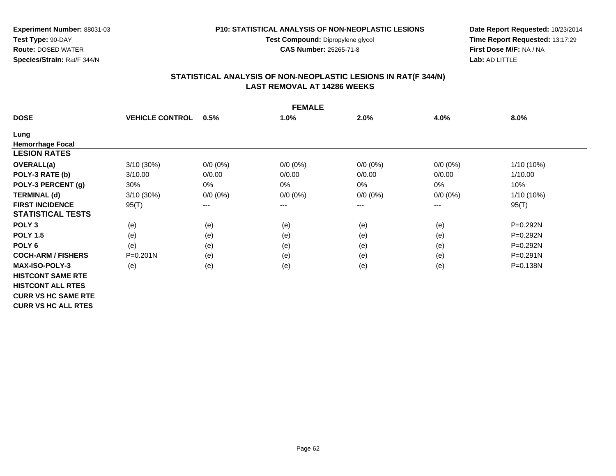**Test Compound:** Dipropylene glycol

**CAS Number:** 25265-71-8

**Date Report Requested:** 10/23/2014 **Time Report Requested:** 13:17:29**First Dose M/F:** NA / NA**Lab:** AD LITTLE

# **STATISTICAL ANALYSIS OF NON-NEOPLASTIC LESIONS IN RAT(F 344/N) LAST REMOVAL AT 14286 WEEKS**

| <b>FEMALE</b>              |                        |             |             |             |             |              |  |  |
|----------------------------|------------------------|-------------|-------------|-------------|-------------|--------------|--|--|
| <b>DOSE</b>                | <b>VEHICLE CONTROL</b> | 0.5%        | 1.0%        | 2.0%        | 4.0%        | 8.0%         |  |  |
| Lung                       |                        |             |             |             |             |              |  |  |
| <b>Hemorrhage Focal</b>    |                        |             |             |             |             |              |  |  |
| <b>LESION RATES</b>        |                        |             |             |             |             |              |  |  |
| OVERALL(a)                 | 3/10(30%)              | $0/0 (0\%)$ | $0/0 (0\%)$ | $0/0 (0\%)$ | $0/0 (0\%)$ | 1/10 (10%)   |  |  |
| POLY-3 RATE (b)            | 3/10.00                | 0/0.00      | 0/0.00      | 0/0.00      | 0/0.00      | 1/10.00      |  |  |
| POLY-3 PERCENT (g)         | 30%                    | $0\%$       | $0\%$       | 0%          | $0\%$       | 10%          |  |  |
| <b>TERMINAL (d)</b>        | 3/10(30%)              | $0/0 (0\%)$ | $0/0 (0\%)$ | $0/0 (0\%)$ | $0/0 (0\%)$ | 1/10 (10%)   |  |  |
| <b>FIRST INCIDENCE</b>     | 95(T)                  | $---$       | ---         | $---$       | ---         | 95(T)        |  |  |
| <b>STATISTICAL TESTS</b>   |                        |             |             |             |             |              |  |  |
| POLY <sub>3</sub>          | (e)                    | (e)         | (e)         | (e)         | (e)         | P=0.292N     |  |  |
| <b>POLY 1.5</b>            | (e)                    | (e)         | (e)         | (e)         | (e)         | P=0.292N     |  |  |
| POLY <sub>6</sub>          | (e)                    | (e)         | (e)         | (e)         | (e)         | P=0.292N     |  |  |
| <b>COCH-ARM / FISHERS</b>  | $P = 0.201N$           | (e)         | (e)         | (e)         | (e)         | $P = 0.291N$ |  |  |
| <b>MAX-ISO-POLY-3</b>      | (e)                    | (e)         | (e)         | (e)         | (e)         | P=0.138N     |  |  |
| <b>HISTCONT SAME RTE</b>   |                        |             |             |             |             |              |  |  |
| <b>HISTCONT ALL RTES</b>   |                        |             |             |             |             |              |  |  |
| <b>CURR VS HC SAME RTE</b> |                        |             |             |             |             |              |  |  |
| <b>CURR VS HC ALL RTES</b> |                        |             |             |             |             |              |  |  |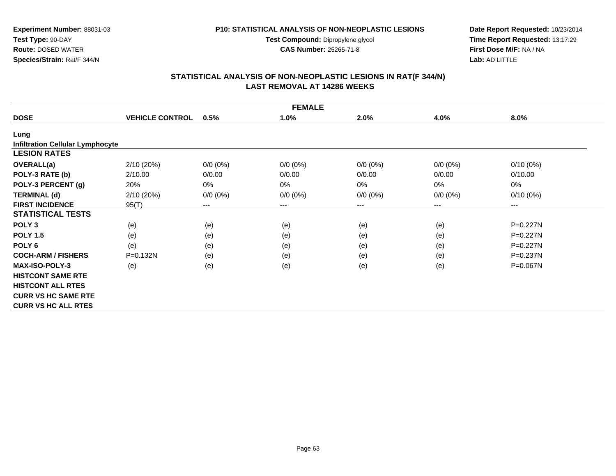**Test Compound:** Dipropylene glycol

**CAS Number:** 25265-71-8

**Date Report Requested:** 10/23/2014 **Time Report Requested:** 13:17:29**First Dose M/F:** NA / NA**Lab:** AD LITTLE

# **STATISTICAL ANALYSIS OF NON-NEOPLASTIC LESIONS IN RAT(F 344/N) LAST REMOVAL AT 14286 WEEKS**

| <b>FEMALE</b>                           |                        |                            |             |             |             |              |  |  |  |
|-----------------------------------------|------------------------|----------------------------|-------------|-------------|-------------|--------------|--|--|--|
| <b>DOSE</b>                             | <b>VEHICLE CONTROL</b> | 0.5%                       | 1.0%        | 2.0%        | 4.0%        | 8.0%         |  |  |  |
| Lung                                    |                        |                            |             |             |             |              |  |  |  |
| <b>Infiltration Cellular Lymphocyte</b> |                        |                            |             |             |             |              |  |  |  |
| <b>LESION RATES</b>                     |                        |                            |             |             |             |              |  |  |  |
| OVERALL(a)                              | 2/10(20%)              | $0/0 (0\%)$                | $0/0 (0\%)$ | $0/0 (0\%)$ | $0/0 (0\%)$ | $0/10(0\%)$  |  |  |  |
| POLY-3 RATE (b)                         | 2/10.00                | 0/0.00                     | 0/0.00      | 0/0.00      | 0/0.00      | 0/10.00      |  |  |  |
| POLY-3 PERCENT (g)                      | 20%                    | 0%                         | $0\%$       | 0%          | 0%          | 0%           |  |  |  |
| <b>TERMINAL (d)</b>                     | 2/10(20%)              | $0/0 (0\%)$                | $0/0 (0\%)$ | $0/0 (0\%)$ | $0/0 (0\%)$ | $0/10(0\%)$  |  |  |  |
| <b>FIRST INCIDENCE</b>                  | 95(T)                  | $\qquad \qquad - \qquad -$ | ---         | ---         | ---         | ---          |  |  |  |
| <b>STATISTICAL TESTS</b>                |                        |                            |             |             |             |              |  |  |  |
| POLY <sub>3</sub>                       | (e)                    | (e)                        | (e)         | (e)         | (e)         | P=0.227N     |  |  |  |
| <b>POLY 1.5</b>                         | (e)                    | (e)                        | (e)         | (e)         | (e)         | $P = 0.227N$ |  |  |  |
| POLY <sub>6</sub>                       | (e)                    | (e)                        | (e)         | (e)         | (e)         | $P = 0.227N$ |  |  |  |
| <b>COCH-ARM / FISHERS</b>               | $P = 0.132N$           | (e)                        | (e)         | (e)         | (e)         | $P = 0.237N$ |  |  |  |
| <b>MAX-ISO-POLY-3</b>                   | (e)                    | (e)                        | (e)         | (e)         | (e)         | $P = 0.067N$ |  |  |  |
| <b>HISTCONT SAME RTE</b>                |                        |                            |             |             |             |              |  |  |  |
| <b>HISTCONT ALL RTES</b>                |                        |                            |             |             |             |              |  |  |  |
| <b>CURR VS HC SAME RTE</b>              |                        |                            |             |             |             |              |  |  |  |
| <b>CURR VS HC ALL RTES</b>              |                        |                            |             |             |             |              |  |  |  |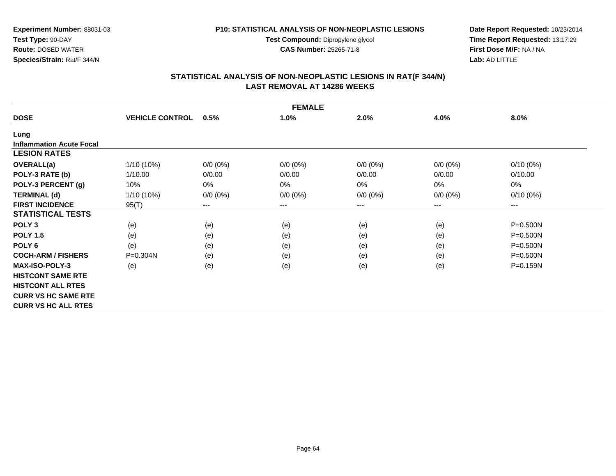**Test Compound:** Dipropylene glycol

**CAS Number:** 25265-71-8

**Date Report Requested:** 10/23/2014 **Time Report Requested:** 13:17:29**First Dose M/F:** NA / NA**Lab:** AD LITTLE

# **STATISTICAL ANALYSIS OF NON-NEOPLASTIC LESIONS IN RAT(F 344/N) LAST REMOVAL AT 14286 WEEKS**

| <b>FEMALE</b>                   |                        |                        |             |             |                            |              |  |  |  |
|---------------------------------|------------------------|------------------------|-------------|-------------|----------------------------|--------------|--|--|--|
| <b>DOSE</b>                     | <b>VEHICLE CONTROL</b> | 0.5%                   | 1.0%        | 2.0%        | 4.0%                       | 8.0%         |  |  |  |
| Lung                            |                        |                        |             |             |                            |              |  |  |  |
| <b>Inflammation Acute Focal</b> |                        |                        |             |             |                            |              |  |  |  |
| <b>LESION RATES</b>             |                        |                        |             |             |                            |              |  |  |  |
| <b>OVERALL(a)</b>               | $1/10(10\%)$           | $0/0 (0\%)$            | $0/0 (0\%)$ | $0/0 (0\%)$ | $0/0 (0\%)$                | $0/10(0\%)$  |  |  |  |
| POLY-3 RATE (b)                 | 1/10.00                | 0/0.00                 | 0/0.00      | 0/0.00      | 0/0.00                     | 0/10.00      |  |  |  |
| POLY-3 PERCENT (g)              | 10%                    | $0\%$                  | 0%          | $0\%$       | 0%                         | 0%           |  |  |  |
| <b>TERMINAL (d)</b>             | $1/10(10\%)$           | $0/0 (0\%)$            | $0/0 (0\%)$ | $0/0 (0\%)$ | $0/0 (0\%)$                | $0/10(0\%)$  |  |  |  |
| <b>FIRST INCIDENCE</b>          | 95(T)                  | $\qquad \qquad \cdots$ | ---         | $---$       | $\qquad \qquad - \qquad -$ | $\cdots$     |  |  |  |
| <b>STATISTICAL TESTS</b>        |                        |                        |             |             |                            |              |  |  |  |
| POLY <sub>3</sub>               | (e)                    | (e)                    | (e)         | (e)         | (e)                        | $P = 0.500N$ |  |  |  |
| <b>POLY 1.5</b>                 | (e)                    | (e)                    | (e)         | (e)         | (e)                        | $P = 0.500N$ |  |  |  |
| POLY <sub>6</sub>               | (e)                    | (e)                    | (e)         | (e)         | (e)                        | $P = 0.500N$ |  |  |  |
| <b>COCH-ARM / FISHERS</b>       | $P = 0.304N$           | (e)                    | (e)         | (e)         | (e)                        | $P = 0.500N$ |  |  |  |
| <b>MAX-ISO-POLY-3</b>           | (e)                    | (e)                    | (e)         | (e)         | (e)                        | P=0.159N     |  |  |  |
| <b>HISTCONT SAME RTE</b>        |                        |                        |             |             |                            |              |  |  |  |
| <b>HISTCONT ALL RTES</b>        |                        |                        |             |             |                            |              |  |  |  |
| <b>CURR VS HC SAME RTE</b>      |                        |                        |             |             |                            |              |  |  |  |
| <b>CURR VS HC ALL RTES</b>      |                        |                        |             |             |                            |              |  |  |  |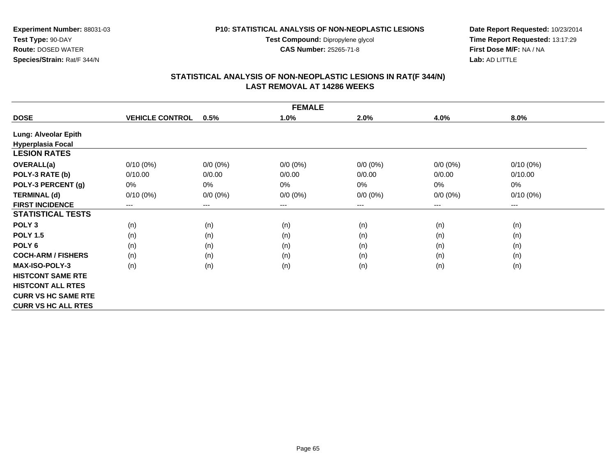**Test Compound:** Dipropylene glycol

**CAS Number:** 25265-71-8

**Date Report Requested:** 10/23/2014 **Time Report Requested:** 13:17:29**First Dose M/F:** NA / NA**Lab:** AD LITTLE

# **STATISTICAL ANALYSIS OF NON-NEOPLASTIC LESIONS IN RAT(F 344/N) LAST REMOVAL AT 14286 WEEKS**

|                            | <b>FEMALE</b>          |             |             |             |             |             |  |  |  |
|----------------------------|------------------------|-------------|-------------|-------------|-------------|-------------|--|--|--|
| <b>DOSE</b>                | <b>VEHICLE CONTROL</b> | 0.5%        | 1.0%        | 2.0%        | 4.0%        | 8.0%        |  |  |  |
| Lung: Alveolar Epith       |                        |             |             |             |             |             |  |  |  |
| <b>Hyperplasia Focal</b>   |                        |             |             |             |             |             |  |  |  |
| <b>LESION RATES</b>        |                        |             |             |             |             |             |  |  |  |
| <b>OVERALL(a)</b>          | $0/10(0\%)$            | $0/0 (0\%)$ | $0/0 (0\%)$ | $0/0 (0\%)$ | $0/0 (0\%)$ | $0/10(0\%)$ |  |  |  |
| POLY-3 RATE (b)            | 0/10.00                | 0/0.00      | 0/0.00      | 0/0.00      | 0/0.00      | 0/10.00     |  |  |  |
| POLY-3 PERCENT (g)         | 0%                     | 0%          | 0%          | 0%          | 0%          | 0%          |  |  |  |
| <b>TERMINAL (d)</b>        | $0/10(0\%)$            | $0/0 (0\%)$ | $0/0 (0\%)$ | $0/0 (0\%)$ | $0/0 (0\%)$ | $0/10(0\%)$ |  |  |  |
| <b>FIRST INCIDENCE</b>     | ---                    | ---         | $--$        | ---         | ---         | $--$        |  |  |  |
| <b>STATISTICAL TESTS</b>   |                        |             |             |             |             |             |  |  |  |
| POLY <sub>3</sub>          | (n)                    | (n)         | (n)         | (n)         | (n)         | (n)         |  |  |  |
| <b>POLY 1.5</b>            | (n)                    | (n)         | (n)         | (n)         | (n)         | (n)         |  |  |  |
| POLY <sub>6</sub>          | (n)                    | (n)         | (n)         | (n)         | (n)         | (n)         |  |  |  |
| <b>COCH-ARM / FISHERS</b>  | (n)                    | (n)         | (n)         | (n)         | (n)         | (n)         |  |  |  |
| <b>MAX-ISO-POLY-3</b>      | (n)                    | (n)         | (n)         | (n)         | (n)         | (n)         |  |  |  |
| <b>HISTCONT SAME RTE</b>   |                        |             |             |             |             |             |  |  |  |
| <b>HISTCONT ALL RTES</b>   |                        |             |             |             |             |             |  |  |  |
| <b>CURR VS HC SAME RTE</b> |                        |             |             |             |             |             |  |  |  |
| <b>CURR VS HC ALL RTES</b> |                        |             |             |             |             |             |  |  |  |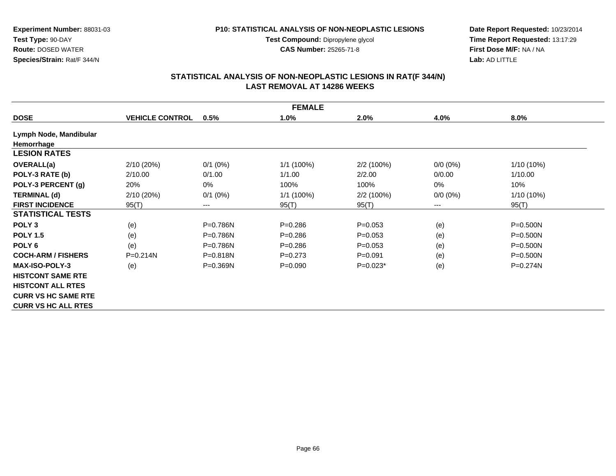#### **P10: STATISTICAL ANALYSIS OF NON-NEOPLASTIC LESIONS**

**Test Compound:** Dipropylene glycol **CAS Number:** 25265-71-8

**Date Report Requested:** 10/23/2014 **Time Report Requested:** 13:17:29**First Dose M/F:** NA / NA**Lab:** AD LITTLE

| <b>FEMALE</b>              |                        |                        |             |             |             |              |  |  |  |
|----------------------------|------------------------|------------------------|-------------|-------------|-------------|--------------|--|--|--|
| <b>DOSE</b>                | <b>VEHICLE CONTROL</b> | 0.5%                   | 1.0%        | 2.0%        | 4.0%        | 8.0%         |  |  |  |
| Lymph Node, Mandibular     |                        |                        |             |             |             |              |  |  |  |
| Hemorrhage                 |                        |                        |             |             |             |              |  |  |  |
| <b>LESION RATES</b>        |                        |                        |             |             |             |              |  |  |  |
| <b>OVERALL(a)</b>          | 2/10(20%)              | $0/1$ (0%)             | 1/1 (100%)  | 2/2 (100%)  | $0/0 (0\%)$ | 1/10 (10%)   |  |  |  |
| POLY-3 RATE (b)            | 2/10.00                | 0/1.00                 | 1/1.00      | 2/2.00      | 0/0.00      | 1/10.00      |  |  |  |
| POLY-3 PERCENT (g)         | 20%                    | 0%                     | 100%        | 100%        | 0%          | 10%          |  |  |  |
| <b>TERMINAL (d)</b>        | 2/10(20%)              | $0/1$ (0%)             | 1/1 (100%)  | 2/2 (100%)  | $0/0 (0\%)$ | $1/10(10\%)$ |  |  |  |
| <b>FIRST INCIDENCE</b>     | 95(T)                  | $\qquad \qquad \cdots$ | 95(T)       | 95(T)       | ---         | 95(T)        |  |  |  |
| <b>STATISTICAL TESTS</b>   |                        |                        |             |             |             |              |  |  |  |
| POLY <sub>3</sub>          | (e)                    | $P=0.786N$             | $P = 0.286$ | $P=0.053$   | (e)         | $P = 0.500N$ |  |  |  |
| <b>POLY 1.5</b>            | (e)                    | $P=0.786N$             | $P = 0.286$ | $P=0.053$   | (e)         | $P = 0.500N$ |  |  |  |
| POLY <sub>6</sub>          | (e)                    | $P=0.786N$             | $P = 0.286$ | $P=0.053$   | (e)         | $P = 0.500N$ |  |  |  |
| <b>COCH-ARM / FISHERS</b>  | $P = 0.214N$           | $P = 0.818N$           | $P=0.273$   | $P = 0.091$ | (e)         | $P = 0.500N$ |  |  |  |
| <b>MAX-ISO-POLY-3</b>      | (e)                    | $P = 0.369N$           | $P=0.090$   | $P=0.023*$  | (e)         | $P=0.274N$   |  |  |  |
| <b>HISTCONT SAME RTE</b>   |                        |                        |             |             |             |              |  |  |  |
| <b>HISTCONT ALL RTES</b>   |                        |                        |             |             |             |              |  |  |  |
| <b>CURR VS HC SAME RTE</b> |                        |                        |             |             |             |              |  |  |  |
| <b>CURR VS HC ALL RTES</b> |                        |                        |             |             |             |              |  |  |  |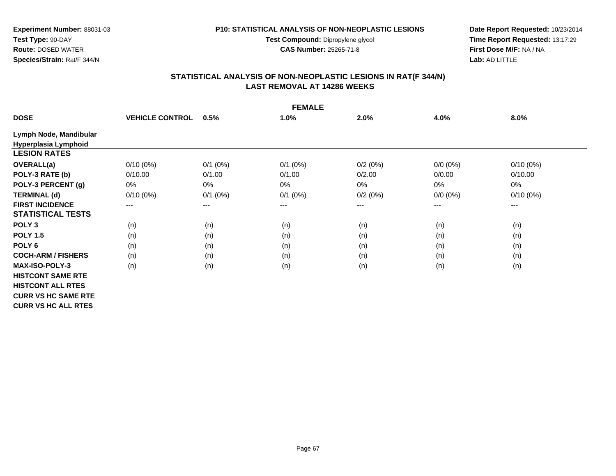#### **P10: STATISTICAL ANALYSIS OF NON-NEOPLASTIC LESIONS**

**Test Compound:** Dipropylene glycol **CAS Number:** 25265-71-8

**Date Report Requested:** 10/23/2014 **Time Report Requested:** 13:17:29**First Dose M/F:** NA / NA**Lab:** AD LITTLE

| <b>FEMALE</b>              |                        |              |              |         |             |             |  |  |  |
|----------------------------|------------------------|--------------|--------------|---------|-------------|-------------|--|--|--|
| <b>DOSE</b>                | <b>VEHICLE CONTROL</b> | 0.5%         | 1.0%         | 2.0%    | 4.0%        | 8.0%        |  |  |  |
| Lymph Node, Mandibular     |                        |              |              |         |             |             |  |  |  |
| Hyperplasia Lymphoid       |                        |              |              |         |             |             |  |  |  |
| <b>LESION RATES</b>        |                        |              |              |         |             |             |  |  |  |
| OVERALL(a)                 | $0/10(0\%)$            | $0/1$ $(0%)$ | $0/1$ $(0%)$ | 0/2(0%) | $0/0 (0\%)$ | $0/10(0\%)$ |  |  |  |
| POLY-3 RATE (b)            | 0/10.00                | 0/1.00       | 0/1.00       | 0/2.00  | 0/0.00      | 0/10.00     |  |  |  |
| POLY-3 PERCENT (g)         | 0%                     | 0%           | 0%           | 0%      | 0%          | $0\%$       |  |  |  |
| <b>TERMINAL (d)</b>        | $0/10(0\%)$            | $0/1$ (0%)   | $0/1$ (0%)   | 0/2(0%) | $0/0 (0\%)$ | $0/10(0\%)$ |  |  |  |
| <b>FIRST INCIDENCE</b>     | ---                    | $---$        | $---$        | ---     | $---$       | ---         |  |  |  |
| <b>STATISTICAL TESTS</b>   |                        |              |              |         |             |             |  |  |  |
| POLY <sub>3</sub>          | (n)                    | (n)          | (n)          | (n)     | (n)         | (n)         |  |  |  |
| <b>POLY 1.5</b>            | (n)                    | (n)          | (n)          | (n)     | (n)         | (n)         |  |  |  |
| POLY <sub>6</sub>          | (n)                    | (n)          | (n)          | (n)     | (n)         | (n)         |  |  |  |
| <b>COCH-ARM / FISHERS</b>  | (n)                    | (n)          | (n)          | (n)     | (n)         | (n)         |  |  |  |
| <b>MAX-ISO-POLY-3</b>      | (n)                    | (n)          | (n)          | (n)     | (n)         | (n)         |  |  |  |
| <b>HISTCONT SAME RTE</b>   |                        |              |              |         |             |             |  |  |  |
| <b>HISTCONT ALL RTES</b>   |                        |              |              |         |             |             |  |  |  |
| <b>CURR VS HC SAME RTE</b> |                        |              |              |         |             |             |  |  |  |
| <b>CURR VS HC ALL RTES</b> |                        |              |              |         |             |             |  |  |  |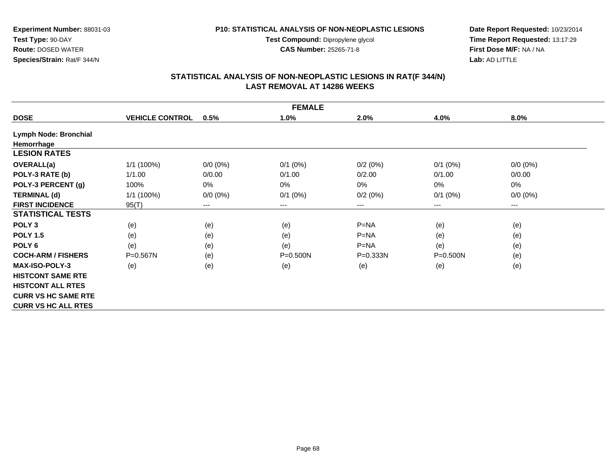#### **P10: STATISTICAL ANALYSIS OF NON-NEOPLASTIC LESIONS**

**Test Compound:** Dipropylene glycol **CAS Number:** 25265-71-8

**Date Report Requested:** 10/23/2014 **Time Report Requested:** 13:17:29**First Dose M/F:** NA / NA**Lab:** AD LITTLE

|                            | <b>FEMALE</b>          |             |              |              |              |             |  |  |  |
|----------------------------|------------------------|-------------|--------------|--------------|--------------|-------------|--|--|--|
| <b>DOSE</b>                | <b>VEHICLE CONTROL</b> | 0.5%        | 1.0%         | 2.0%         | 4.0%         | 8.0%        |  |  |  |
| Lymph Node: Bronchial      |                        |             |              |              |              |             |  |  |  |
| Hemorrhage                 |                        |             |              |              |              |             |  |  |  |
| <b>LESION RATES</b>        |                        |             |              |              |              |             |  |  |  |
| <b>OVERALL(a)</b>          | 1/1 (100%)             | $0/0 (0\%)$ | $0/1$ $(0%)$ | 0/2(0%)      | $0/1$ $(0%)$ | $0/0 (0\%)$ |  |  |  |
| POLY-3 RATE (b)            | 1/1.00                 | 0/0.00      | 0/1.00       | 0/2.00       | 0/1.00       | 0/0.00      |  |  |  |
| POLY-3 PERCENT (g)         | 100%                   | 0%          | 0%           | 0%           | 0%           | $0\%$       |  |  |  |
| <b>TERMINAL (d)</b>        | 1/1 (100%)             | $0/0 (0\%)$ | $0/1$ (0%)   | 0/2(0%)      | $0/1$ (0%)   | $0/0 (0\%)$ |  |  |  |
| <b>FIRST INCIDENCE</b>     | 95(T)                  | $\cdots$    | $---$        | ---          | $---$        | ---         |  |  |  |
| <b>STATISTICAL TESTS</b>   |                        |             |              |              |              |             |  |  |  |
| POLY <sub>3</sub>          | (e)                    | (e)         | (e)          | $P=NA$       | (e)          | (e)         |  |  |  |
| <b>POLY 1.5</b>            | (e)                    | (e)         | (e)          | $P=NA$       | (e)          | (e)         |  |  |  |
| POLY <sub>6</sub>          | (e)                    | (e)         | (e)          | $P=NA$       | (e)          | (e)         |  |  |  |
| <b>COCH-ARM / FISHERS</b>  | $P = 0.567N$           | (e)         | $P = 0.500N$ | $P = 0.333N$ | P=0.500N     | (e)         |  |  |  |
| <b>MAX-ISO-POLY-3</b>      | (e)                    | (e)         | (e)          | (e)          | (e)          | (e)         |  |  |  |
| <b>HISTCONT SAME RTE</b>   |                        |             |              |              |              |             |  |  |  |
| <b>HISTCONT ALL RTES</b>   |                        |             |              |              |              |             |  |  |  |
| <b>CURR VS HC SAME RTE</b> |                        |             |              |              |              |             |  |  |  |
| <b>CURR VS HC ALL RTES</b> |                        |             |              |              |              |             |  |  |  |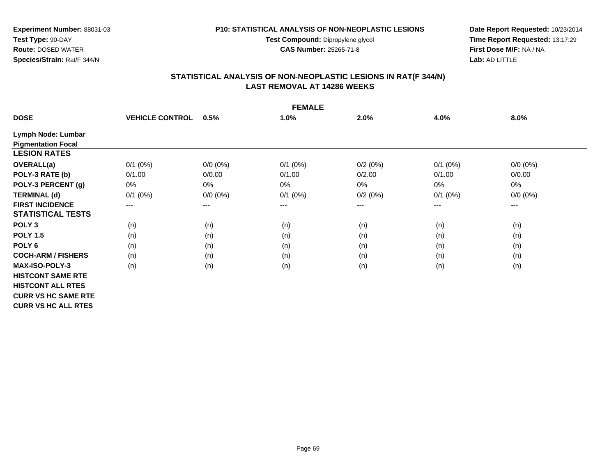**Test Compound:** Dipropylene glycol **CAS Number:** 25265-71-8

**Date Report Requested:** 10/23/2014 **Time Report Requested:** 13:17:29**First Dose M/F:** NA / NA**Lab:** AD LITTLE

# **STATISTICAL ANALYSIS OF NON-NEOPLASTIC LESIONS IN RAT(F 344/N) LAST REMOVAL AT 14286 WEEKS**

|                            | <b>FEMALE</b>          |             |              |         |              |             |  |  |  |  |  |  |
|----------------------------|------------------------|-------------|--------------|---------|--------------|-------------|--|--|--|--|--|--|
| <b>DOSE</b>                | <b>VEHICLE CONTROL</b> | 0.5%        | 1.0%         | 2.0%    | 4.0%         | 8.0%        |  |  |  |  |  |  |
| Lymph Node: Lumbar         |                        |             |              |         |              |             |  |  |  |  |  |  |
| <b>Pigmentation Focal</b>  |                        |             |              |         |              |             |  |  |  |  |  |  |
| <b>LESION RATES</b>        |                        |             |              |         |              |             |  |  |  |  |  |  |
| <b>OVERALL(a)</b>          | $0/1$ $(0%)$           | $0/0 (0\%)$ | $0/1$ $(0%)$ | 0/2(0%) | $0/1$ (0%)   | $0/0 (0\%)$ |  |  |  |  |  |  |
| POLY-3 RATE (b)            | 0/1.00                 | 0/0.00      | 0/1.00       | 0/2.00  | 0/1.00       | 0/0.00      |  |  |  |  |  |  |
| POLY-3 PERCENT (g)         | 0%                     | 0%          | 0%           | $0\%$   | 0%           | 0%          |  |  |  |  |  |  |
| <b>TERMINAL (d)</b>        | $0/1$ (0%)             | $0/0 (0\%)$ | $0/1$ (0%)   | 0/2(0%) | $0/1$ $(0%)$ | $0/0 (0\%)$ |  |  |  |  |  |  |
| <b>FIRST INCIDENCE</b>     | ---                    | ---         | $--$         | ---     | ---          | ---         |  |  |  |  |  |  |
| <b>STATISTICAL TESTS</b>   |                        |             |              |         |              |             |  |  |  |  |  |  |
| POLY <sub>3</sub>          | (n)                    | (n)         | (n)          | (n)     | (n)          | (n)         |  |  |  |  |  |  |
| <b>POLY 1.5</b>            | (n)                    | (n)         | (n)          | (n)     | (n)          | (n)         |  |  |  |  |  |  |
| POLY <sub>6</sub>          | (n)                    | (n)         | (n)          | (n)     | (n)          | (n)         |  |  |  |  |  |  |
| <b>COCH-ARM / FISHERS</b>  | (n)                    | (n)         | (n)          | (n)     | (n)          | (n)         |  |  |  |  |  |  |
| <b>MAX-ISO-POLY-3</b>      | (n)                    | (n)         | (n)          | (n)     | (n)          | (n)         |  |  |  |  |  |  |
| <b>HISTCONT SAME RTE</b>   |                        |             |              |         |              |             |  |  |  |  |  |  |
| <b>HISTCONT ALL RTES</b>   |                        |             |              |         |              |             |  |  |  |  |  |  |
| <b>CURR VS HC SAME RTE</b> |                        |             |              |         |              |             |  |  |  |  |  |  |
| <b>CURR VS HC ALL RTES</b> |                        |             |              |         |              |             |  |  |  |  |  |  |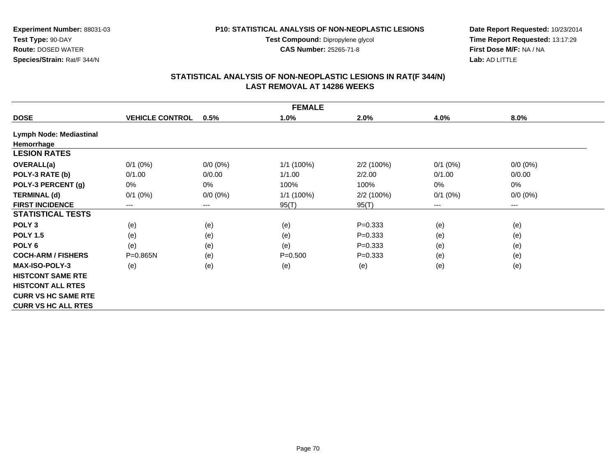#### **P10: STATISTICAL ANALYSIS OF NON-NEOPLASTIC LESIONS**

**Test Compound:** Dipropylene glycol **CAS Number:** 25265-71-8

**Date Report Requested:** 10/23/2014 **Time Report Requested:** 13:17:29**First Dose M/F:** NA / NA**Lab:** AD LITTLE

|                                |                        |                            | <b>FEMALE</b> |             |              |             |  |
|--------------------------------|------------------------|----------------------------|---------------|-------------|--------------|-------------|--|
| <b>DOSE</b>                    | <b>VEHICLE CONTROL</b> | 0.5%                       | 1.0%          | 2.0%        | 4.0%         | 8.0%        |  |
| <b>Lymph Node: Mediastinal</b> |                        |                            |               |             |              |             |  |
| Hemorrhage                     |                        |                            |               |             |              |             |  |
| <b>LESION RATES</b>            |                        |                            |               |             |              |             |  |
| <b>OVERALL(a)</b>              | $0/1$ (0%)             | $0/0 (0\%)$                | 1/1 (100%)    | 2/2 (100%)  | $0/1$ (0%)   | $0/0 (0\%)$ |  |
| POLY-3 RATE (b)                | 0/1.00                 | 0/0.00                     | 1/1.00        | 2/2.00      | 0/1.00       | 0/0.00      |  |
| POLY-3 PERCENT (g)             | 0%                     | 0%                         | 100%          | 100%        | 0%           | 0%          |  |
| <b>TERMINAL (d)</b>            | $0/1$ (0%)             | $0/0 (0\%)$                | 1/1 (100%)    | 2/2 (100%)  | $0/1$ $(0%)$ | $0/0 (0\%)$ |  |
| <b>FIRST INCIDENCE</b>         | ---                    | $\qquad \qquad - \qquad -$ | 95(T)         | 95(T)       | $---$        | $---$       |  |
| <b>STATISTICAL TESTS</b>       |                        |                            |               |             |              |             |  |
| POLY <sub>3</sub>              | (e)                    | (e)                        | (e)           | $P = 0.333$ | (e)          | (e)         |  |
| <b>POLY 1.5</b>                | (e)                    | (e)                        | (e)           | $P = 0.333$ | (e)          | (e)         |  |
| POLY <sub>6</sub>              | (e)                    | (e)                        | (e)           | $P = 0.333$ | (e)          | (e)         |  |
| <b>COCH-ARM / FISHERS</b>      | $P = 0.865N$           | (e)                        | $P = 0.500$   | $P = 0.333$ | (e)          | (e)         |  |
| <b>MAX-ISO-POLY-3</b>          | (e)                    | (e)                        | (e)           | (e)         | (e)          | (e)         |  |
| <b>HISTCONT SAME RTE</b>       |                        |                            |               |             |              |             |  |
| <b>HISTCONT ALL RTES</b>       |                        |                            |               |             |              |             |  |
| <b>CURR VS HC SAME RTE</b>     |                        |                            |               |             |              |             |  |
| <b>CURR VS HC ALL RTES</b>     |                        |                            |               |             |              |             |  |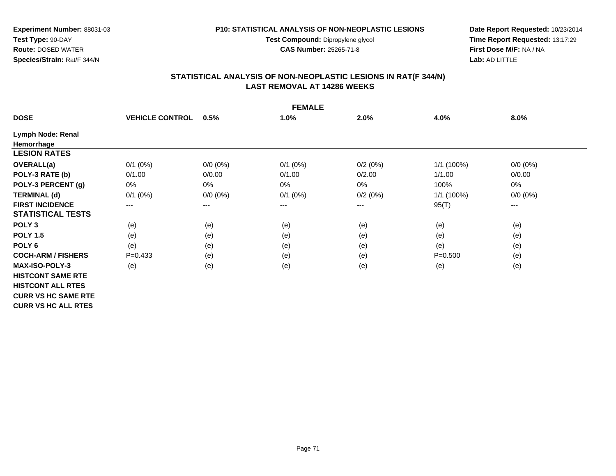**Test Compound:** Dipropylene glycol

**CAS Number:** 25265-71-8

**Date Report Requested:** 10/23/2014 **Time Report Requested:** 13:17:29**First Dose M/F:** NA / NA**Lab:** AD LITTLE

# **STATISTICAL ANALYSIS OF NON-NEOPLASTIC LESIONS IN RAT(F 344/N) LAST REMOVAL AT 14286 WEEKS**

|                            | <b>FEMALE</b>          |             |              |         |             |             |  |  |  |  |
|----------------------------|------------------------|-------------|--------------|---------|-------------|-------------|--|--|--|--|
| <b>DOSE</b>                | <b>VEHICLE CONTROL</b> | 0.5%        | 1.0%         | 2.0%    | 4.0%        | $8.0\%$     |  |  |  |  |
| Lymph Node: Renal          |                        |             |              |         |             |             |  |  |  |  |
| Hemorrhage                 |                        |             |              |         |             |             |  |  |  |  |
| <b>LESION RATES</b>        |                        |             |              |         |             |             |  |  |  |  |
| <b>OVERALL(a)</b>          | $0/1$ $(0%)$           | $0/0 (0\%)$ | $0/1$ $(0%)$ | 0/2(0%) | 1/1(100%)   | $0/0 (0\%)$ |  |  |  |  |
| POLY-3 RATE (b)            | 0/1.00                 | 0/0.00      | 0/1.00       | 0/2.00  | 1/1.00      | 0/0.00      |  |  |  |  |
| POLY-3 PERCENT (g)         | 0%                     | 0%          | 0%           | $0\%$   | 100%        | 0%          |  |  |  |  |
| <b>TERMINAL (d)</b>        | $0/1$ $(0%)$           | $0/0 (0\%)$ | $0/1$ (0%)   | 0/2(0%) | 1/1 (100%)  | $0/0 (0\%)$ |  |  |  |  |
| <b>FIRST INCIDENCE</b>     | ---                    | ---         | ---          | ---     | 95(T)       | ---         |  |  |  |  |
| <b>STATISTICAL TESTS</b>   |                        |             |              |         |             |             |  |  |  |  |
| POLY <sub>3</sub>          | (e)                    | (e)         | (e)          | (e)     | (e)         | (e)         |  |  |  |  |
| <b>POLY 1.5</b>            | (e)                    | (e)         | (e)          | (e)     | (e)         | (e)         |  |  |  |  |
| POLY <sub>6</sub>          | (e)                    | (e)         | (e)          | (e)     | (e)         | (e)         |  |  |  |  |
| <b>COCH-ARM / FISHERS</b>  | $P=0.433$              | (e)         | (e)          | (e)     | $P = 0.500$ | (e)         |  |  |  |  |
| <b>MAX-ISO-POLY-3</b>      | (e)                    | (e)         | (e)          | (e)     | (e)         | (e)         |  |  |  |  |
| <b>HISTCONT SAME RTE</b>   |                        |             |              |         |             |             |  |  |  |  |
| <b>HISTCONT ALL RTES</b>   |                        |             |              |         |             |             |  |  |  |  |
| <b>CURR VS HC SAME RTE</b> |                        |             |              |         |             |             |  |  |  |  |
| <b>CURR VS HC ALL RTES</b> |                        |             |              |         |             |             |  |  |  |  |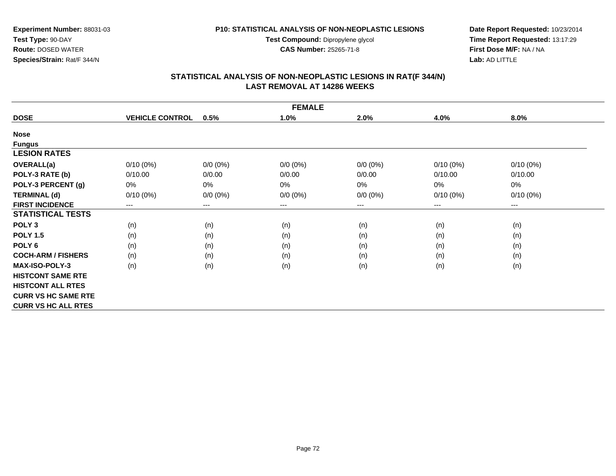**Test Compound:** Dipropylene glycol

**CAS Number:** 25265-71-8

**Date Report Requested:** 10/23/2014 **Time Report Requested:** 13:17:29**First Dose M/F:** NA / NA**Lab:** AD LITTLE

# **STATISTICAL ANALYSIS OF NON-NEOPLASTIC LESIONS IN RAT(F 344/N) LAST REMOVAL AT 14286 WEEKS**

| <b>FEMALE</b>              |                        |                        |             |             |             |                        |  |  |  |
|----------------------------|------------------------|------------------------|-------------|-------------|-------------|------------------------|--|--|--|
| <b>DOSE</b>                | <b>VEHICLE CONTROL</b> | 0.5%                   | 1.0%        | 2.0%        | 4.0%        | 8.0%                   |  |  |  |
| <b>Nose</b>                |                        |                        |             |             |             |                        |  |  |  |
| <b>Fungus</b>              |                        |                        |             |             |             |                        |  |  |  |
| <b>LESION RATES</b>        |                        |                        |             |             |             |                        |  |  |  |
| OVERALL(a)                 | $0/10(0\%)$            | $0/0 (0\%)$            | $0/0 (0\%)$ | $0/0 (0\%)$ | $0/10(0\%)$ | $0/10(0\%)$            |  |  |  |
| POLY-3 RATE (b)            | 0/10.00                | 0/0.00                 | 0/0.00      | 0/0.00      | 0/10.00     | 0/10.00                |  |  |  |
| POLY-3 PERCENT (g)         | 0%                     | 0%                     | 0%          | 0%          | 0%          | 0%                     |  |  |  |
| <b>TERMINAL (d)</b>        | $0/10(0\%)$            | $0/0 (0\%)$            | $0/0 (0\%)$ | $0/0 (0\%)$ | $0/10(0\%)$ | $0/10(0\%)$            |  |  |  |
| <b>FIRST INCIDENCE</b>     | ---                    | $\qquad \qquad \cdots$ | $---$       | ---         | $---$       | $\qquad \qquad \cdots$ |  |  |  |
| <b>STATISTICAL TESTS</b>   |                        |                        |             |             |             |                        |  |  |  |
| POLY <sub>3</sub>          | (n)                    | (n)                    | (n)         | (n)         | (n)         | (n)                    |  |  |  |
| <b>POLY 1.5</b>            | (n)                    | (n)                    | (n)         | (n)         | (n)         | (n)                    |  |  |  |
| POLY 6                     | (n)                    | (n)                    | (n)         | (n)         | (n)         | (n)                    |  |  |  |
| <b>COCH-ARM / FISHERS</b>  | (n)                    | (n)                    | (n)         | (n)         | (n)         | (n)                    |  |  |  |
| <b>MAX-ISO-POLY-3</b>      | (n)                    | (n)                    | (n)         | (n)         | (n)         | (n)                    |  |  |  |
| <b>HISTCONT SAME RTE</b>   |                        |                        |             |             |             |                        |  |  |  |
| <b>HISTCONT ALL RTES</b>   |                        |                        |             |             |             |                        |  |  |  |
| <b>CURR VS HC SAME RTE</b> |                        |                        |             |             |             |                        |  |  |  |
| <b>CURR VS HC ALL RTES</b> |                        |                        |             |             |             |                        |  |  |  |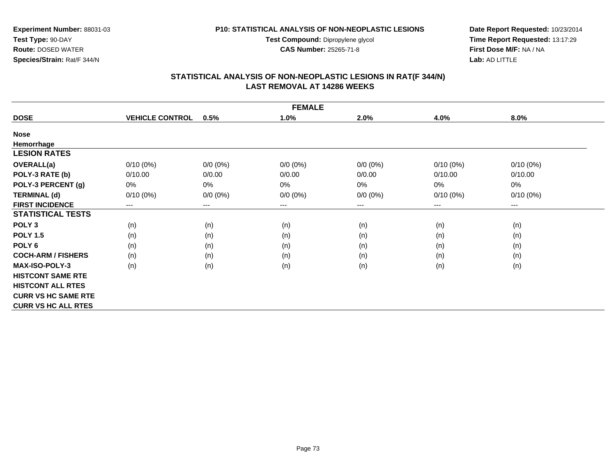**Test Compound:** Dipropylene glycol

**CAS Number:** 25265-71-8

**Date Report Requested:** 10/23/2014 **Time Report Requested:** 13:17:29**First Dose M/F:** NA / NA**Lab:** AD LITTLE

#### **STATISTICAL ANALYSIS OF NON-NEOPLASTIC LESIONS IN RAT(F 344/N) LAST REMOVAL AT 14286 WEEKS**

| <b>FEMALE</b>              |                        |             |             |             |             |             |  |  |
|----------------------------|------------------------|-------------|-------------|-------------|-------------|-------------|--|--|
| <b>DOSE</b>                | <b>VEHICLE CONTROL</b> | 0.5%        | 1.0%        | 2.0%        | 4.0%        | 8.0%        |  |  |
| <b>Nose</b>                |                        |             |             |             |             |             |  |  |
| Hemorrhage                 |                        |             |             |             |             |             |  |  |
| <b>LESION RATES</b>        |                        |             |             |             |             |             |  |  |
| <b>OVERALL(a)</b>          | $0/10(0\%)$            | $0/0 (0\%)$ | $0/0 (0\%)$ | $0/0 (0\%)$ | $0/10(0\%)$ | $0/10(0\%)$ |  |  |
| POLY-3 RATE (b)            | 0/10.00                | 0/0.00      | 0/0.00      | 0/0.00      | 0/10.00     | 0/10.00     |  |  |
| POLY-3 PERCENT (g)         | 0%                     | 0%          | $0\%$       | 0%          | 0%          | 0%          |  |  |
| <b>TERMINAL (d)</b>        | $0/10(0\%)$            | $0/0 (0\%)$ | $0/0 (0\%)$ | $0/0 (0\%)$ | $0/10(0\%)$ | $0/10(0\%)$ |  |  |
| <b>FIRST INCIDENCE</b>     | $---$                  | $---$       | ---         | ---         | $---$       | $---$       |  |  |
| <b>STATISTICAL TESTS</b>   |                        |             |             |             |             |             |  |  |
| POLY <sub>3</sub>          | (n)                    | (n)         | (n)         | (n)         | (n)         | (n)         |  |  |
| <b>POLY 1.5</b>            | (n)                    | (n)         | (n)         | (n)         | (n)         | (n)         |  |  |
| POLY <sub>6</sub>          | (n)                    | (n)         | (n)         | (n)         | (n)         | (n)         |  |  |
| <b>COCH-ARM / FISHERS</b>  | (n)                    | (n)         | (n)         | (n)         | (n)         | (n)         |  |  |
| <b>MAX-ISO-POLY-3</b>      | (n)                    | (n)         | (n)         | (n)         | (n)         | (n)         |  |  |
| <b>HISTCONT SAME RTE</b>   |                        |             |             |             |             |             |  |  |
| <b>HISTCONT ALL RTES</b>   |                        |             |             |             |             |             |  |  |
| <b>CURR VS HC SAME RTE</b> |                        |             |             |             |             |             |  |  |
| <b>CURR VS HC ALL RTES</b> |                        |             |             |             |             |             |  |  |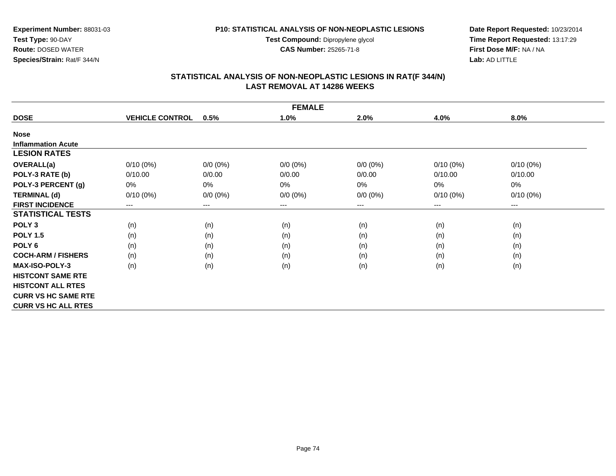**Test Compound:** Dipropylene glycol

**CAS Number:** 25265-71-8

**Date Report Requested:** 10/23/2014 **Time Report Requested:** 13:17:29**First Dose M/F:** NA / NA**Lab:** AD LITTLE

# **STATISTICAL ANALYSIS OF NON-NEOPLASTIC LESIONS IN RAT(F 344/N) LAST REMOVAL AT 14286 WEEKS**

| <b>FEMALE</b>              |                        |                        |             |             |             |             |  |  |
|----------------------------|------------------------|------------------------|-------------|-------------|-------------|-------------|--|--|
| <b>DOSE</b>                | <b>VEHICLE CONTROL</b> | 0.5%                   | 1.0%        | 2.0%        | 4.0%        | 8.0%        |  |  |
| <b>Nose</b>                |                        |                        |             |             |             |             |  |  |
| <b>Inflammation Acute</b>  |                        |                        |             |             |             |             |  |  |
| <b>LESION RATES</b>        |                        |                        |             |             |             |             |  |  |
| <b>OVERALL(a)</b>          | $0/10(0\%)$            | $0/0 (0\%)$            | $0/0 (0\%)$ | $0/0 (0\%)$ | $0/10(0\%)$ | $0/10(0\%)$ |  |  |
| POLY-3 RATE (b)            | 0/10.00                | 0/0.00                 | 0/0.00      | 0/0.00      | 0/10.00     | 0/10.00     |  |  |
| POLY-3 PERCENT (g)         | $0\%$                  | 0%                     | $0\%$       | 0%          | 0%          | 0%          |  |  |
| <b>TERMINAL (d)</b>        | $0/10(0\%)$            | $0/0 (0\%)$            | $0/0 (0\%)$ | $0/0 (0\%)$ | $0/10(0\%)$ | $0/10(0\%)$ |  |  |
| <b>FIRST INCIDENCE</b>     | ---                    | $\qquad \qquad \cdots$ | $--$        | ---         | ---         | $--$        |  |  |
| <b>STATISTICAL TESTS</b>   |                        |                        |             |             |             |             |  |  |
| POLY <sub>3</sub>          | (n)                    | (n)                    | (n)         | (n)         | (n)         | (n)         |  |  |
| <b>POLY 1.5</b>            | (n)                    | (n)                    | (n)         | (n)         | (n)         | (n)         |  |  |
| POLY <sub>6</sub>          | (n)                    | (n)                    | (n)         | (n)         | (n)         | (n)         |  |  |
| <b>COCH-ARM / FISHERS</b>  | (n)                    | (n)                    | (n)         | (n)         | (n)         | (n)         |  |  |
| <b>MAX-ISO-POLY-3</b>      | (n)                    | (n)                    | (n)         | (n)         | (n)         | (n)         |  |  |
| <b>HISTCONT SAME RTE</b>   |                        |                        |             |             |             |             |  |  |
| <b>HISTCONT ALL RTES</b>   |                        |                        |             |             |             |             |  |  |
| <b>CURR VS HC SAME RTE</b> |                        |                        |             |             |             |             |  |  |
| <b>CURR VS HC ALL RTES</b> |                        |                        |             |             |             |             |  |  |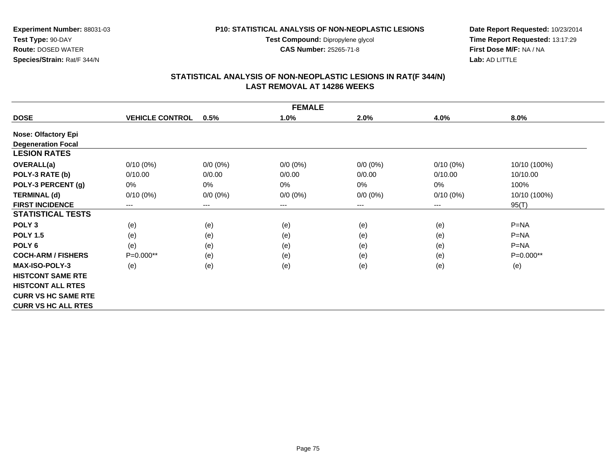**Test Compound:** Dipropylene glycol

**CAS Number:** 25265-71-8

**Date Report Requested:** 10/23/2014 **Time Report Requested:** 13:17:29**First Dose M/F:** NA / NA**Lab:** AD LITTLE

# **STATISTICAL ANALYSIS OF NON-NEOPLASTIC LESIONS IN RAT(F 344/N) LAST REMOVAL AT 14286 WEEKS**

| <b>FEMALE</b>              |                        |             |             |             |             |              |  |  |
|----------------------------|------------------------|-------------|-------------|-------------|-------------|--------------|--|--|
| <b>DOSE</b>                | <b>VEHICLE CONTROL</b> | 0.5%        | 1.0%        | 2.0%        | 4.0%        | 8.0%         |  |  |
| <b>Nose: Olfactory Epi</b> |                        |             |             |             |             |              |  |  |
| <b>Degeneration Focal</b>  |                        |             |             |             |             |              |  |  |
| <b>LESION RATES</b>        |                        |             |             |             |             |              |  |  |
| <b>OVERALL(a)</b>          | $0/10(0\%)$            | $0/0 (0\%)$ | $0/0 (0\%)$ | $0/0 (0\%)$ | $0/10(0\%)$ | 10/10 (100%) |  |  |
| POLY-3 RATE (b)            | 0/10.00                | 0/0.00      | 0/0.00      | 0/0.00      | 0/10.00     | 10/10.00     |  |  |
| POLY-3 PERCENT (g)         | 0%                     | 0%          | 0%          | 0%          | 0%          | 100%         |  |  |
| <b>TERMINAL (d)</b>        | $0/10(0\%)$            | $0/0 (0\%)$ | $0/0 (0\%)$ | $0/0 (0\%)$ | $0/10(0\%)$ | 10/10 (100%) |  |  |
| <b>FIRST INCIDENCE</b>     | $---$                  | $---$       | ---         | ---         | $---$       | 95(T)        |  |  |
| <b>STATISTICAL TESTS</b>   |                        |             |             |             |             |              |  |  |
| POLY <sub>3</sub>          | (e)                    | (e)         | (e)         | (e)         | (e)         | $P = NA$     |  |  |
| <b>POLY 1.5</b>            | (e)                    | (e)         | (e)         | (e)         | (e)         | $P = NA$     |  |  |
| POLY <sub>6</sub>          | (e)                    | (e)         | (e)         | (e)         | (e)         | $P=NA$       |  |  |
| <b>COCH-ARM / FISHERS</b>  | $P=0.000**$            | (e)         | (e)         | (e)         | (e)         | $P=0.000**$  |  |  |
| <b>MAX-ISO-POLY-3</b>      | (e)                    | (e)         | (e)         | (e)         | (e)         | (e)          |  |  |
| <b>HISTCONT SAME RTE</b>   |                        |             |             |             |             |              |  |  |
| <b>HISTCONT ALL RTES</b>   |                        |             |             |             |             |              |  |  |
| <b>CURR VS HC SAME RTE</b> |                        |             |             |             |             |              |  |  |
| <b>CURR VS HC ALL RTES</b> |                        |             |             |             |             |              |  |  |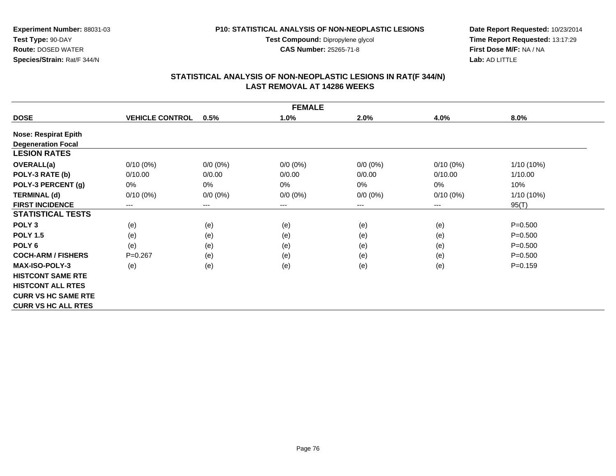**Test Compound:** Dipropylene glycol

**CAS Number:** 25265-71-8

**Date Report Requested:** 10/23/2014 **Time Report Requested:** 13:17:29**First Dose M/F:** NA / NA**Lab:** AD LITTLE

# **STATISTICAL ANALYSIS OF NON-NEOPLASTIC LESIONS IN RAT(F 344/N) LAST REMOVAL AT 14286 WEEKS**

| <b>FEMALE</b>               |                        |             |             |             |             |              |  |  |
|-----------------------------|------------------------|-------------|-------------|-------------|-------------|--------------|--|--|
| <b>DOSE</b>                 | <b>VEHICLE CONTROL</b> | 0.5%        | 1.0%        | 2.0%        | 4.0%        | 8.0%         |  |  |
| <b>Nose: Respirat Epith</b> |                        |             |             |             |             |              |  |  |
| <b>Degeneration Focal</b>   |                        |             |             |             |             |              |  |  |
| <b>LESION RATES</b>         |                        |             |             |             |             |              |  |  |
| <b>OVERALL(a)</b>           | $0/10(0\%)$            | $0/0 (0\%)$ | $0/0 (0\%)$ | $0/0 (0\%)$ | $0/10(0\%)$ | $1/10(10\%)$ |  |  |
| POLY-3 RATE (b)             | 0/10.00                | 0/0.00      | 0/0.00      | 0/0.00      | 0/10.00     | 1/10.00      |  |  |
| POLY-3 PERCENT (g)          | $0\%$                  | $0\%$       | $0\%$       | 0%          | 0%          | 10%          |  |  |
| <b>TERMINAL (d)</b>         | $0/10(0\%)$            | $0/0 (0\%)$ | $0/0 (0\%)$ | $0/0 (0\%)$ | $0/10(0\%)$ | 1/10 (10%)   |  |  |
| <b>FIRST INCIDENCE</b>      | $---$                  | $---$       | $---$       | ---         | ---         | 95(T)        |  |  |
| <b>STATISTICAL TESTS</b>    |                        |             |             |             |             |              |  |  |
| POLY <sub>3</sub>           | (e)                    | (e)         | (e)         | (e)         | (e)         | $P = 0.500$  |  |  |
| <b>POLY 1.5</b>             | (e)                    | (e)         | (e)         | (e)         | (e)         | $P = 0.500$  |  |  |
| POLY <sub>6</sub>           | (e)                    | (e)         | (e)         | (e)         | (e)         | $P = 0.500$  |  |  |
| <b>COCH-ARM / FISHERS</b>   | $P = 0.267$            | (e)         | (e)         | (e)         | (e)         | $P = 0.500$  |  |  |
| <b>MAX-ISO-POLY-3</b>       | (e)                    | (e)         | (e)         | (e)         | (e)         | $P = 0.159$  |  |  |
| <b>HISTCONT SAME RTE</b>    |                        |             |             |             |             |              |  |  |
| <b>HISTCONT ALL RTES</b>    |                        |             |             |             |             |              |  |  |
| <b>CURR VS HC SAME RTE</b>  |                        |             |             |             |             |              |  |  |
| <b>CURR VS HC ALL RTES</b>  |                        |             |             |             |             |              |  |  |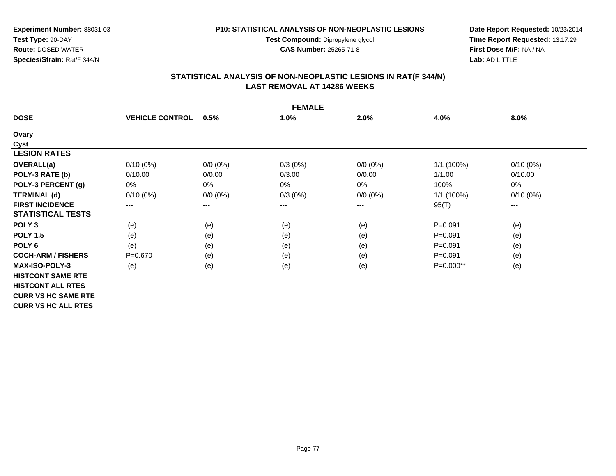**Test Compound:** Dipropylene glycol

**CAS Number:** 25265-71-8

**Date Report Requested:** 10/23/2014 **Time Report Requested:** 13:17:29**First Dose M/F:** NA / NA**Lab:** AD LITTLE

# **STATISTICAL ANALYSIS OF NON-NEOPLASTIC LESIONS IN RAT(F 344/N) LAST REMOVAL AT 14286 WEEKS**

| <b>FEMALE</b>              |                        |                        |            |             |             |             |  |  |
|----------------------------|------------------------|------------------------|------------|-------------|-------------|-------------|--|--|
| <b>DOSE</b>                | <b>VEHICLE CONTROL</b> | 0.5%                   | 1.0%       | 2.0%        | 4.0%        | 8.0%        |  |  |
| Ovary                      |                        |                        |            |             |             |             |  |  |
| Cyst                       |                        |                        |            |             |             |             |  |  |
| <b>LESION RATES</b>        |                        |                        |            |             |             |             |  |  |
| <b>OVERALL(a)</b>          | $0/10(0\%)$            | $0/0 (0\%)$            | $0/3(0\%)$ | $0/0 (0\%)$ | 1/1 (100%)  | $0/10(0\%)$ |  |  |
| POLY-3 RATE (b)            | 0/10.00                | 0/0.00                 | 0/3.00     | 0/0.00      | 1/1.00      | 0/10.00     |  |  |
| POLY-3 PERCENT (g)         | $0\%$                  | 0%                     | 0%         | 0%          | 100%        | 0%          |  |  |
| <b>TERMINAL (d)</b>        | $0/10(0\%)$            | $0/0 (0\%)$            | $0/3(0\%)$ | $0/0 (0\%)$ | 1/1 (100%)  | $0/10(0\%)$ |  |  |
| <b>FIRST INCIDENCE</b>     | ---                    | $\qquad \qquad \cdots$ | ---        | ---         | 95(T)       | $--$        |  |  |
| <b>STATISTICAL TESTS</b>   |                        |                        |            |             |             |             |  |  |
| POLY <sub>3</sub>          | (e)                    | (e)                    | (e)        | (e)         | $P = 0.091$ | (e)         |  |  |
| <b>POLY 1.5</b>            | (e)                    | (e)                    | (e)        | (e)         | $P = 0.091$ | (e)         |  |  |
| POLY <sub>6</sub>          | (e)                    | (e)                    | (e)        | (e)         | $P = 0.091$ | (e)         |  |  |
| <b>COCH-ARM / FISHERS</b>  | $P = 0.670$            | (e)                    | (e)        | (e)         | $P = 0.091$ | (e)         |  |  |
| <b>MAX-ISO-POLY-3</b>      | (e)                    | (e)                    | (e)        | (e)         | $P=0.000**$ | (e)         |  |  |
| <b>HISTCONT SAME RTE</b>   |                        |                        |            |             |             |             |  |  |
| <b>HISTCONT ALL RTES</b>   |                        |                        |            |             |             |             |  |  |
| <b>CURR VS HC SAME RTE</b> |                        |                        |            |             |             |             |  |  |
| <b>CURR VS HC ALL RTES</b> |                        |                        |            |             |             |             |  |  |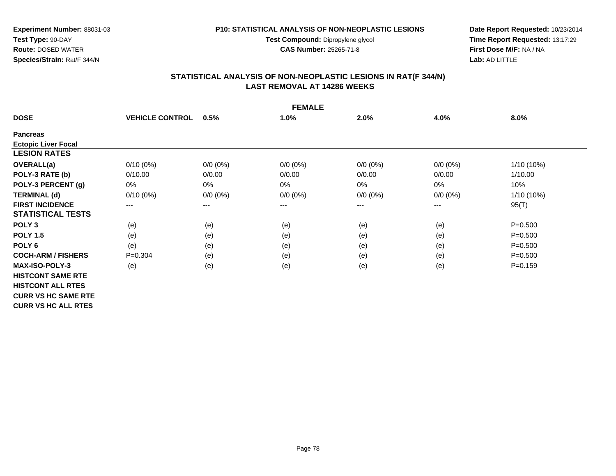**Test Compound:** Dipropylene glycol

**CAS Number:** 25265-71-8

**Date Report Requested:** 10/23/2014 **Time Report Requested:** 13:17:29**First Dose M/F:** NA / NA**Lab:** AD LITTLE

# **STATISTICAL ANALYSIS OF NON-NEOPLASTIC LESIONS IN RAT(F 344/N) LAST REMOVAL AT 14286 WEEKS**

| <b>FEMALE</b>              |                        |             |             |             |             |             |  |  |
|----------------------------|------------------------|-------------|-------------|-------------|-------------|-------------|--|--|
| <b>DOSE</b>                | <b>VEHICLE CONTROL</b> | 0.5%        | 1.0%        | 2.0%        | 4.0%        | 8.0%        |  |  |
| <b>Pancreas</b>            |                        |             |             |             |             |             |  |  |
| <b>Ectopic Liver Focal</b> |                        |             |             |             |             |             |  |  |
| <b>LESION RATES</b>        |                        |             |             |             |             |             |  |  |
| <b>OVERALL(a)</b>          | $0/10(0\%)$            | $0/0 (0\%)$ | $0/0 (0\%)$ | $0/0 (0\%)$ | $0/0(0\%)$  | 1/10 (10%)  |  |  |
| POLY-3 RATE (b)            | 0/10.00                | 0/0.00      | 0/0.00      | 0/0.00      | 0/0.00      | 1/10.00     |  |  |
| POLY-3 PERCENT (g)         | 0%                     | 0%          | $0\%$       | $0\%$       | 0%          | 10%         |  |  |
| <b>TERMINAL (d)</b>        | $0/10(0\%)$            | $0/0 (0\%)$ | $0/0 (0\%)$ | $0/0 (0\%)$ | $0/0 (0\%)$ | 1/10 (10%)  |  |  |
| <b>FIRST INCIDENCE</b>     | $--$                   | $---$       | ---         | ---         | $\cdots$    | 95(T)       |  |  |
| <b>STATISTICAL TESTS</b>   |                        |             |             |             |             |             |  |  |
| POLY <sub>3</sub>          | (e)                    | (e)         | (e)         | (e)         | (e)         | $P = 0.500$ |  |  |
| <b>POLY 1.5</b>            | (e)                    | (e)         | (e)         | (e)         | (e)         | $P = 0.500$ |  |  |
| POLY <sub>6</sub>          | (e)                    | (e)         | (e)         | (e)         | (e)         | $P = 0.500$ |  |  |
| <b>COCH-ARM / FISHERS</b>  | $P = 0.304$            | (e)         | (e)         | (e)         | (e)         | $P = 0.500$ |  |  |
| <b>MAX-ISO-POLY-3</b>      | (e)                    | (e)         | (e)         | (e)         | (e)         | $P = 0.159$ |  |  |
| <b>HISTCONT SAME RTE</b>   |                        |             |             |             |             |             |  |  |
| <b>HISTCONT ALL RTES</b>   |                        |             |             |             |             |             |  |  |
| <b>CURR VS HC SAME RTE</b> |                        |             |             |             |             |             |  |  |
| <b>CURR VS HC ALL RTES</b> |                        |             |             |             |             |             |  |  |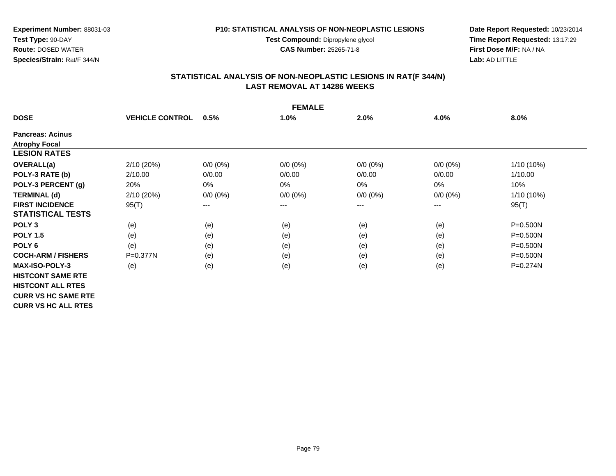**Test Compound:** Dipropylene glycol

**CAS Number:** 25265-71-8

**Date Report Requested:** 10/23/2014 **Time Report Requested:** 13:17:29**First Dose M/F:** NA / NA**Lab:** AD LITTLE

# **STATISTICAL ANALYSIS OF NON-NEOPLASTIC LESIONS IN RAT(F 344/N) LAST REMOVAL AT 14286 WEEKS**

|                            | <b>FEMALE</b>          |                        |                     |             |                        |              |  |  |  |
|----------------------------|------------------------|------------------------|---------------------|-------------|------------------------|--------------|--|--|--|
| <b>DOSE</b>                | <b>VEHICLE CONTROL</b> | 0.5%                   | 1.0%                | 2.0%        | 4.0%                   | 8.0%         |  |  |  |
| <b>Pancreas: Acinus</b>    |                        |                        |                     |             |                        |              |  |  |  |
| <b>Atrophy Focal</b>       |                        |                        |                     |             |                        |              |  |  |  |
| <b>LESION RATES</b>        |                        |                        |                     |             |                        |              |  |  |  |
| <b>OVERALL(a)</b>          | 2/10 (20%)             | $0/0 (0\%)$            | $0/0 (0\%)$         | $0/0 (0\%)$ | $0/0 (0\%)$            | $1/10(10\%)$ |  |  |  |
| POLY-3 RATE (b)            | 2/10.00                | 0/0.00                 | 0/0.00              | 0/0.00      | 0/0.00                 | 1/10.00      |  |  |  |
| POLY-3 PERCENT (g)         | 20%                    | $0\%$                  | $0\%$               | 0%          | 0%                     | 10%          |  |  |  |
| <b>TERMINAL (d)</b>        | 2/10 (20%)             | $0/0 (0\%)$            | $0/0 (0\%)$         | $0/0 (0\%)$ | $0/0 (0\%)$            | 1/10 (10%)   |  |  |  |
| <b>FIRST INCIDENCE</b>     | 95(T)                  | $\qquad \qquad \cdots$ | $\qquad \qquad - -$ | ---         | $\qquad \qquad \cdots$ | 95(T)        |  |  |  |
| <b>STATISTICAL TESTS</b>   |                        |                        |                     |             |                        |              |  |  |  |
| POLY <sub>3</sub>          | (e)                    | (e)                    | (e)                 | (e)         | (e)                    | $P = 0.500N$ |  |  |  |
| <b>POLY 1.5</b>            | (e)                    | (e)                    | (e)                 | (e)         | (e)                    | $P = 0.500N$ |  |  |  |
| POLY <sub>6</sub>          | (e)                    | (e)                    | (e)                 | (e)         | (e)                    | $P = 0.500N$ |  |  |  |
| <b>COCH-ARM / FISHERS</b>  | $P = 0.377N$           | (e)                    | (e)                 | (e)         | (e)                    | $P = 0.500N$ |  |  |  |
| <b>MAX-ISO-POLY-3</b>      | (e)                    | (e)                    | (e)                 | (e)         | (e)                    | P=0.274N     |  |  |  |
| <b>HISTCONT SAME RTE</b>   |                        |                        |                     |             |                        |              |  |  |  |
| <b>HISTCONT ALL RTES</b>   |                        |                        |                     |             |                        |              |  |  |  |
| <b>CURR VS HC SAME RTE</b> |                        |                        |                     |             |                        |              |  |  |  |
| <b>CURR VS HC ALL RTES</b> |                        |                        |                     |             |                        |              |  |  |  |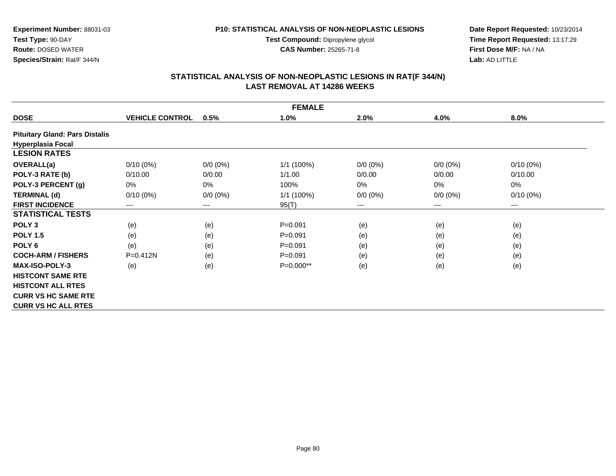**Experiment Number:** 88031-03**Test Type:** 90-DAY **Route:** DOSED WATER**Species/Strain:** Rat/F 344/N

#### **P10: STATISTICAL ANALYSIS OF NON-NEOPLASTIC LESIONS**

**Test Compound:** Dipropylene glycol **CAS Number:** 25265-71-8

**Date Report Requested:** 10/23/2014 **Time Report Requested:** 13:17:29**First Dose M/F:** NA / NA**Lab:** AD LITTLE

# **STATISTICAL ANALYSIS OF NON-NEOPLASTIC LESIONS IN RAT(F 344/N) LAST REMOVAL AT 14286 WEEKS**

|                                       | <b>FEMALE</b>          |             |             |             |             |             |  |  |  |
|---------------------------------------|------------------------|-------------|-------------|-------------|-------------|-------------|--|--|--|
| <b>DOSE</b>                           | <b>VEHICLE CONTROL</b> | 0.5%        | 1.0%        | 2.0%        | 4.0%        | 8.0%        |  |  |  |
| <b>Pituitary Gland: Pars Distalis</b> |                        |             |             |             |             |             |  |  |  |
| <b>Hyperplasia Focal</b>              |                        |             |             |             |             |             |  |  |  |
| <b>LESION RATES</b>                   |                        |             |             |             |             |             |  |  |  |
| OVERALL(a)                            | $0/10(0\%)$            | $0/0 (0\%)$ | 1/1 (100%)  | $0/0 (0\%)$ | $0/0 (0\%)$ | $0/10(0\%)$ |  |  |  |
| POLY-3 RATE (b)                       | 0/10.00                | 0/0.00      | 1/1.00      | 0/0.00      | 0/0.00      | 0/10.00     |  |  |  |
| POLY-3 PERCENT (g)                    | 0%                     | 0%          | 100%        | $0\%$       | 0%          | 0%          |  |  |  |
| <b>TERMINAL (d)</b>                   | $0/10(0\%)$            | $0/0 (0\%)$ | 1/1 (100%)  | $0/0 (0\%)$ | $0/0 (0\%)$ | $0/10(0\%)$ |  |  |  |
| <b>FIRST INCIDENCE</b>                | $---$                  | $---$       | 95(T)       | ---         | ---         | $\cdots$    |  |  |  |
| <b>STATISTICAL TESTS</b>              |                        |             |             |             |             |             |  |  |  |
| POLY <sub>3</sub>                     | (e)                    | (e)         | $P = 0.091$ | (e)         | (e)         | (e)         |  |  |  |
| <b>POLY 1.5</b>                       | (e)                    | (e)         | $P = 0.091$ | (e)         | (e)         | (e)         |  |  |  |
| POLY <sub>6</sub>                     | (e)                    | (e)         | $P = 0.091$ | (e)         | (e)         | (e)         |  |  |  |
| <b>COCH-ARM / FISHERS</b>             | $P = 0.412N$           | (e)         | $P = 0.091$ | (e)         | (e)         | (e)         |  |  |  |
| <b>MAX-ISO-POLY-3</b>                 | (e)                    | (e)         | P=0.000**   | (e)         | (e)         | (e)         |  |  |  |
| <b>HISTCONT SAME RTE</b>              |                        |             |             |             |             |             |  |  |  |
| <b>HISTCONT ALL RTES</b>              |                        |             |             |             |             |             |  |  |  |
| <b>CURR VS HC SAME RTE</b>            |                        |             |             |             |             |             |  |  |  |
| <b>CURR VS HC ALL RTES</b>            |                        |             |             |             |             |             |  |  |  |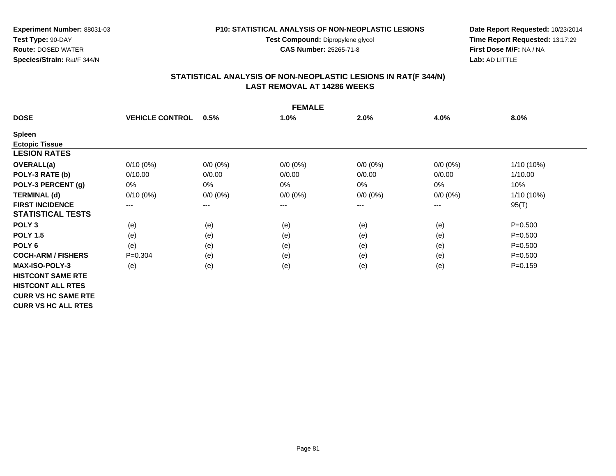**Test Compound:** Dipropylene glycol

**CAS Number:** 25265-71-8

**Date Report Requested:** 10/23/2014 **Time Report Requested:** 13:17:29**First Dose M/F:** NA / NA**Lab:** AD LITTLE

# **STATISTICAL ANALYSIS OF NON-NEOPLASTIC LESIONS IN RAT(F 344/N) LAST REMOVAL AT 14286 WEEKS**

| <b>FEMALE</b>              |                        |             |             |             |             |             |  |  |
|----------------------------|------------------------|-------------|-------------|-------------|-------------|-------------|--|--|
| <b>DOSE</b>                | <b>VEHICLE CONTROL</b> | 0.5%        | 1.0%        | 2.0%        | 4.0%        | 8.0%        |  |  |
| <b>Spleen</b>              |                        |             |             |             |             |             |  |  |
| <b>Ectopic Tissue</b>      |                        |             |             |             |             |             |  |  |
| <b>LESION RATES</b>        |                        |             |             |             |             |             |  |  |
| <b>OVERALL(a)</b>          | $0/10(0\%)$            | $0/0 (0\%)$ | $0/0 (0\%)$ | $0/0 (0\%)$ | $0/0 (0\%)$ | 1/10 (10%)  |  |  |
| POLY-3 RATE (b)            | 0/10.00                | 0/0.00      | 0/0.00      | 0/0.00      | 0/0.00      | 1/10.00     |  |  |
| POLY-3 PERCENT (g)         | 0%                     | 0%          | 0%          | 0%          | $0\%$       | 10%         |  |  |
| <b>TERMINAL (d)</b>        | $0/10(0\%)$            | $0/0 (0\%)$ | $0/0 (0\%)$ | $0/0 (0\%)$ | $0/0 (0\%)$ | 1/10 (10%)  |  |  |
| <b>FIRST INCIDENCE</b>     | $---$                  | $---$       | $---$       | ---         | $---$       | 95(T)       |  |  |
| <b>STATISTICAL TESTS</b>   |                        |             |             |             |             |             |  |  |
| POLY <sub>3</sub>          | (e)                    | (e)         | (e)         | (e)         | (e)         | $P = 0.500$ |  |  |
| <b>POLY 1.5</b>            | (e)                    | (e)         | (e)         | (e)         | (e)         | $P = 0.500$ |  |  |
| POLY <sub>6</sub>          | (e)                    | (e)         | (e)         | (e)         | (e)         | $P = 0.500$ |  |  |
| <b>COCH-ARM / FISHERS</b>  | $P = 0.304$            | (e)         | (e)         | (e)         | (e)         | $P = 0.500$ |  |  |
| <b>MAX-ISO-POLY-3</b>      | (e)                    | (e)         | (e)         | (e)         | (e)         | $P = 0.159$ |  |  |
| <b>HISTCONT SAME RTE</b>   |                        |             |             |             |             |             |  |  |
| <b>HISTCONT ALL RTES</b>   |                        |             |             |             |             |             |  |  |
| <b>CURR VS HC SAME RTE</b> |                        |             |             |             |             |             |  |  |
| <b>CURR VS HC ALL RTES</b> |                        |             |             |             |             |             |  |  |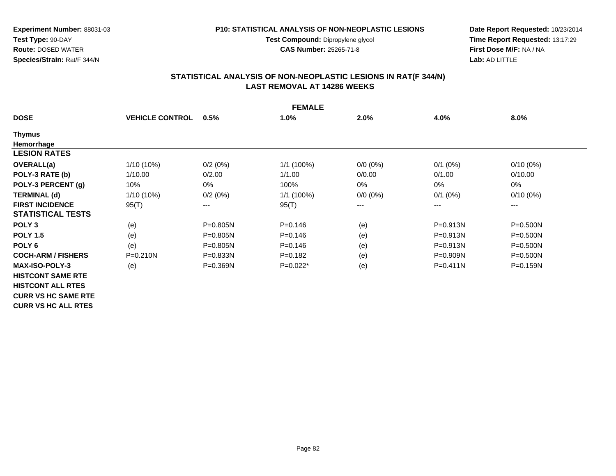**Test Compound:** Dipropylene glycol

**CAS Number:** 25265-71-8

**Date Report Requested:** 10/23/2014 **Time Report Requested:** 13:17:29**First Dose M/F:** NA / NA**Lab:** AD LITTLE

# **STATISTICAL ANALYSIS OF NON-NEOPLASTIC LESIONS IN RAT(F 344/N) LAST REMOVAL AT 14286 WEEKS**

| <b>FEMALE</b>              |                        |                        |             |             |              |              |  |  |
|----------------------------|------------------------|------------------------|-------------|-------------|--------------|--------------|--|--|
| <b>DOSE</b>                | <b>VEHICLE CONTROL</b> | 0.5%                   | 1.0%        | 2.0%        | 4.0%         | 8.0%         |  |  |
| <b>Thymus</b>              |                        |                        |             |             |              |              |  |  |
| Hemorrhage                 |                        |                        |             |             |              |              |  |  |
| <b>LESION RATES</b>        |                        |                        |             |             |              |              |  |  |
| <b>OVERALL(a)</b>          | $1/10(10\%)$           | 0/2(0%)                | 1/1 (100%)  | $0/0 (0\%)$ | $0/1$ (0%)   | $0/10(0\%)$  |  |  |
| POLY-3 RATE (b)            | 1/10.00                | 0/2.00                 | 1/1.00      | 0/0.00      | 0/1.00       | 0/10.00      |  |  |
| POLY-3 PERCENT (g)         | 10%                    | 0%                     | 100%        | 0%          | 0%           | 0%           |  |  |
| <b>TERMINAL (d)</b>        | $1/10(10\%)$           | 0/2(0%)                | 1/1(100%)   | $0/0 (0\%)$ | $0/1$ (0%)   | $0/10(0\%)$  |  |  |
| <b>FIRST INCIDENCE</b>     | 95(T)                  | $\qquad \qquad \cdots$ | 95(T)       | ---         | $---$        | ---          |  |  |
| <b>STATISTICAL TESTS</b>   |                        |                        |             |             |              |              |  |  |
| POLY <sub>3</sub>          | (e)                    | P=0.805N               | $P = 0.146$ | (e)         | $P = 0.913N$ | $P = 0.500N$ |  |  |
| <b>POLY 1.5</b>            | (e)                    | P=0.805N               | $P = 0.146$ | (e)         | P=0.913N     | $P = 0.500N$ |  |  |
| POLY <sub>6</sub>          | (e)                    | $P = 0.805N$           | $P = 0.146$ | (e)         | P=0.913N     | $P = 0.500N$ |  |  |
| <b>COCH-ARM / FISHERS</b>  | $P = 0.210N$           | $P = 0.833N$           | $P = 0.182$ | (e)         | P=0.909N     | $P = 0.500N$ |  |  |
| <b>MAX-ISO-POLY-3</b>      | (e)                    | P=0.369N               | $P=0.022*$  | (e)         | $P = 0.411N$ | $P = 0.159N$ |  |  |
| <b>HISTCONT SAME RTE</b>   |                        |                        |             |             |              |              |  |  |
| <b>HISTCONT ALL RTES</b>   |                        |                        |             |             |              |              |  |  |
| <b>CURR VS HC SAME RTE</b> |                        |                        |             |             |              |              |  |  |
| <b>CURR VS HC ALL RTES</b> |                        |                        |             |             |              |              |  |  |

**Experiment Number:** 88031-03

**Test Type:** 90-DAY **Route:** DOSED WATER**Species/Strain:** Rat/F 344/N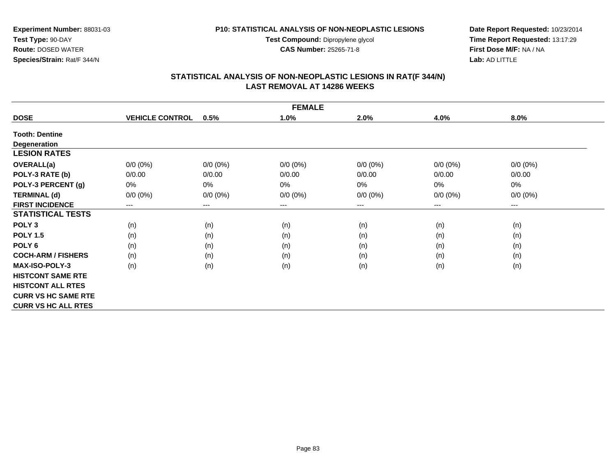**Test Compound:** Dipropylene glycol

**CAS Number:** 25265-71-8

**Date Report Requested:** 10/23/2014 **Time Report Requested:** 13:17:29**First Dose M/F:** NA / NA**Lab:** AD LITTLE

# **STATISTICAL ANALYSIS OF NON-NEOPLASTIC LESIONS IN RAT(F 344/N) LAST REMOVAL AT 14286 WEEKS**

| <b>FEMALE</b>              |                            |                            |             |             |                        |                        |  |  |
|----------------------------|----------------------------|----------------------------|-------------|-------------|------------------------|------------------------|--|--|
| <b>DOSE</b>                | <b>VEHICLE CONTROL</b>     | 0.5%                       | 1.0%        | 2.0%        | 4.0%                   | 8.0%                   |  |  |
| <b>Tooth: Dentine</b>      |                            |                            |             |             |                        |                        |  |  |
| <b>Degeneration</b>        |                            |                            |             |             |                        |                        |  |  |
| <b>LESION RATES</b>        |                            |                            |             |             |                        |                        |  |  |
| <b>OVERALL(a)</b>          | $0/0 (0\%)$                | $0/0 (0\%)$                | $0/0 (0\%)$ | $0/0 (0\%)$ | $0/0(0\%)$             | $0/0 (0\%)$            |  |  |
| POLY-3 RATE (b)            | 0/0.00                     | 0/0.00                     | 0/0.00      | 0/0.00      | 0/0.00                 | 0/0.00                 |  |  |
| POLY-3 PERCENT (g)         | 0%                         | 0%                         | 0%          | 0%          | $0\%$                  | $0\%$                  |  |  |
| <b>TERMINAL (d)</b>        | $0/0 (0\%)$                | $0/0 (0\%)$                | $0/0 (0\%)$ | $0/0 (0\%)$ | $0/0(0\%)$             | $0/0 (0\%)$            |  |  |
| <b>FIRST INCIDENCE</b>     | $\qquad \qquad - \qquad -$ | $\qquad \qquad - \qquad -$ | $---$       | ---         | $\qquad \qquad \cdots$ | $\qquad \qquad \cdots$ |  |  |
| <b>STATISTICAL TESTS</b>   |                            |                            |             |             |                        |                        |  |  |
| POLY <sub>3</sub>          | (n)                        | (n)                        | (n)         | (n)         | (n)                    | (n)                    |  |  |
| <b>POLY 1.5</b>            | (n)                        | (n)                        | (n)         | (n)         | (n)                    | (n)                    |  |  |
| POLY <sub>6</sub>          | (n)                        | (n)                        | (n)         | (n)         | (n)                    | (n)                    |  |  |
| <b>COCH-ARM / FISHERS</b>  | (n)                        | (n)                        | (n)         | (n)         | (n)                    | (n)                    |  |  |
| <b>MAX-ISO-POLY-3</b>      | (n)                        | (n)                        | (n)         | (n)         | (n)                    | (n)                    |  |  |
| <b>HISTCONT SAME RTE</b>   |                            |                            |             |             |                        |                        |  |  |
| <b>HISTCONT ALL RTES</b>   |                            |                            |             |             |                        |                        |  |  |
| <b>CURR VS HC SAME RTE</b> |                            |                            |             |             |                        |                        |  |  |
| <b>CURR VS HC ALL RTES</b> |                            |                            |             |             |                        |                        |  |  |

**Test Type:** 90-DAY **Route:** DOSED WATER**Species/Strain:** Rat/F 344/N

**Experiment Number:** 88031-03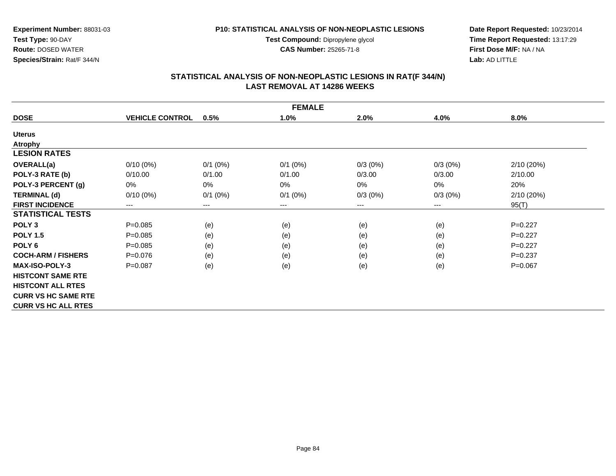**Test Compound:** Dipropylene glycol

**CAS Number:** 25265-71-8

**Date Report Requested:** 10/23/2014 **Time Report Requested:** 13:17:29**First Dose M/F:** NA / NA**Lab:** AD LITTLE

# **STATISTICAL ANALYSIS OF NON-NEOPLASTIC LESIONS IN RAT(F 344/N) LAST REMOVAL AT 14286 WEEKS**

| <b>FEMALE</b>              |                        |                            |            |            |                            |            |  |  |
|----------------------------|------------------------|----------------------------|------------|------------|----------------------------|------------|--|--|
| <b>DOSE</b>                | <b>VEHICLE CONTROL</b> | 0.5%                       | 1.0%       | 2.0%       | 4.0%                       | 8.0%       |  |  |
| <b>Uterus</b>              |                        |                            |            |            |                            |            |  |  |
| <b>Atrophy</b>             |                        |                            |            |            |                            |            |  |  |
| <b>LESION RATES</b>        |                        |                            |            |            |                            |            |  |  |
| <b>OVERALL(a)</b>          | $0/10(0\%)$            | $0/1$ (0%)                 | $0/1$ (0%) | $0/3(0\%)$ | $0/3(0\%)$                 | 2/10(20%)  |  |  |
| POLY-3 RATE (b)            | 0/10.00                | 0/1.00                     | 0/1.00     | 0/3.00     | 0/3.00                     | 2/10.00    |  |  |
| POLY-3 PERCENT (g)         | 0%                     | 0%                         | 0%         | 0%         | $0\%$                      | 20%        |  |  |
| <b>TERMINAL (d)</b>        | $0/10(0\%)$            | $0/1$ (0%)                 | $0/1$ (0%) | $0/3(0\%)$ | $0/3(0\%)$                 | 2/10 (20%) |  |  |
| <b>FIRST INCIDENCE</b>     | ---                    | $\qquad \qquad - \qquad -$ | $---$      | ---        | $\qquad \qquad - \qquad -$ | 95(T)      |  |  |
| <b>STATISTICAL TESTS</b>   |                        |                            |            |            |                            |            |  |  |
| POLY <sub>3</sub>          | $P = 0.085$            | (e)                        | (e)        | (e)        | (e)                        | $P=0.227$  |  |  |
| <b>POLY 1.5</b>            | $P = 0.085$            | (e)                        | (e)        | (e)        | (e)                        | $P=0.227$  |  |  |
| POLY <sub>6</sub>          | $P = 0.085$            | (e)                        | (e)        | (e)        | (e)                        | $P=0.227$  |  |  |
| <b>COCH-ARM / FISHERS</b>  | $P = 0.076$            | (e)                        | (e)        | (e)        | (e)                        | $P=0.237$  |  |  |
| <b>MAX-ISO-POLY-3</b>      | $P=0.087$              | (e)                        | (e)        | (e)        | (e)                        | $P=0.067$  |  |  |
| <b>HISTCONT SAME RTE</b>   |                        |                            |            |            |                            |            |  |  |
| <b>HISTCONT ALL RTES</b>   |                        |                            |            |            |                            |            |  |  |
| <b>CURR VS HC SAME RTE</b> |                        |                            |            |            |                            |            |  |  |
| <b>CURR VS HC ALL RTES</b> |                        |                            |            |            |                            |            |  |  |

**Test Type:** 90-DAY **Route:** DOSED WATER**Species/Strain:** Rat/F 344/N

**Experiment Number:** 88031-03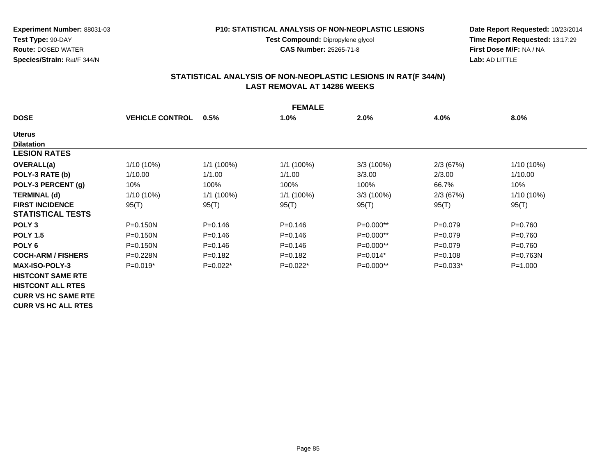**Test Compound:** Dipropylene glycol

**CAS Number:** 25265-71-8

**Date Report Requested:** 10/23/2014 **Time Report Requested:** 13:17:29**First Dose M/F:** NA / NA**Lab:** AD LITTLE

# **STATISTICAL ANALYSIS OF NON-NEOPLASTIC LESIONS IN RAT(F 344/N) LAST REMOVAL AT 14286 WEEKS**

| <b>FEMALE</b>              |                        |              |              |              |             |              |
|----------------------------|------------------------|--------------|--------------|--------------|-------------|--------------|
| <b>DOSE</b>                | <b>VEHICLE CONTROL</b> | 0.5%         | 1.0%         | 2.0%         | 4.0%        | 8.0%         |
| <b>Uterus</b>              |                        |              |              |              |             |              |
| <b>Dilatation</b>          |                        |              |              |              |             |              |
| <b>LESION RATES</b>        |                        |              |              |              |             |              |
| <b>OVERALL(a)</b>          | 1/10 (10%)             | 1/1(100%)    | 1/1 (100%)   | $3/3(100\%)$ | 2/3(67%)    | 1/10 (10%)   |
| POLY-3 RATE (b)            | 1/10.00                | 1/1.00       | 1/1.00       | 3/3.00       | 2/3.00      | 1/10.00      |
| POLY-3 PERCENT (g)         | 10%                    | 100%         | 100%         | 100%         | 66.7%       | 10%          |
| <b>TERMINAL (d)</b>        | $1/10(10\%)$           | $1/1$ (100%) | $1/1$ (100%) | 3/3(100%)    | 2/3(67%)    | 1/10 (10%)   |
| <b>FIRST INCIDENCE</b>     | 95(T)                  | 95(T)        | 95(T)        | 95(T)        | 95(T)       | 95(T)        |
| <b>STATISTICAL TESTS</b>   |                        |              |              |              |             |              |
| POLY <sub>3</sub>          | P=0.150N               | $P = 0.146$  | $P = 0.146$  | $P=0.000**$  | $P=0.079$   | $P = 0.760$  |
| <b>POLY 1.5</b>            | $P = 0.150N$           | $P = 0.146$  | $P=0.146$    | $P=0.000**$  | $P = 0.079$ | $P=0.760$    |
| POLY <sub>6</sub>          | $P = 0.150N$           | $P = 0.146$  | $P = 0.146$  | P=0.000**    | $P=0.079$   | $P = 0.760$  |
| <b>COCH-ARM / FISHERS</b>  | $P = 0.228N$           | $P = 0.182$  | $P = 0.182$  | $P=0.014*$   | $P = 0.108$ | $P = 0.763N$ |
| <b>MAX-ISO-POLY-3</b>      | $P=0.019*$             | $P=0.022*$   | $P=0.022*$   | $P=0.000**$  | $P=0.033*$  | $P = 1.000$  |
| <b>HISTCONT SAME RTE</b>   |                        |              |              |              |             |              |
| <b>HISTCONT ALL RTES</b>   |                        |              |              |              |             |              |
| <b>CURR VS HC SAME RTE</b> |                        |              |              |              |             |              |
| <b>CURR VS HC ALL RTES</b> |                        |              |              |              |             |              |

**Species/Strain:** Rat/F 344/N

**Test Type:** 90-DAY**Route:** DOSED WATER

**Experiment Number:** 88031-03